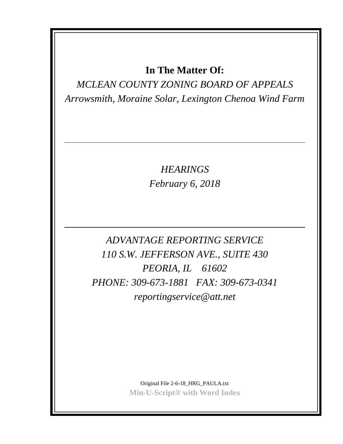## **In The Matter Of:**

*MCLEAN COUNTY ZONING BOARD OF APPEALS Arrowsmith, Moraine Solar, Lexington Chenoa Wind Farm*

> *HEARINGS February 6, 2018*

*ADVANTAGE REPORTING SERVICE 110 S.W. JEFFERSON AVE., SUITE 430 PEORIA, IL 61602 PHONE: 309-673-1881 FAX: 309-673-0341 reportingservice@att.net*

> Original File 2-6-18\_HRG\_PAULA.txt **Min-U-Script® with Word Index**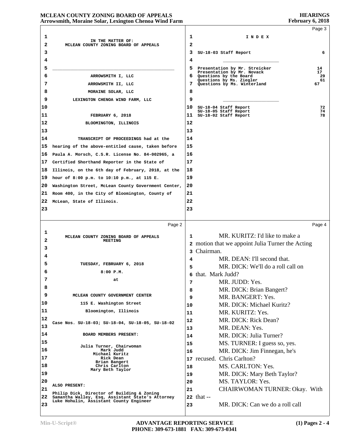#### **HEARINGS February 6, 2018**

### **MCLEAN COUNTY ZONING BOARD OF APPEALS Arrowsmith, Moraine Solar, Lexington Chenoa Wind Farm**

|    |                                                                                             |    |                                                         | Page 3   |
|----|---------------------------------------------------------------------------------------------|----|---------------------------------------------------------|----------|
| 1  |                                                                                             | 1  | INDEX                                                   |          |
| 2  | IN THE MATTER OF:<br>MCLEAN COUNTY ZONING BOARD OF APPEALS                                  | 2  |                                                         |          |
| 3  |                                                                                             | 3  | SU-18-03 Staff Report                                   | 6        |
| 4  |                                                                                             | 4  |                                                         |          |
| 5  |                                                                                             | 5  | Presentation by Mr. Streicker                           | 14       |
| 6  | ARROWSMITH I, LLC                                                                           | 6. | Presentation by Mr. Novack<br>Questions by the Board    | 17<br>29 |
| 7  | ARROWSMITH II, LLC                                                                          | 7  | Questions by Ms. Ziegler<br>Questions by Ms. Winterland | 61<br>67 |
| 8  | MORAINE SOLAR, LLC                                                                          | 8  |                                                         |          |
| 9  | LEXINGTON CHENOA WIND FARM, LLC                                                             | 9  |                                                         |          |
| 10 |                                                                                             | 10 |                                                         | 72       |
| 11 |                                                                                             | 11 | SU-18-04 Staff Report<br>SU-18-05 Staff Report          | 74<br>78 |
| 12 | FEBRUARY 6, 2018                                                                            | 12 | SU-18-02 Staff Report                                   |          |
| 13 | BLOOMINGTON, ILLINOIS                                                                       | 13 |                                                         |          |
|    |                                                                                             |    |                                                         |          |
| 14 | TRANSCRIPT OF PROCEEDINGS had at the                                                        | 14 |                                                         |          |
| 15 | hearing of the above-entitled cause, taken before                                           | 15 |                                                         |          |
| 16 | Paula A. Morsch, C.S.R. License No. 84-002965, a                                            | 16 |                                                         |          |
| 17 | Certified Shorthand Reporter in the State of                                                | 17 |                                                         |          |
| 18 | Illinois, on the 6th day of February, 2018, at the                                          | 18 |                                                         |          |
| 19 | hour of 8:00 p.m. to 10:10 p.m., at 115 E.                                                  | 19 |                                                         |          |
| 20 | Washington Street, McLean County Government Center,                                         | 20 |                                                         |          |
| 21 | Room 400, in the City of Bloomington, County of                                             | 21 |                                                         |          |
| 22 | McLean, State of Illinois.                                                                  | 22 |                                                         |          |
| 23 |                                                                                             | 23 |                                                         |          |
|    |                                                                                             |    |                                                         |          |
|    | Page 2                                                                                      |    |                                                         | Page 4   |
| 1  | MCLEAN COUNTY ZONING BOARD OF APPEALS                                                       | 1  | MR. KURITZ: I'd like to make a                          |          |
| 2  | <b>MEETING</b>                                                                              |    | 2 motion that we appoint Julia Turner the Acting        |          |
| 3  |                                                                                             |    | 3 Chairman.                                             |          |
| 4  |                                                                                             | 4  | MR. DEAN: I'll second that.                             |          |
| 5  | TUESDAY, FEBRUARY 6, 2018                                                                   | 5  | MR. DICK: We'll do a roll call on                       |          |
| 6  | $8:00$ $P.M.$                                                                               | 6  | that. Mark Judd?                                        |          |
| 7  | at                                                                                          | 7  | MR. JUDD: Yes.                                          |          |
| 8  |                                                                                             | 8  | MR. DICK: Brian Bangert?                                |          |
| 9  | MCLEAN COUNTY GOVERNMENT CENTER                                                             | 9  | MR. BANGERT: Yes.                                       |          |
| 10 | 115 E. Washington Street                                                                    | 10 | MR. DICK: Michael Kuritz?                               |          |
| 11 | Bloomington, Illinois                                                                       | 11 | MR. KURITZ: Yes.                                        |          |
| 12 | Case Nos. SU-18-03; SU-18-04, SU-18-05, SU-18-02                                            | 12 | MR. DICK: Rick Dean?                                    |          |
| 13 |                                                                                             | 13 | MR. DEAN: Yes.                                          |          |
| 14 | BOARD MEMBERS PRESENT:                                                                      | 14 | MR. DICK: Julia Turner?                                 |          |
| 15 | Julia Turner, Chairwoman                                                                    | 15 | MS. TURNER: I guess so, yes.                            |          |
| 16 | Mark Judd<br>Michael Kuritz                                                                 | 16 | MR. DICK: Jim Finnegan, he's                            |          |
| 17 | Rick Dean<br>Brian Bangert                                                                  |    | 17 recused. Chris Carlton?                              |          |
| 18 | Chris Carlton<br>Mary Beth Taylor                                                           | 18 | MS. CARLTON: Yes.                                       |          |
| 19 |                                                                                             | 19 | MR. DICK: Mary Beth Taylor?                             |          |
| 20 | ALSO PRESENT:                                                                               | 20 | MS. TAYLOR: Yes.                                        |          |
| 21 | Philip Dick, Director of Building & Zoning                                                  | 21 | CHAIRWOMAN TURNER: Okay. With                           |          |
| 22 | Samantha Walley, Esq, Assistant State's Attorney<br>Luke Hohulin, Assistant County Engineer |    | <b>22 that</b> --                                       |          |
| 23 |                                                                                             | 23 | MR. DICK: Can we do a roll call                         |          |
|    |                                                                                             |    |                                                         |          |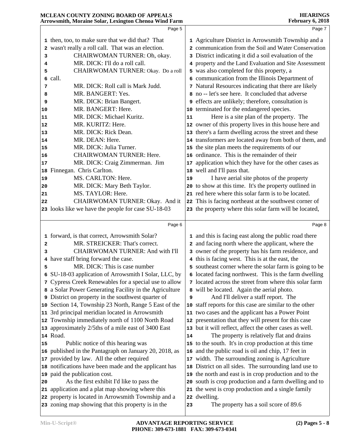|    | Page 5                                                    |    | Page 7                                                    |  |
|----|-----------------------------------------------------------|----|-----------------------------------------------------------|--|
|    | 1 then, too, to make sure that we did that? That          |    | 1 Agriculture District in Arrowsmith Township and a       |  |
|    | 2 wasn't really a roll call. That was an election.        |    | 2 communication from the Soil and Water Conservation      |  |
| 3  | CHAIRWOMAN TURNER: Oh, okay.                              |    | 3 District indicating it did a soil evaluation of the     |  |
| 4  | MR. DICK: I'll do a roll call.                            |    | 4 property and the Land Evaluation and Site Assessment    |  |
| 5  | CHAIRWOMAN TURNER: Okay. Do a roll                        |    | 5 was also completed for this property, a                 |  |
|    | 6 call.                                                   |    | 6 communication from the Illinois Department of           |  |
| 7  | MR. DICK: Roll call is Mark Judd.                         |    | 7 Natural Resources indicating that there are likely      |  |
| 8  | MR. BANGERT: Yes.                                         |    | 8 no -- let's see here. It concluded that adverse         |  |
| 9  | MR. DICK: Brian Bangert.                                  |    | <b>9</b> effects are unlikely; therefore, consultation is |  |
| 10 | MR. BANGERT: Here.                                        |    | 10 terminated for the endangered species.                 |  |
| 11 | MR. DICK: Michael Kuritz.                                 | 11 | Here is a site plan of the property. The                  |  |
| 12 | MR. KURITZ: Here.                                         |    | 12 owner of this property lives in this house here and    |  |
| 13 | MR. DICK: Rick Dean.                                      |    | 13 there's a farm dwelling across the street and these    |  |
| 14 | MR. DEAN: Here.                                           |    | 14 transformers are located away from both of them, and   |  |
| 15 | MR. DICK: Julia Turner.                                   |    | 15 the site plan meets the requirements of our            |  |
| 16 | <b>CHAIRWOMAN TURNER: Here.</b>                           |    | 16 ordinance. This is the remainder of their              |  |
| 17 | MR. DICK: Craig Zimmerman. Jim                            |    | 17 application which they have for the other cases as     |  |
|    | 18 Finnegan. Chris Carlton.                               |    | 18 well and I'll pass that.                               |  |
| 19 | MS. CARLTON: Here.                                        | 19 | I have aerial site photos of the property                 |  |
| 20 | MR. DICK: Mary Beth Taylor.                               |    | 20 to show at this time. It's the property outlined in    |  |
| 21 | MS. TAYLOR: Here.                                         |    | 21 red here where this solar farm is to be located.       |  |
| 22 | CHAIRWOMAN TURNER: Okay. And it                           |    | 22 This is facing northeast at the southwest corner of    |  |
|    | 23 looks like we have the people for case SU-18-03        |    | 23 the property where this solar farm will be located,    |  |
|    |                                                           |    |                                                           |  |
|    | Page 6                                                    |    | Page 8                                                    |  |
|    | 1 forward, is that correct, Arrowsmith Solar?             |    | 1 and this is facing east along the public road there     |  |
| 2  | MR. STREICKER: That's correct.                            |    | 2 and facing north where the applicant, where the         |  |
| 3  | CHAIRWOMAN TURNER: And with I'll                          |    | 3 owner of the property has his farm residence, and       |  |
|    | 4 have staff bring forward the case.                      |    | 4 this is facing west. This is at the east, the           |  |
| 5  | MR. DICK: This is case number                             |    | 5 southeast corner where the solar farm is going to be    |  |
| 6  | SU-18-03 application of Arrowsmith I Solar, LLC, by       | 6  | located facing northwest. This is the farm dwelling       |  |
|    | 7 Cypress Creek Renewables for a special use to allow     |    | 7 located across the street from where this solar farm    |  |
|    | 8 a Solar Power Generating Facility in the Agriculture    |    | 8 will be located. Again the aerial photo.                |  |
|    | <b>9</b> District on property in the southwest quarter of | 9  | And I'll deliver a staff report. The                      |  |
|    | 10 Section 14, Township 23 North, Range 5 East of the     |    | 10 staff reports for this case are similar to the other   |  |
|    | 11 3rd principal meridian located in Arrowsmith           |    | 11 two cases and the applicant has a Power Point          |  |
|    | 12 Township immediately north of 1100 North Road          |    | 12 presentation that they will present for this case      |  |
|    | 13 approximately 2/5ths of a mile east of 3400 East       |    | 13 but it will reflect, affect the other cases as well.   |  |
|    | 14 Road.                                                  | 14 | The property is relatively flat and drains                |  |
| 15 | Public notice of this hearing was                         |    | 15 to the south. It's in crop production at this time     |  |
|    | 16 published in the Pantagraph on January 20, 2018, as    | 16 | and the public road is oil and chip, 17 feet in           |  |
|    | 17 provided by law. All the other required                |    | 17 width. The surrounding zoning is Agriculture           |  |
|    | 18 notifications have been made and the applicant has     | 18 | District on all sides. The surrounding land use to        |  |
|    | 19 paid the publication cost.                             |    | 19 the north and east is in crop production and to the    |  |
| 20 | As the first exhibit I'd like to pass the                 |    | 20 south is crop production and a farm dwelling and to    |  |
|    | 21 application and a plat map showing where this          |    | 21 the west is crop production and a single family        |  |
|    | 22 property is located in Arrowsmith Township and a       |    | 22 dwelling.                                              |  |
|    |                                                           |    |                                                           |  |
|    | 23 zoning map showing that this property is in the        | 23 | The property has a soil score of 89.6                     |  |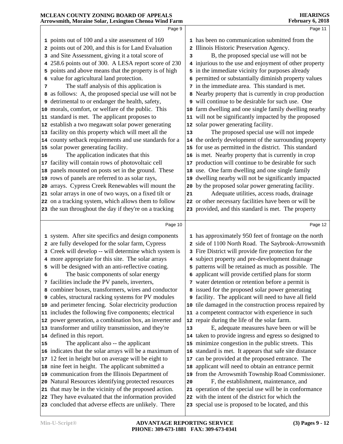| MCLEAN COUNTY ZONING BOARD OF APPEALS<br>Arrowsmith, Moraine Solar, Lexington Chenoa Wind Farm |                                                         |    | <b>HEARINGS</b><br>February 6, 2018                          |
|------------------------------------------------------------------------------------------------|---------------------------------------------------------|----|--------------------------------------------------------------|
|                                                                                                | Page 9                                                  |    | Page 11                                                      |
|                                                                                                | 1 points out of 100 and a site assessment of 169        |    | 1 has been no communication submitted from the               |
|                                                                                                | 2 points out of 200, and this is for Land Evaluation    |    | 2 Illinois Historic Preservation Agency.                     |
|                                                                                                | 3 and Site Assessment, giving it a total score of       | 3  | B, the proposed special use will not be                      |
|                                                                                                | 4 258.6 points out of 300. A LESA report score of 230   |    | 4 injurious to the use and enjoyment of other property       |
|                                                                                                | 5 points and above means that the property is of high   |    | 5 in the immediate vicinity for purposes already             |
|                                                                                                | 6 value for agricultural land protection.               |    | 6 permitted or substantially diminish property values        |
| 7                                                                                              | The staff analysis of this application is               |    | 7 in the immediate area. This standard is met.               |
|                                                                                                | 8 as follows: A, the proposed special use will not be   |    | 8 Nearby property that is currently in crop production       |
| 9                                                                                              | detrimental to or endanger the health, safety,          |    | 9 will continue to be desirable for such use. One            |
| 10                                                                                             | morals, comfort, or welfare of the public. This         |    | 10 farm dwelling and one single family dwelling nearby       |
| 11                                                                                             | standard is met. The applicant proposes to              |    | 11 will not be significantly impacted by the proposed        |
| 12                                                                                             | establish a two megawatt solar power generating         |    | 12 solar power generating facility.                          |
| 13                                                                                             | facility on this property which will meet all the       | 13 | The proposed special use will not impede                     |
| 14                                                                                             | county setback requirements and use standards for a     |    | 14 the orderly development of the surrounding property       |
| 15                                                                                             | solar power generating facility.                        |    | 15 for use as permitted in the district. This standard       |
| 16                                                                                             | The application indicates that this                     |    | 16 is met. Nearby property that is currently in crop         |
| 17                                                                                             | facility will contain rows of photovoltaic cell         |    | 17 production will continue to be desirable for such         |
| 18                                                                                             | panels mounted on posts set in the ground. These        |    | 18 use. One farm dwelling and one single family              |
| 19                                                                                             | rows of panels are referred to as solar rays,           | 19 | dwelling nearby will not be significantly impacted           |
| 20                                                                                             | arrays. Cypress Creek Renewables will mount the         | 20 | by the proposed solar power generating facility.             |
| 21                                                                                             | solar arrays in one of two ways, on a fixed tilt or     | 21 | Adequate utilities, access roads, drainage                   |
|                                                                                                | 22 on a tracking system, which allows them to follow    |    | 22 or other necessary facilities have been or will be        |
|                                                                                                | 23 the sun throughout the day if they're on a tracking  |    | 23 provided, and this standard is met. The property          |
|                                                                                                | Page 10                                                 |    | Page 12                                                      |
|                                                                                                | 1 system. After site specifics and design components    |    | 1 has approximately 950 feet of frontage on the north        |
|                                                                                                | 2 are fully developed for the solar farm, Cypress       |    | 2 side of 1100 North Road. The Saybrook-Arrowsmith           |
|                                                                                                | 3 Creek will develop -- will determine which system is  |    | 3 Fire District will provide fire protection for the         |
|                                                                                                | 4 more appropriate for this site. The solar arrays      |    | 4 subject property and pre-development drainage              |
|                                                                                                | 5 will be designed with an anti-reflective coating.     |    | 5 patterns will be retained as much as possible. The         |
| 6                                                                                              | The basic components of solar energy                    | 6  | applicant will provide certified plans for storm             |
|                                                                                                | 7 facilities include the PV panels, inverters,          |    | 7 water detention or retention before a permit is            |
|                                                                                                | 8 combiner boxes, transformers, wires and conductor     |    | 8 issued for the proposed solar power generating             |
|                                                                                                | 9 cables, structural racking systems for PV modules     |    | <b>9</b> facility. The applicant will need to have all field |
| 10                                                                                             | and perimeter fencing. Solar electricity production     |    | 10 tile damaged in the construction process repaired by      |
|                                                                                                | 11 includes the following five components; electrical   |    | 11 a competent contractor with experience in such            |
| 12                                                                                             | power generation, a combination box, an inverter and    |    | 12 repair during the life of the solar farm.                 |
|                                                                                                | 13 transformer and utility transmission, and they're    | 13 | E, adequate measures have been or will be                    |
|                                                                                                | 14 defined in this report.                              |    | 14 taken to provide ingress and egress so designed to        |
| 15                                                                                             | The applicant also -- the applicant                     |    | 15 minimize congestion in the public streets. This           |
|                                                                                                | 16 indicates that the solar arrays will be a maximum of |    | 16 standard is met. It appears that safe site distance       |
| 17                                                                                             | 12 feet in height but on average will be eight to       |    | 17 can be provided at the proposed entrance. The             |
| 18                                                                                             | nine feet in height. The applicant submitted a          |    | 18 applicant will need to obtain an entrance permit          |
| 19                                                                                             | communication from the Illinois Department of           |    | 19 from the Arrowsmith Township Road Commissioner.           |
| 20                                                                                             | Natural Resources identifying protected resources       | 20 | F, the establishment, maintenance, and                       |
| 21                                                                                             | that may be in the vicinity of the proposed action.     |    | 21 operation of the special use will be in conformance       |
| 22                                                                                             | They have evaluated that the information provided       |    | 22 with the intent of the district for which the             |
|                                                                                                |                                                         |    |                                                              |
|                                                                                                | 23 concluded that adverse effects are unlikely. There   |    | 23 special use is proposed to be located, and this           |
|                                                                                                |                                                         |    |                                                              |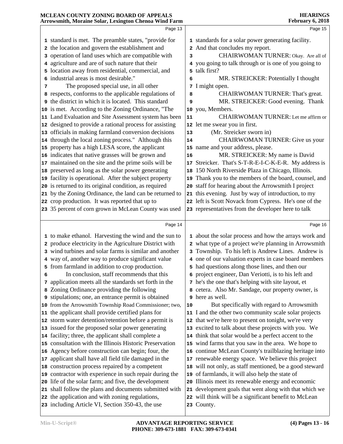| Page 15<br>1 standards for a solar power generating facility.<br>CHAIRWOMAN TURNER: Okay. Are all of<br>4 you going to talk through or is one of you going to |
|---------------------------------------------------------------------------------------------------------------------------------------------------------------|
|                                                                                                                                                               |
|                                                                                                                                                               |
|                                                                                                                                                               |
|                                                                                                                                                               |
|                                                                                                                                                               |
|                                                                                                                                                               |
| MR. STREICKER: Potentially I thought                                                                                                                          |
|                                                                                                                                                               |
| CHAIRWOMAN TURNER: That's great.                                                                                                                              |
| MR. STREICKER: Good evening. Thank                                                                                                                            |
|                                                                                                                                                               |
| CHAIRWOMAN TURNER: Let me affirm or                                                                                                                           |
|                                                                                                                                                               |
|                                                                                                                                                               |
| CHAIRWOMAN TURNER: Give us your                                                                                                                               |
|                                                                                                                                                               |
| MR. STREICKER: My name is David                                                                                                                               |
| Streicker. That's S-T-R-E-I-C-K-E-R. My address is                                                                                                            |
| 150 North Riverside Plaza in Chicago, Illinois.                                                                                                               |
| Thank you to the members of the board, counsel, and                                                                                                           |
| 20 staff for hearing about the Arrowsmith I project                                                                                                           |
| 21 this evening. Just by way of introduction, to my                                                                                                           |
| 22 left is Scott Novack from Cypress. He's one of the                                                                                                         |
| 23 representatives from the developer here to talk                                                                                                            |
| Page 16                                                                                                                                                       |
| 1 about the solar process and how the arrays work and                                                                                                         |
| 2 what type of a project we're planning in Arrowsmith                                                                                                         |
| 3 Township. To his left is Andrew Lines. Andrew is                                                                                                            |
| 4 one of our valuation experts in case board members                                                                                                          |
| 5 had questions along those lines, and then our                                                                                                               |
| 6 project engineer, Dan Veriotti, is to his left and                                                                                                          |
| 7 he's the one that's helping with site layout, et                                                                                                            |
| 8 cetera. Also Mr. Sandage, our property owner, is                                                                                                            |
|                                                                                                                                                               |
| But specifically with regard to Arrowsmith                                                                                                                    |
| 11 I and the other two community scale solar projects                                                                                                         |
| 12 that we're here to present on tonight, we're very                                                                                                          |
| 13 excited to talk about these projects with you. We                                                                                                          |
| 14 think that solar would be a perfect accent to the                                                                                                          |
| 15 wind farms that you saw in the area. We hope to                                                                                                            |
| 16 continue McLean County's trailblazing heritage into                                                                                                        |
| 17 renewable energy space. We believe this project                                                                                                            |
| 18 will not only, as staff mentioned, be a good steward                                                                                                       |
|                                                                                                                                                               |
|                                                                                                                                                               |
| 20 Illinois meet its renewable energy and economic                                                                                                            |
| 21 development goals that went along with that which we                                                                                                       |
| 22 will think will be a significant benefit to McLean                                                                                                         |
|                                                                                                                                                               |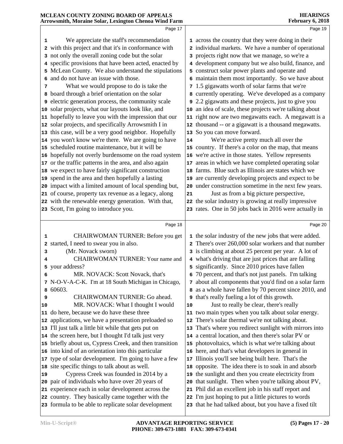|    | Page 17                                                   |    | Page 19                                                 |
|----|-----------------------------------------------------------|----|---------------------------------------------------------|
| 1  | We appreciate the staff's recommendation                  |    | 1 across the country that they were doing in their      |
|    | 2 with this project and that it's in conformance with     |    | 2 individual markets. We have a number of operational   |
|    | 3 not only the overall zoning code but the solar          |    | 3 projects right now that we manage, so we're a         |
|    | 4 specific provisions that have been acted, enacted by    |    | 4 development company but we also build, finance, and   |
|    | 5 McLean County. We also understand the stipulations      |    | 5 construct solar power plants and operate and          |
|    | 6 and do not have an issue with those.                    |    | 6 maintain them most importantly. So we have about      |
| 7  | What we would propose to do is take the                   |    | 7 1.5 gigawatts worth of solar farms that we're         |
|    | 8 board through a brief orientation on the solar          |    | 8 currently operating. We've developed as a company     |
|    | <b>9</b> electric generation process, the community scale |    | 9 2.2 gigawatts and these projects, just to give you    |
|    | 10 solar projects, what our layouts look like, and        |    | 10 an idea of scale, these projects we're talking about |
|    | 11 hopefully to leave you with the impression that our    |    | 11 right now are two megawatts each. A megawatt is a    |
|    | 12 solar projects, and specifically Arrowsmith I in       |    | 12 thousand -- or a gigawatt is a thousand megawatts.   |
|    | 13 this case, will be a very good neighbor. Hopefully     |    | 13 So you can move forward.                             |
|    | 14 you won't know we're there. We are going to have       | 14 | We're active pretty much all over the                   |
|    | 15 scheduled routine maintenance, but it will be          |    | 15 country. If there's a color on the map, that means   |
|    | 16 hopefully not overly burdensome on the road system     |    | 16 we're active in those states. Yellow represents      |
|    | 17 or the traffic patterns in the area, and also again    |    | 17 areas in which we have completed operating solar     |
|    | 18 we expect to have fairly significant construction      |    | 18 farms. Blue such as Illinois are states which we     |
|    | 19 spend in the area and then hopefully a lasting         |    | 19 are currently developing projects and expect to be   |
|    | 20 impact with a limited amount of local spending but,    |    | 20 under construction sometime in the next few years.   |
|    | 21 of course, property tax revenue as a legacy, along     | 21 | Just as from a big picture perspective,                 |
|    | 22 with the renewable energy generation. With that,       |    | 22 the solar industry is growing at really impressive   |
|    | 23 Scott, I'm going to introduce you.                     |    | 23 rates. One in 50 jobs back in 2016 were actually in  |
|    | Page 18                                                   |    | Page 20                                                 |
| 1  | CHAIRWOMAN TURNER: Before you get                         |    | 1 the solar industry of the new jobs that were added.   |
|    | 2 started, I need to swear you in also.                   |    | 2 There's over 260,000 solar workers and that number    |
| з  | (Mr. Novack sworn)                                        |    | 3 is climbing at about 25 percent per year. A lot of    |
| 4  | CHAIRWOMAN TURNER: Your name and                          |    | 4 what's driving that are just prices that are falling  |
|    | 5 your address?                                           |    | 5 significantly. Since 2010 prices have fallen          |
|    | MR. NOVACK: Scott Novack, that's                          |    | 6 70 percent, and that's not just panels. I'm talking   |
|    | 7 N-O-V-A-C-K. I'm at 18 South Michigan in Chicago,       |    | 7 about all components that you'd find on a solar farm  |
|    | 8 60603.                                                  |    | 8 as a whole have fallen by 70 percent since 2010, and  |
| 9  | CHAIRWOMAN TURNER: Go ahead.                              |    | <b>9</b> that's really fueling a lot of this growth.    |
| 10 | MR. NOVACK: What I thought I would                        | 10 | Just to really be clear, there's really                 |
|    | 11 do here, because we do have these three                |    | 11 two main types when you talk about solar energy.     |
|    | 12 applications, we have a presentation preloaded so      |    | 12 There's solar thermal we're not talking about.       |
|    | 13 I'll just talk a little bit while that gets put on     |    | 13 That's where you redirect sunlight with mirrors into |
|    | 14 the screen here, but I thought I'd talk just very      |    | 14 a central location, and then there's solar PV or     |
|    | 15 briefly about us, Cypress Creek, and then transition   |    | 15 photovoltaics, which is what we're talking about     |
|    | 16 into kind of an orientation into this particular       |    | 16 here, and that's what developers in general in       |
|    | 17 type of solar development. I'm going to have a few     |    | 17 Illinois you'll see being built here. That's the     |
|    | 18 site specific things to talk about as well.            |    | 18 opposite. The idea there is to soak in and absorb    |
| 19 | Cypress Creek was founded in 2014 by a                    |    | 19 the sunlight and then you create electricity from    |
|    | 20 pair of individuals who have over 20 years of          |    | 20 that sunlight. Then when you're talking about PV,    |
|    | 21 experience each in solar development across the        |    | 21 Phil did an excellent job in his staff report and    |
|    | 22 country. They basically came together with the         |    | 22 I'm just hoping to put a little pictures to words    |
|    | 23 formula to be able to replicate solar development      |    | 23 that he had talked about, but you have a fixed tilt  |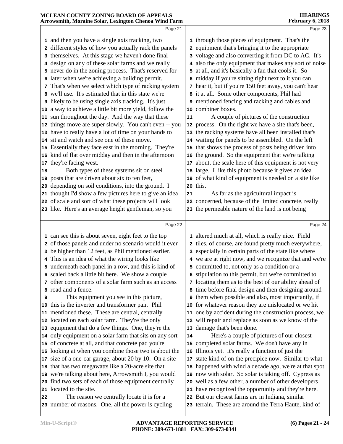## **MCLEAN COUNTY ZONING BOARD OF APPEALS Arrowsmith, Moraine Solar, Lexington Chenoa Wind Farm** Page 21 and then you have a single axis tracking, two different styles of how you actually rack the panels themselves. At this stage we haven't done final design on any of these solar farms and we really

- never do in the zoning process. That's reserved for **5**
- later when we're achieving a building permit.
- That's when we select which type of racking system
- we'll use. It's estimated that in this state we're
- likely to be using single axis tracking. It's just
- a way to achieve a little bit more yield, follow the
- sun throughout the day. And the way that these | 11
- things move are super slowly. You can't even -- you | 12 have to really have a lot of time on your hands to
- sit and watch and see one of these move.
- Essentially they face east in the morning. They're
- kind of flat over midday and then in the afternoon 16 they're facing west.
- Both types of these systems sit on steel
- posts that are driven about six to ten feet,
- 
- thought I'd show a few pictures here to give an idea
- of scale and sort of what these projects will look
- like. Here's an average height gentleman, so you
- depending on soil conditions, into the ground. I
- 
- 
- -

**HEARINGS February 6, 2018**

Page 23

- Page 22 can see this is about seven, eight feet to the top of those panels and under no scenario would it ever be higher than 12 feet, as Phil mentioned earlier. This is an idea of what the wiring looks like underneath each panel in a row, and this is kind of scaled back a little bit here. We show a couple other components of a solar farm such as an access This equipment you see in this picture, this is the inverter and transformer pair. Phil mentioned these. These are central, centrally located on each solar farm. They're the only equipment that do a few things. One, they're the only equipment on a solar farm that sits on any sort | 14 of concrete at all, and that concrete pad you're looking at when you combine those two is about the 16 size of a one-car garage, about 20 by 10. On a site 17 that has two megawatts like a 20-acre site that through those pieces of equipment. That's the equipment that's bringing it to the appropriate voltage and also converting it from DC to AC. It's also the only equipment that makes any sort of noise at all, and it's basically a fan that cools it. So midday if you're sitting right next to it you can hear it, but if you're 150 feet away, you can't hear it at all. Some other components, Phil had mentioned fencing and racking and cables and combiner boxes. A couple of pictures of the construction process. On the right we have a site that's been, the racking systems have all been installed that's waiting for panels to be assembled. On the left that shows the process of posts being driven into the ground. So the equipment that we're talking about, the scale here of this equipment is not very large. I like this photo because it gives an idea of what kind of equipment is needed on a site like this. As far as the agricultural impact is concerned, because of the limited concrete, really the permeable nature of the land is not being Page 24 altered much at all, which is really nice. Field tiles, of course, are found pretty much everywhere, especially in certain parts of the state like where we are at right now, and we recognize that and we're committed to, not only as a condition or a stipulation to this permit, but we're committed to locating them as to the best of our ability ahead of time before final design and then designing around them when possible and also, most importantly, if for whatever reason they are mislocated or we hit one by accident during the construction process, we will repair and replace as soon as we know of the damage that's been done. Here's a couple of pictures of our closest completed solar farms. We don't have any in Illinois yet. It's really a function of just the state kind of on the precipice now. Similar to what
	- happened with wind a decade ago, we're at that spot
- we're talking about here, Arrowsmith I, you would | 19 now with solar. So solar is taking off. Cypress as
- find two sets of each of those equipment centrally well as a few other, a number of other developers
	- have recognized the opportunity and they're here.
	- But our closest farms are in Indiana, similar
	- terrain. These are around the Terra Haute, kind of

located to the site.

 The reason we centrally locate it is for a number of reasons. One, all the power is cycling

road and a fence.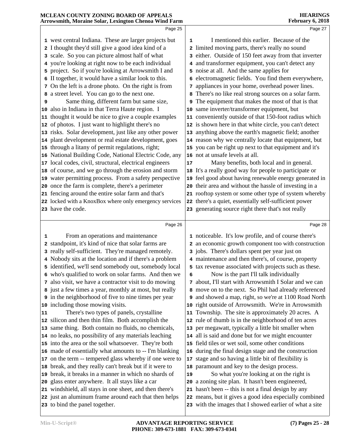|                            | MCLEAN COUNTY ZONING BOARD OF APPEALS<br>Arrowsmith, Moraine Solar, Lexington Chenoa Wind Farm |    | <b>HEARINGS</b><br><b>February 6, 2018</b>                                                                        |
|----------------------------|------------------------------------------------------------------------------------------------|----|-------------------------------------------------------------------------------------------------------------------|
|                            | Page 25                                                                                        |    | Page 27                                                                                                           |
|                            |                                                                                                |    |                                                                                                                   |
|                            | 1 west central Indiana. These are larger projects but                                          | 1  | I mentioned this earlier. Because of the                                                                          |
|                            | 2 I thought they'd still give a good idea kind of a                                            |    | 2 limited moving parts, there's really no sound                                                                   |
|                            | 3 scale. So you can picture almost half of what                                                |    | 3 either. Outside of 150 feet away from that inverter                                                             |
|                            | 4 you're looking at right now to be each individual                                            |    | 4 and transformer equipment, you can't detect any                                                                 |
|                            | 5 project. So if you're looking at Arrowsmith I and                                            |    | 5 noise at all. And the same applies for                                                                          |
|                            | 6 II together, it would have a similar look to this.                                           |    | 6 electromagnetic fields. You find them everywhere,                                                               |
|                            | 7 On the left is a drone photo. On the right is from                                           |    | 7 appliances in your home, overhead power lines.                                                                  |
|                            | 8 a street level. You can go to the next one.                                                  |    | 8 There's no like real strong sources on a solar farm.                                                            |
| 9                          | Same thing, different farm but same size,                                                      |    | <b>9</b> The equipment that makes the most of that is that                                                        |
| 10                         | also in Indiana in that Terra Haute region. I                                                  |    | 10 same inverter/transformer equipment, but                                                                       |
| 11                         | thought it would be nice to give a couple examples                                             |    | 11 conveniently outside of that 150-foot radius which                                                             |
| 12                         | of photos. I just want to highlight there's no                                                 |    | 12 is shown here in that white circle, you can't detect                                                           |
| 13                         | risks. Solar development, just like any other power                                            |    | 13 anything above the earth's magnetic field; another                                                             |
| 14                         | plant development or real estate development, goes                                             |    | 14 reason why we centrally locate that equipment, but                                                             |
| 15                         | through a litany of permit regulations, right;                                                 |    | 15 you can be right up next to that equipment and it's                                                            |
| 16                         | National Building Code, National Electric Code, any                                            |    | 16 not at unsafe levels at all.                                                                                   |
| 17                         | local codes, civil, structural, electrical engineers                                           | 17 | Many benefits, both local and in general.                                                                         |
| 18                         | of course, and we go through the erosion and storm                                             |    | 18 It's a really good way for people to participate or                                                            |
| 19                         | water permitting process. From a safety perspective                                            |    | 19 feel good about having renewable energy generated in                                                           |
| 20                         | once the farm is complete, there's a perimeter                                                 |    | 20 their area and without the hassle of investing in a                                                            |
| 21                         | fencing around the entire solar farm and that's                                                |    | 21 rooftop system or some other type of system whereby                                                            |
|                            | 22 locked with a KnoxBox where only emergency services                                         |    | 22 there's a quiet, essentially self-sufficient power                                                             |
|                            | 23 have the code.                                                                              |    | 23 generating source right there that's not really                                                                |
|                            | Page 26                                                                                        |    | Page 28                                                                                                           |
| 1                          | From an operations and maintenance                                                             |    | 1 noticeable. It's low profile, and of course there's                                                             |
|                            |                                                                                                |    |                                                                                                                   |
|                            |                                                                                                |    |                                                                                                                   |
|                            | 2 standpoint, it's kind of nice that solar farms are                                           |    | 2 an economic growth component too with construction                                                              |
|                            | 3 really self-sufficient. They're managed remotely.                                            |    | 3 jobs. There's dollars spent per year just on                                                                    |
|                            | 4 Nobody sits at the location and if there's a problem                                         |    | 4 maintenance and then there's, of course, property                                                               |
|                            | 5 identified, we'll send somebody out, somebody local                                          |    | 5 tax revenue associated with projects such as these.                                                             |
|                            | who's qualified to work on solar farms. And then we                                            | 6  | Now is the part I'll talk individually                                                                            |
|                            | 7 also visit, we have a contractor visit to do mowing                                          |    | 7 about, I'll start with Arrowsmith I Solar and we can                                                            |
|                            | 8 just a few times a year, monthly at most, but really                                         |    | 8 move on to the next. So Phil had already referenced                                                             |
|                            | <b>9</b> in the neighborhood of five to nine times per year                                    |    | 9 and showed a map, right, so we're at 1100 Road North                                                            |
|                            | 10 including those mowing visits.                                                              |    | 10 right outside of Arrowsmith. We're in Arrowsmith                                                               |
|                            | There's two types of panels, crystalline                                                       |    | 11 Township. The site is approximately 20 acres. A                                                                |
|                            | silicon and then thin film. Both accomplish the                                                |    | 12 rule of thumb is in the neighborhood of ten acres                                                              |
|                            | same thing. Both contain no fluids, no chemicals,                                              |    | 13 per megawatt, typically a little bit smaller when                                                              |
|                            | 14 no leaks, no possibility of any materials leaching                                          |    | 14 all is said and done but for we might encounter                                                                |
|                            | 15 into the area or the soil whatsoever. They're both                                          |    | 15 field tiles or wet soil, some other conditions                                                                 |
|                            | 16 made of essentially what amounts to -- I'm blanking                                         |    | 16 during the final design stage and the construction                                                             |
|                            | 17 on the term -- tempered glass whereby if one were to                                        |    | 17 stage and so having a little bit of flexibility is                                                             |
|                            | break, and they really can't break but if it were to                                           |    | 18 paramount and key to the design process.                                                                       |
| 11<br>12<br>13<br>18<br>19 | break, it breaks in a manner in which no shards of                                             | 19 | So what you're looking at on the right is                                                                         |
|                            | glass enter anywhere. It all stays like a car                                                  |    | 20 a zoning site plan. It hasn't been engineered,                                                                 |
| 20                         | 21 windshield, all stays in one sheet, and then there's                                        |    | 21 hasn't been -- this is not a final design by any                                                               |
|                            | 22 just an aluminum frame around each that then helps<br>23 to bind the panel together.        |    | 22 means, but it gives a good idea especially combined<br>23 with the images that I showed earlier of what a site |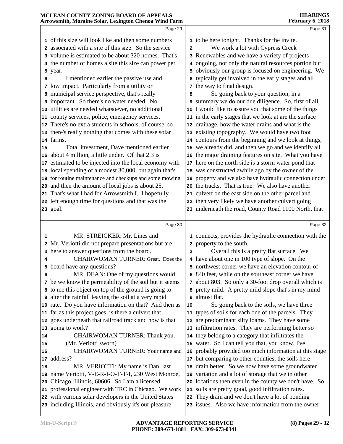| Arrowsmith, Moraine Solar, Lexington Chenoa Wind Farm |                                                                                                                 |                         | <b>February 6, 2018</b>                                                                                |
|-------------------------------------------------------|-----------------------------------------------------------------------------------------------------------------|-------------------------|--------------------------------------------------------------------------------------------------------|
|                                                       | Page 29                                                                                                         |                         | Page 31                                                                                                |
|                                                       | 1 of this size will look like and then some numbers                                                             |                         | 1 to be here tonight. Thanks for the invite.                                                           |
|                                                       | 2 associated with a site of this size. So the service                                                           | $\overline{\mathbf{2}}$ | We work a lot with Cypress Creek                                                                       |
|                                                       | 3 volume is estimated to be about 320 homes. That's                                                             |                         | 3 Renewables and we have a variety of projects                                                         |
|                                                       | 4 the number of homes a site this size can power per                                                            |                         | 4 ongoing, not only the natural resources portion but                                                  |
|                                                       | 5 year.                                                                                                         |                         | 5 obviously our group is focused on engineering. We                                                    |
| 6                                                     | I mentioned earlier the passive use and                                                                         |                         | 6 typically get involved in the early stages and all                                                   |
|                                                       | 7 low impact. Particularly from a utility or                                                                    |                         | 7 the way to final design.                                                                             |
|                                                       | 8 municipal service perspective, that's really                                                                  | 8                       | So going back to your question, in a                                                                   |
|                                                       | 9 important. So there's no water needed. No                                                                     |                         | 9 summary we do our due diligence. So, first of all,                                                   |
|                                                       | 10 utilities are needed whatsoever, no additional                                                               |                         | 10 I would like to assure you that some of the things                                                  |
|                                                       | 11 county services, police, emergency services.                                                                 |                         | 11 in the early stages that we look at are the surface                                                 |
|                                                       | 12 There's no extra students in schools, of course, so                                                          |                         | 12 drainage, how the water drains and what is the                                                      |
|                                                       | 13 there's really nothing that comes with these solar                                                           |                         | 13 existing topography. We would have two foot                                                         |
|                                                       | 14 farms.                                                                                                       |                         | 14 contours from the beginning and we look at things,                                                  |
| 15                                                    | Total investment, Dave mentioned earlier                                                                        |                         | 15 we already did, and then we go and we identify all                                                  |
| 16                                                    | about 4 million, a little under. Of that 2.3 is                                                                 |                         | 16 the major draining features on site. What you have                                                  |
| 17                                                    | estimated to be injected into the local economy with                                                            |                         | 17 here on the north side is a storm water pond that                                                   |
|                                                       | 18 local spending of a modest 30,000, but again that's                                                          |                         | 18 was constructed awhile ago by the owner of the                                                      |
|                                                       | 19 for routine maintenance and checkups and some mowing                                                         |                         | 19 property and we also have hydraulic connection under                                                |
| 20                                                    | and then the amount of local jobs is about 25.                                                                  |                         | 20 the tracks. That is true. We also have another                                                      |
|                                                       | 21 That's what I had for Arrowsmith I. I hopefully                                                              |                         | 21 culvert on the east side on the other parcel and                                                    |
|                                                       | 22 left enough time for questions and that was the                                                              |                         | 22 then very likely we have another culvert going                                                      |
|                                                       | 23 goal.                                                                                                        |                         | 23 underneath the road, County Road 1100 North, that                                                   |
|                                                       |                                                                                                                 |                         |                                                                                                        |
|                                                       |                                                                                                                 |                         |                                                                                                        |
|                                                       | Page 30                                                                                                         |                         | Page 32                                                                                                |
| 1                                                     | MR. STREICKER: Mr. Lines and                                                                                    |                         | 1 connects, provides the hydraulic connection with the                                                 |
|                                                       | 2 Mr. Veriotti did not prepare presentations but are                                                            |                         | 2 property to the south.                                                                               |
|                                                       | 3 here to answer questions from the board.                                                                      | 3                       | Overall this is a pretty flat surface. We                                                              |
| 4                                                     | <b>CHAIRWOMAN TURNER: Great. Does the</b>                                                                       |                         | 4 have about one in 100 type of slope. On the                                                          |
|                                                       | 5 board have any questions?                                                                                     |                         | 5 northwest corner we have an elevation contour of                                                     |
| 6                                                     | MR. DEAN: One of my questions would                                                                             |                         | 6 840 feet, while on the southeast corner we have                                                      |
|                                                       | 7 be we know the permeability of the soil but it seems                                                          |                         | 7 about 803. So only a 30-foot drop overall which is                                                   |
|                                                       | 8 to me this object on top of the ground is going to                                                            |                         | 8 pretty mild. A pretty mild slope that's in my mind                                                   |
|                                                       | <b>9</b> alter the rainfall leaving the soil at a very rapid                                                    |                         | 9 almost flat.                                                                                         |
|                                                       | 10 rate. Do you have information on that? And then as                                                           | 10                      | So going back to the soils, we have three                                                              |
|                                                       | 11 far as this project goes, is there a culvert that                                                            |                         | 11 types of soils for each one of the parcels. They                                                    |
| 12                                                    | goes underneath that railroad track and how is that                                                             |                         | 12 are predominant silty loams. They have some                                                         |
| 13                                                    | going to work?                                                                                                  |                         | 13 infiltration rates. They are performing better so                                                   |
| 14                                                    | CHAIRWOMAN TURNER: Thank you.                                                                                   |                         | 14 they belong to a category that infiltrates the                                                      |
| 15                                                    | (Mr. Veriotti sworn)                                                                                            |                         | 15 water. So I can tell you that, you know, I've                                                       |
| 16                                                    | CHAIRWOMAN TURNER: Your name and                                                                                |                         | 16 probably provided too much information at this stage                                                |
| 17                                                    | address?                                                                                                        |                         | 17 but comparing to other counties, the soils here                                                     |
| 18                                                    | MR. VERIOTTI: My name is Dan, last                                                                              |                         | 18 drain better. So we now have some groundwater                                                       |
| 19                                                    | name Veriotti, V-E-R-I-O-T-T-I, 230 West Monroe,                                                                |                         | 19 variation and a lot of storage that we in other                                                     |
| 20                                                    | Chicago, Illinois, 60606. So I am a licensed                                                                    |                         | 20 locations then even in the county we don't have. So                                                 |
|                                                       | 21 professional engineer with TRC in Chicago. We work                                                           |                         | 21 soils are pretty good, good infiltration rates.                                                     |
|                                                       | 22 with various solar developers in the United States<br>23 including Illinois, and obviously it's our pleasure |                         | 22 They drain and we don't have a lot of ponding<br>23 issues. Also we have information from the owner |

**MCLEAN COUNTY ZONING BOARD OF APPEALS** 

**HEARINGS**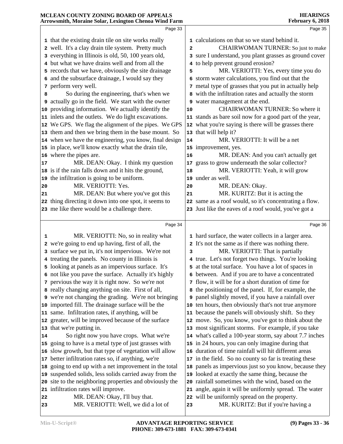#### **MCLEAN COUNTY ZONING BOARD OF APPEALS Arrowsmith, Moraine Solar, Lexington Chenoa Wind Farm HEARINGS February 6, 2018** Page 33 that the existing drain tile on site works really well. It's a clay drain tile system. Pretty much everything in Illinois is old, 50, 100 years old, but what we have drains well and from all the **5** records that we have, obviously the site drainage  $\begin{vmatrix} 5 \end{vmatrix}$  and the subsurface drainage, I would say they perform very well. So during the engineering, that's when we actually go in the field. We start with the owner providing information. We actually identify the inlets and the outlets. We do light excavations. We GPS. We flag the alignment of the pipes. We GPS 12 them and then we bring them in the base mount. So | 13 when we have the engineering, you know, final design | 14 in place, we'll know exactly what the drain tile, where the pipes are. MR. DEAN: Okay. I think my question 17 is if the rain falls down and it hits the ground, the infiltration is going to be uniform. MR. VERIOTTI: Yes. MR. DEAN: But where you've got this thing directing it down into one spot, it seems to me like there would be a challenge there. Page 34 MR. VERIOTTI: No, so in reality what we're going to end up having, first of all, the surface we put in, it's not impervious. We're not treating the panels. No county in Illinois is looking at panels as an impervious surface. It's not like you pave the surface. Actually it's highly pervious the way it is right now. So we're not really changing anything on site. First of all, we're not changing the grading. We're not bringing imported fill. The drainage surface will be the same. Infiltration rates, if anything, will be greater, will be improved because of the surface | 12 that we're putting in. So right now you have crops. What we're **15** going to have is a metal type of just grasses with  $\vert$  15 slow growth, but that type of vegetation will allow | 16 better infiltration rates so, if anything, we're going to end up with a net improvement in the total | **18**  suspended solids, less solids carried away from the site to the neighboring properties and obviously the 20 infiltration rates will improve. MR. DEAN: Okay, I'll buy that. Page 35 calculations on that so we stand behind it. CHAIRWOMAN TURNER: So just to make sure I understand, you plant grasses as ground cover to help prevent ground erosion? MR. VERIOTTI: Yes, every time you do storm water calculations, you find out that the metal type of grasses that you put in actually help with the infiltration rates and actually the storm water management at the end. CHAIRWOMAN TURNER: So where it stands as bare soil now for a good part of the year, what you're saying is there will be grasses there that will help it? MR. VERIOTTI: It will be a net improvement, yes. MR. DEAN: And you can't actually get grass to grow underneath the solar collector? MR. VERIOTTI: Yeah, it will grow under as well. MR. DEAN: Okay. MR. KURITZ: But it is acting the same as a roof would, so it's concentrating a flow. Just like the eaves of a roof would, you've got a Page 36 hard surface, the water collects in a larger area. It's not the same as if there was nothing there. MR. VERIOTTI: That is partially true. Let's not forget two things. You're looking at the total surface. You have a lot of spaces in between. And if you are to have a concentrated flow, it will be for a short duration of time for the positioning of the panel. If, for example, the panel slightly moved, if you have a rainfall over ten hours, then obviously that's not true anymore because the panels will obviously shift. So they move. So, you know, you've got to think about the most significant storms. For example, if you take what's called a 100-year storm, say about 7.7 inches in 24 hours, you can only imagine during that duration of time rainfall will hit different areas in the field. So no county so far is treating these panels as impervious just so you know, because they looked at exactly the same thing, because the rainfall sometimes with the wind, based on the angle, again it will be uniformly spread. The water will be uniformly spread on the property.

MR. VERIOTTI: Well, we did a lot of

MR. KURITZ: But if you're having a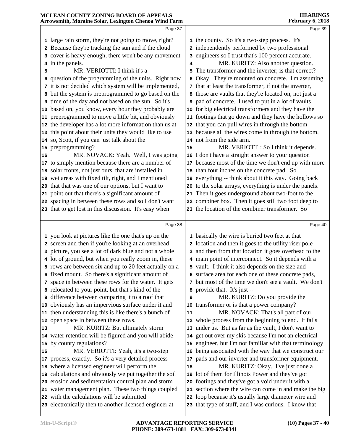| MCLEAN COUNTY ZONING BOARD OF APPEALS<br>Arrowsmith, Moraine Solar, Lexington Chenoa Wind Farm |                                                                                 |    | <b>HEARINGS</b><br>February 6, 2018                                                                               |
|------------------------------------------------------------------------------------------------|---------------------------------------------------------------------------------|----|-------------------------------------------------------------------------------------------------------------------|
|                                                                                                | Page 37                                                                         |    | Page 39                                                                                                           |
|                                                                                                | 1 large rain storm, they're not going to move, right?                           |    | 1 the county. So it's a two-step process. It's                                                                    |
|                                                                                                | Because they're tracking the sun and if the cloud                               |    | 2 independently performed by two professional                                                                     |
|                                                                                                | 3 cover is heavy enough, there won't be any movement                            |    | 3 engineers so I trust that's 100 percent accurate.                                                               |
|                                                                                                | 4 in the panels.                                                                | 4  | MR. KURITZ: Also another question.                                                                                |
| 5                                                                                              | MR. VERIOTTI: I think it's a                                                    | 5  | The transformer and the inverter; is that correct?                                                                |
| 6                                                                                              | question of the programming of the units. Right now                             |    | 6 Okay. They're mounted on concrete. I'm assuming                                                                 |
|                                                                                                | 7 it is not decided which system will be implemented,                           |    | 7 that at least the transformer, if not the inverter,                                                             |
|                                                                                                | 8 but the system is preprogrammed to go based on the                            |    | 8 those are vaults that they're located on, not just a                                                            |
| 9                                                                                              | time of the day and not based on the sun. So it's                               |    | <b>9</b> pad of concrete. I used to put in a lot of vaults                                                        |
| 10                                                                                             | based on, you know, every hour they probably are                                |    | 10 for big electrical transformers and they have the                                                              |
| 11                                                                                             | preprogrammed to move a little bit, and obviously                               |    | 11 footings that go down and they have the hollows so                                                             |
| 12                                                                                             | the developer has a lot more information than us at                             |    | 12 that you can pull wires in through the bottom                                                                  |
| 13                                                                                             | this point about their units they would like to use                             |    | 13 because all the wires come in through the bottom,                                                              |
| 14                                                                                             | so, Scott, if you can just talk about the                                       |    | 14 not from the side arm.                                                                                         |
| 15                                                                                             | preprogramming?                                                                 | 15 | MR. VERIOTTI: So I think it depends.                                                                              |
| 16                                                                                             | MR. NOVACK: Yeah. Well, I was going                                             |    | 16 I don't have a straight answer to your question                                                                |
| 17                                                                                             | to simply mention because there are a number of                                 |    | 17 because most of the time we don't end up with more                                                             |
| 18                                                                                             | solar fronts, not just ours, that are installed in                              |    | 18 than four inches on the concrete pad. So                                                                       |
| 19                                                                                             | wet areas with fixed tilt, right, and I mentioned                               |    | 19 everything -- think about it this way. Going back                                                              |
| 20                                                                                             | that that was one of our options, but I want to                                 |    | 20 to the solar arrays, everything is under the panels.                                                           |
| 21                                                                                             | point out that there's a significant amount of                                  |    | 21 Then it goes underground about two-foot to the                                                                 |
| 22                                                                                             | spacing in between these rows and so I don't want                               |    | 22 combiner box. Then it goes still two foot deep to<br>23 the location of the combiner transformer. So           |
|                                                                                                | 23 that to get lost in this discussion. It's easy when                          |    |                                                                                                                   |
|                                                                                                | Page 38                                                                         |    | Page 40                                                                                                           |
|                                                                                                | 1 you look at pictures like the one that's up on the                            |    | 1 basically the wire is buried two feet at that                                                                   |
|                                                                                                | 2 screen and then if you're looking at an overhead                              |    | 2 location and then it goes to the utility riser pole                                                             |
|                                                                                                | 3 picture, you see a lot of dark blue and not a whole                           |    | 3 and then from that location it goes overhead to the                                                             |
|                                                                                                | 4 lot of ground, but when you really zoom in, these                             |    | 4 main point of interconnect. So it depends with a                                                                |
|                                                                                                | 5 rows are between six and up to 20 feet actually on a                          |    | 5 vault. I think it also depends on the size and                                                                  |
| 6                                                                                              | fixed mount. So there's a significant amount of                                 |    | 6 surface area for each one of these concrete pads,                                                               |
|                                                                                                | 7 space in between these rows for the water. It gets                            |    | 7 but most of the time we don't see a vault. We don't                                                             |
|                                                                                                | 8 relocated to your point, but that's kind of the                               | 8  | provide that. It's just --                                                                                        |
| 9                                                                                              | difference between comparing it to a roof that                                  | 9  | MR. KURITZ: Do you provide the                                                                                    |
| 10                                                                                             | obviously has an impervious surface under it and                                |    | 10 transformer or is that a power company?                                                                        |
| 11                                                                                             | then understanding this is like there's a bunch of                              | 11 | MR. NOVACK: That's all part of our                                                                                |
| 12                                                                                             | open space in between these rows.                                               |    | 12 whole process from the beginning to end. It falls                                                              |
| 13                                                                                             | MR. KURITZ: But ultimately storm                                                |    | 13 under us. But as far as the vault, I don't want to                                                             |
|                                                                                                | 14 water retention will be figured and you will abide<br>by county regulations? |    | 14 get out over my skis because I'm not an electrical                                                             |
| 15                                                                                             | MR. VERIOTTI: Yeah, it's a two-step                                             |    | 15 engineer, but I'm not familiar with that terminology<br>16 being associated with the way that we construct our |
| 16<br>17                                                                                       | process, exactly. So it's a very detailed process                               | 17 | pads and our inverter and transformer equipment.                                                                  |
| 18                                                                                             | where a licensed engineer will perform the                                      | 18 | MR. KURITZ: Okay. I've just done a                                                                                |
| 19                                                                                             | calculations and obviously we put together the soil                             |    | 19 lot of them for Illinois Power and they've got                                                                 |
| 20                                                                                             | erosion and sedimentation control plan and storm                                |    | 20 footings and they've got a void under it with a                                                                |
|                                                                                                | 21 water management plan. These two things coupled                              |    | 21 section where the wire can come in and make the big                                                            |
|                                                                                                | 22 with the calculations will be submitted                                      |    | 22 loop because it's usually large diameter wire and                                                              |
|                                                                                                | 23 electronically then to another licensed engineer at                          |    | 23 that type of stuff, and I was curious. I know that                                                             |
|                                                                                                |                                                                                 |    |                                                                                                                   |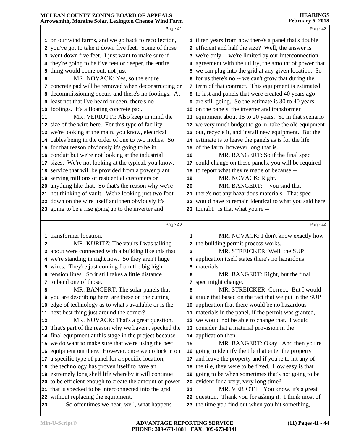|    | Arrowsmith, Moraine Solar, Lexington Chenoa Wind Farm                                                            |    | February 6, 2018                                                               |  |
|----|------------------------------------------------------------------------------------------------------------------|----|--------------------------------------------------------------------------------|--|
|    | Page 41                                                                                                          |    | Page 43                                                                        |  |
|    | 1 on our wind farms, and we go back to recollection,                                                             |    | 1 if ten years from now there's a panel that's double                          |  |
|    | 2 you've got to take it down five feet. Some of those                                                            |    | 2 efficient and half the size? Well, the answer is                             |  |
|    | 3 went down five feet. I just want to make sure if                                                               |    | 3 we're only -- we're limited by our interconnection                           |  |
|    | 4 they're going to be five feet or deeper, the entire                                                            |    | 4 agreement with the utility, the amount of power that                         |  |
|    | 5 thing would come out, not just --                                                                              |    | 5 we can plug into the grid at any given location. So                          |  |
| 6  | MR. NOVACK: Yes, so the entire                                                                                   |    | 6 for us there's no -- we can't grow that during the                           |  |
|    | 7 concrete pad will be removed when deconstructing or                                                            |    | 7 term of that contract. This equipment is estimated                           |  |
|    | 8 decommissioning occurs and there's no footings. At                                                             |    | 8 to last and panels that were created 40 years ago                            |  |
|    | 9 least not that I've heard or seen, there's no                                                                  |    | 9 are still going. So the estimate is 30 to 40 years                           |  |
|    | 10 footings. It's a floating concrete pad.                                                                       |    | 10 on the panels, the inverter and transformer                                 |  |
| 11 | MR. VERIOTTI: Also keep in mind the                                                                              |    | 11 equipment about 15 to 20 years. So in that scenario                         |  |
|    | 12 size of the wire here. For this type of facility                                                              |    | 12 we very much budget to go in, take the old equipment                        |  |
|    | 13 we're looking at the main, you know, electrical                                                               |    | 13 out, recycle it, and install new equipment. But the                         |  |
|    | 14 cables being in the order of one to two inches. So                                                            |    | 14 estimate is to leave the panels as is for the life                          |  |
|    | 15 for that reason obviously it's going to be in                                                                 |    | 15 of the farm, however long that is.                                          |  |
|    | 16 conduit but we're not looking at the industrial                                                               | 16 | MR. BANGERT: So if the final spec                                              |  |
|    | 17 sizes. We're not looking at the typical, you know,                                                            |    | 17 could change on these panels, you will be required                          |  |
|    | 18 service that will be provided from a power plant                                                              |    | 18 to report what they're made of because --                                   |  |
|    | 19 serving millions of residential customers or                                                                  | 19 | MR. NOVACK: Right.                                                             |  |
|    | 20 anything like that. So that's the reason why we're                                                            | 20 | MR. BANGERT: -- you said that                                                  |  |
|    | 21 not thinking of vault. We're looking just two foot                                                            |    | 21 there's not any hazardous materials. That spec                              |  |
|    | 22 down on the wire itself and then obviously it's                                                               |    | 22 would have to remain identical to what you said here                        |  |
|    | 23 going to be a rise going up to the inverter and                                                               |    | 23 tonight. Is that what you're --                                             |  |
|    | Page 42                                                                                                          |    | Page 44                                                                        |  |
|    |                                                                                                                  |    |                                                                                |  |
|    | 1 transformer location.                                                                                          | 1  | MR. NOVACK: I don't know exactly how                                           |  |
| 2  | MR. KURITZ: The vaults I was talking                                                                             |    | 2 the building permit process works.                                           |  |
|    | 3 about were connected with a building like this that                                                            | 3  | MR. STREICKER: Well, the SUP                                                   |  |
|    | 4 we're standing in right now. So they aren't huge                                                               |    | 4 application itself states there's no hazardous                               |  |
|    | 5 wires. They're just coming from the big high                                                                   |    | 5 materials.                                                                   |  |
|    | 6 tension lines. So it still takes a little distance                                                             | 6  | MR. BANGERT: Right, but the final                                              |  |
|    | 7 to bend one of those.                                                                                          |    | 7 spec might change.                                                           |  |
| 8  | MR. BANGERT: The solar panels that                                                                               | 8  | MR. STREICKER: Correct. But I would                                            |  |
|    | 9 you are describing here, are these on the cutting                                                              |    | 9 argue that based on the fact that we put in the SUP                          |  |
|    | 10 edge of technology as to what's available or is the                                                           |    | 10 application that there would be no hazardous                                |  |
|    | 11 next best thing just around the corner?                                                                       |    | 11 materials in the panel, if the permit was granted,                          |  |
| 12 | MR. NOVACK: That's a great question.                                                                             |    | 12 we would not be able to change that. I would                                |  |
|    | 13 That's part of the reason why we haven't specked the                                                          |    | 13 consider that a material provision in the                                   |  |
|    | 14 final equipment at this stage in the project because                                                          |    | 14 application then.                                                           |  |
|    | 15 we do want to make sure that we're using the best                                                             | 15 | MR. BANGERT: Okay. And then you're                                             |  |
|    | 16 equipment out there. However, once we do lock in on                                                           | 16 | going to identify the tile that enter the property                             |  |
|    | 17 a specific type of panel for a specific location,                                                             |    | 17 and leave the property and if you're to hit any of                          |  |
|    | 18 the technology has proven itself to have an                                                                   | 18 | the tile, they were to be fixed. How easy is that                              |  |
|    | 19 extremely long shelf life whereby it will continue                                                            | 19 | going to be when sometimes that's not going to be                              |  |
|    | 20 to be efficient enough to create the amount of power<br>21 that is specked to be interconnected into the grid |    | 20 evident for a very, very long time?<br>MR. VERIOTTI: You know, it's a great |  |
|    | 22 without replacing the equipment.                                                                              | 21 | 22 question. Thank you for asking it. I think most of                          |  |
| 23 | So oftentimes we hear, well, what happens                                                                        |    | 23 the time you find out when you hit something,                               |  |
|    |                                                                                                                  |    |                                                                                |  |

**MCLEAN COUNTY ZONING BOARD OF APPEALS** 

**HEARINGS**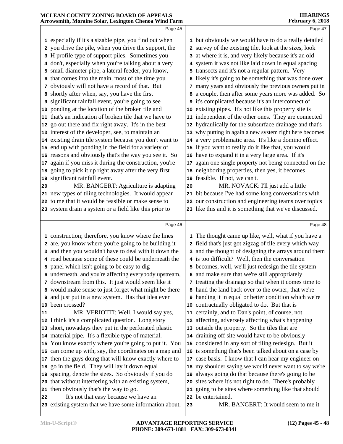| MCLEAN COUNTY ZONING BOARD OF APPEALS<br>Arrowsmith, Moraine Solar, Lexington Chenoa Wind Farm |                 | <b>HEARINGS</b><br>February 6, 2018                                      |
|------------------------------------------------------------------------------------------------|-----------------|--------------------------------------------------------------------------|
| Page 45                                                                                        |                 | Page 47                                                                  |
| 1 especially if it's a sizable pipe, you find out when                                         |                 | 1 but obviously we would have to do a really detailed                    |
| 2 you drive the pile, when you drive the support, the                                          |                 | 2 survey of the existing tile, look at the sizes, look                   |
| 3 H profile type of support piles. Sometimes you                                               |                 | 3 at where it is, and very likely because it's an old                    |
| 4 don't, especially when you're talking about a very                                           |                 | 4 system it was not like laid down in equal spacing                      |
| 5 small diameter pipe, a lateral feeder, you know,                                             |                 | 5 transects and it's not a regular pattern. Very                         |
| 6 that comes into the main, most of the time you                                               |                 | 6 likely it's going to be something that was done over                   |
| 7 obviously will not have a record of that. But                                                |                 | 7 many years and obviously the previous owners put in                    |
| 8 shortly after when, say, you have the first                                                  |                 | 8 a couple, then after some years more was added. So                     |
| significant rainfall event, you're going to see<br>9                                           |                 | <b>9</b> it's complicated because it's an interconnect of                |
| ponding at the location of the broken tile and<br>10                                           |                 | 10 existing pipes. It's not like this property site is                   |
| that's an indication of broken tile that we have to<br>11                                      |                 | 11 independent of the other ones. They are connected                     |
| go out there and fix right away. It's in the best<br>12                                        |                 | 12 hydraulically for the subsurface drainage and that's                  |
| 13 interest of the developer, see, to maintain an                                              |                 | 13 why putting in again a new system right here becomes                  |
| 14 existing drain tile system because you don't want to                                        |                 | 14 a very problematic area. It's like a domino effect.                   |
| 15 end up with ponding in the field for a variety of                                           |                 | 15 If you want to really do it like that, you would                      |
| reasons and obviously that's the way you see it. So<br>16                                      |                 | 16 have to expand it in a very large area. If it's                       |
| again if you miss it during the construction, you're<br>17                                     | 17 <sub>2</sub> | again one single property not being connected on the                     |
| going to pick it up right away after the very first<br>18                                      |                 | 18 neighboring properties, then yes, it becomes                          |
| significant rainfall event.<br>19                                                              |                 | 19 feasible. If not, we can't.                                           |
| MR. BANGERT: Agriculture is adapting<br>20                                                     | 20              | MR. NOVACK: I'll just add a little                                       |
| 21 new types of tiling technologies. It would appear                                           |                 | 21 bit because I've had some long conversations with                     |
| 22 to me that it would be feasible or make sense to                                            |                 | 22 our construction and engineering teams over topics                    |
| 23 system drain a system or a field like this prior to                                         |                 | 23 like this and it is something that we've discussed.                   |
| Page 46                                                                                        |                 | Page 48                                                                  |
| 1 construction; therefore, you know where the lines                                            |                 | 1 The thought came up like, well, what if you have a                     |
| 2 are, you know where you're going to be building it                                           |                 | 2 field that's just got zigzag of tile every which way                   |
| 3 and then you wouldn't have to deal with it down the                                          |                 | 3 and the thought of designing the arrays around them                    |
| 4 road because some of these could be underneath the                                           |                 | 4 is too difficult? Well, then the conversation                          |
| 5 panel which isn't going to be easy to dig                                                    |                 | 5 becomes, well, we'll just redesign the tile system                     |
| 6 underneath, and you're affecting everybody upstream,                                         | 6               | and make sure that we're still appropriately                             |
| 7 downstream from this. It just would seem like it                                             |                 | 7 treating the drainage so that when it comes time to                    |
| 8 would make sense to just forget what might be there                                          |                 | 8 hand the land back over to the owner, that we're                       |
| 9 and just put in a new system. Has that idea ever                                             |                 | I handing it in equal or better condition which we're                    |
| been crossed?<br>10                                                                            |                 | 10 contractually obligated to do. But that is                            |
| MR. VERIOTTI: Well, I would say yes,<br>11                                                     |                 | 11 certainly, and to Dan's point, of course, not                         |
| I think it's a complicated question. Long story<br>12                                          |                 | 12 affecting, adversely affecting what's happening                       |
| short, nowadays they put in the perforated plastic<br>13                                       |                 | 13 outside the property. So the tiles that are                           |
| 14 material pipe. It's a flexible type of material.                                            |                 | 14 draining off site would have to be obviously                          |
| You know exactly where you're going to put it. You<br>15                                       |                 | 15 considered in any sort of tiling redesign. But it                     |
| can come up with, say, the coordinates on a map and<br>16                                      |                 | 16 is something that's been talked about on a case by                    |
| then the guys doing that will know exactly where to<br>17                                      |                 | 17 case basis. I know that I can hear my engineer on                     |
| go in the field. They will lay it down equal<br>18                                             |                 | 18 my shoulder saying we would never want to say we're                   |
| spacing, denote the sizes. So obviously if you do<br>19                                        | 19              | always going do that because there's going to be                         |
| that without interfering with an existing system,<br>20                                        | 20              | sites where it's not right to do. There's probably                       |
| then obviously that's the way to go.<br>21                                                     | 21              | going to be sites where something like that should<br>22 be entertained. |
| It's not that easy because we have an<br>22                                                    |                 | MR. BANGERT: It would seem to me it                                      |
| 23 existing system that we have some information about,                                        | 23              |                                                                          |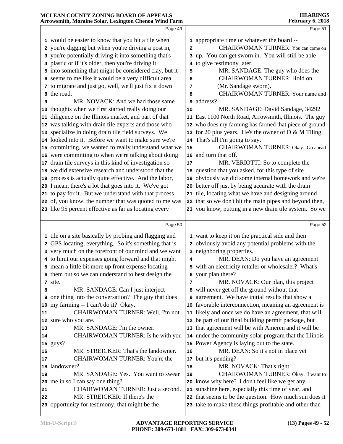#### **MCLEAN COUNTY ZONING BOARD OF APPEALS Arrowsmith, Moraine Solar, Lexington Chenoa Wind Farm HEARINGS February 6, 2018** Page 49 would be easier to know that you hit a tile when you're digging but when you're driving a post in, you're potentially driving it into something that's plastic or if it's older, then you're driving it **5** into something that might be considered clay, but it  $\begin{bmatrix} 5 \end{bmatrix}$  seems to me like it would be a very difficult area to migrate and just go, well, we'll just fix it down the road. MR. NOVACK: And we had those same 9 thoughts when we first started really doing our diligence on the Illinois market, and part of that was talking with drain tile experts and those who 12 specialize in doing drain tile field surveys. We looked into it. Before we want to make sure we're | 14 committing, we wanted to really understand what we | **15**  were committing to when we're talking about doing | 16 **17** drain tile surveys in this kind of investigation so  $\vert$  **17**  we did extensive research and understood that the process is actually quite effective. And the labor, I mean, there's a lot that goes into it. We've got to pay for it. But we understand with that process of, you know, the number that was quoted to me was like 95 percent effective as far as locating every Page 50 tile on a site basically by probing and flagging and GPS locating, everything. So it's something that is very much on the forefront of our mind and we want to limit our expenses going forward and that might mean a little bit more up front expense locating them but so we can understand to best design the site. MR. SANDAGE: Can I just interject one thing into the conversation? The guy that does **9**  my farming -- I can't do it? Okay. CHAIRWOMAN TURNER: Well, I'm not sure who you are. MR. SANDAGE: I'm the owner. CHAIRWOMAN TURNER: Is he with you | 14 guys? MR. STREICKER: That's the landowner. CHAIRWOMAN TURNER: You're the landowner? MR. SANDAGE: Yes. You want to swear me in so I can say one thing? CHAIRWOMAN TURNER: Just a second. MR. STREICKER: If there's the opportunity for testimony, that might be the Page 51 appropriate time or whatever the board -- CHAIRWOMAN TURNER: You can come on up. You can get sworn in. You will still be able to give testimony later. MR. SANDAGE: The guy who does the -- CHAIRWOMAN TURNER: Hold on. (Mr. Sandage sworn). CHAIRWOMAN TURNER: Your name and address? MR. SANDAGE: David Sandage, 34292 East 1100 North Road, Arrowsmith, Illinois. The guy who does my farming has farmed that piece of ground for 20 plus years. He's the owner of D & M Tiling. That's all I'm going to say. CHAIRWOMAN TURNER: Okay. Go ahead and turn that off. MR. VERIOTTI: So to complete the question that you asked, for this type of site obviously we did some internal homework and we're better off just by being accurate with the drain tile, locating what we have and designing around that so we don't hit the main pipes and beyond then, you know, putting in a new drain tile system. So we Page 52 want to keep it on the practical side and then obviously avoid any potential problems with the neighboring properties. MR. DEAN: Do you have an agreement with an electricity retailer or wholesaler? What's your plan there? MR. NOVACK: Our plan, this project will never get off the ground without that agreement. We have initial results that show a favorable interconnection, meaning an agreement is likely and once we do have an agreement, that will be part of our final building permit package, but that agreement will be with Ameren and it will be under the community solar program that the Illinois Power Agency is laying out to the state. MR. DEAN: So it's not in place yet but it's pending? MR. NOVACK: That's right. CHAIRWOMAN TURNER: Okay. I want to know why here? I don't feel like we get any sunshine here, especially this time of year, and that seems to be the question. How much sun does it take to make these things profitable and other than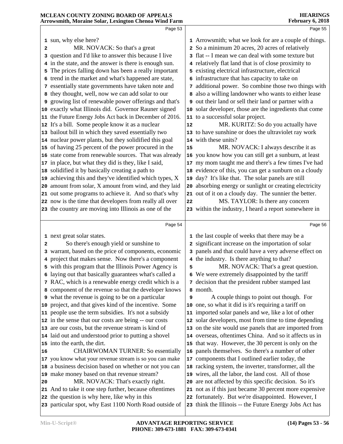|    | Page 53                                                  |    | Page 55                                                      |
|----|----------------------------------------------------------|----|--------------------------------------------------------------|
|    |                                                          |    |                                                              |
|    | 1 sun, why else here?                                    |    | 1 Arrowsmith; what we look for are a couple of things.       |
| 2  | MR. NOVACK: So that's a great                            |    | 2 So a minimum 20 acres, 20 acres of relatively              |
|    | 3 question and I'd like to answer this because I live    |    | 3 flat -- I mean we can deal with some texture but           |
|    | 4 in the state, and the answer is there is enough sun.   |    | 4 relatively flat land that is of close proximity to         |
|    | 5 The prices falling down has been a really important    |    | 5 existing electrical infrastructure, electrical             |
|    | 6 trend in the market and what's happened are state,     |    | 6 infrastructure that has capacity to take on                |
|    | 7 essentially state governments have taken note and      |    | 7 additional power. So combine those two things with         |
|    | 8 they thought, well, now we can add solar to our        |    | 8 also a willing landowner who wants to either lease         |
|    | 9 growing list of renewable power offerings and that's   |    | <b>9</b> out their land or sell their land or partner with a |
|    | 10 exactly what Illinois did. Governor Rauner signed     |    | 10 solar developer, those are the ingredients that come      |
|    | 11 the Future Energy Jobs Act back in December of 2016.  |    | 11 to a successful solar project.                            |
|    | 12 It's a bill. Some people know it as a nuclear         | 12 | MR. KURITZ: So do you actually have                          |
|    | 13 bailout bill in which they saved essentially two      |    | 13 to have sunshine or does the ultraviolet ray work         |
|    | 14 nuclear power plants, but they solidified this goal   |    | 14 with these units?                                         |
|    | 15 of having 25 percent of the power procured in the     | 15 | MR. NOVACK: I always describe it as                          |
|    | 16 state come from renewable sources. That was already   |    | 16 you know how you can still get a sunburn, at least        |
|    | 17 in place, but what they did is they, like I said,     |    | 17 my mom taught me and there's a few times I've had         |
|    | 18 solidified it by basically creating a path to         |    | 18 evidence of this, you can get a sunburn on a cloudy       |
|    | 19 achieving this and they've identified which types, X  |    | 19 day? It's like that. The solar panels are still           |
|    | 20 amount from solar, X amount from wind, and they laid  |    | 20 absorbing energy or sunlight or creating electricity      |
|    | 21 out some programs to achieve it. And so that's why    |    | 21 out of it on a cloudy day. The sunnier the better.        |
|    | 22 now is the time that developers from really all over  | 22 | MS. TAYLOR: Is there any concern                             |
|    | 23 the country are moving into Illinois as one of the    |    | 23 within the industry, I heard a report somewhere in        |
|    |                                                          |    |                                                              |
|    | Page 54                                                  |    | Page 56                                                      |
|    | 1 next great solar states.                               |    | 1 the last couple of weeks that there may be a               |
| 2  | So there's enough yield or sunshine to                   |    | 2 significant increase on the importation of solar           |
|    | 3 warrant, based on the price of components, economic    |    | 3 panels and that could have a very adverse effect on        |
|    | 4 project that makes sense. Now there's a component      |    | 4 the industry. Is there anything to that?                   |
|    | 5 with this program that the Illinois Power Agency is    | 5  | MR. NOVACK: That's a great question.                         |
|    | 6 laying out that basically guarantees what's called a   |    | 6 We were extremely disappointed by the tariff               |
|    | 7 RAC, which is a renewable energy credit which is a     |    | 7 decision that the president rubber stamped last            |
|    | 8 component of the revenue so that the developer knows   |    | 8 month.                                                     |
|    | <b>9</b> what the revenue is going to be on a particular | 9  | A couple things to point out though. For                     |
|    | 10 project, and that gives kind of the incentive. Some   |    | 10 one, so what it did is it's requiring a tariff on         |
|    | 11 people use the term subsidies. It's not a subsidy     |    | 11 imported solar panels and we, like a lot of other         |
|    | 12 in the sense that our costs are being -- our costs    |    | 12 solar developers, most from time to time depending        |
|    | 13 are our costs, but the revenue stream is kind of      |    | 13 on the site would use panels that are imported from       |
|    | 14 laid out and understood prior to putting a shovel     |    | 14 overseas, oftentimes China. And so it affects us in       |
|    | 15 into the earth, the dirt.                             |    | 15 that way. However, the 30 percent is only on the          |
| 16 | <b>CHAIRWOMAN TURNER: So essentially</b>                 |    | 16 panels themselves. So there's a number of other           |
|    | 17 you know what your revenue stream is so you can make  |    | 17 components that I outlined earlier today, the             |
|    | 18 a business decision based on whether or not you can   |    | 18 racking system, the inverter, transformer, all the        |
|    | 19 make money based on that revenue stream?              |    | 19 wires, all the labor, the land cost. All of those         |
| 20 | MR. NOVACK: That's exactly right.                        |    | 20 are not affected by this specific decision. So it's       |
|    | 21 And to take it one step further, because oftentimes   |    | 21 not as if this just became 30 percent more expensive      |
|    | 22 the question is why here, like why in this            |    | 22 fortunately. But we're disappointed. However, I           |
|    | 23 particular spot, why East 1100 North Road outside of  |    | 23 think the Illinois -- the Future Energy Jobs Act has      |
|    |                                                          |    |                                                              |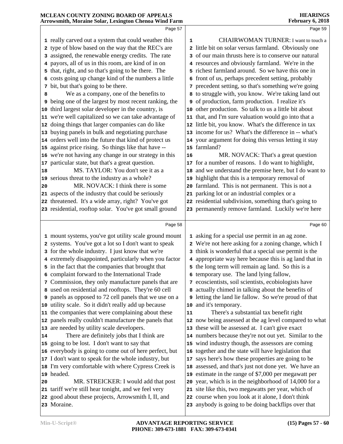|          | MCLEAN COUNTY ZONING BOARD OF APPEALS<br>Arrowsmith, Moraine Solar, Lexington Chenoa Wind Farm |    | <b>HEARINGS</b><br>February 6, 2018                                                                         |  |
|----------|------------------------------------------------------------------------------------------------|----|-------------------------------------------------------------------------------------------------------------|--|
|          | Page 57                                                                                        |    | Page 59                                                                                                     |  |
|          | 1 really carved out a system that could weather this                                           | 1  | CHAIRWOMAN TURNER: I want to touch a                                                                        |  |
|          | 2 type of blow based on the way that the REC's are                                             |    | 2 little bit on solar versus farmland. Obviously one                                                        |  |
|          | 3 assigned, the renewable energy credits. The rate                                             |    | 3 of our main thrusts here is to conserve our natural                                                       |  |
|          | 4 payors, all of us in this room, are kind of in on                                            |    | 4 resources and obviously farmland. We're in the                                                            |  |
|          | 5 that, right, and so that's going to be there. The                                            |    | 5 richest farmland around. So we have this one in                                                           |  |
|          | 6 costs going up change kind of the numbers a little                                           |    | 6 front of us, perhaps precedent setting, probably                                                          |  |
|          | 7 bit, but that's going to be there.                                                           |    | 7 precedent setting, so that's something we're going                                                        |  |
| 8        | We as a company, one of the benefits to                                                        |    | 8 to struggle with, you know. We're taking land out                                                         |  |
|          | <b>9</b> being one of the largest by most recent ranking, the                                  |    | 9 of production, farm production. I realize it's                                                            |  |
| 10       | third largest solar developer in the country, is                                               |    | 10 other production. So talk to us a little bit about                                                       |  |
| 11       | we're well capitalized so we can take advantage of                                             |    | 11 that, and I'm sure valuation would go into that a                                                        |  |
| 12       | doing things that larger companies can do like                                                 |    | 12 little bit, you know. What's the difference in tax                                                       |  |
| 13       | buying panels in bulk and negotiating purchase                                                 |    | 13 income for us? What's the difference in -- what's                                                        |  |
|          | 14 orders well into the future that kind of protect us                                         |    | 14 your argument for doing this versus letting it stay                                                      |  |
| 15       | against price rising. So things like that have --                                              |    | 15 farmland?                                                                                                |  |
| 16       | we're not having any change in our strategy in this                                            | 16 | MR. NOVACK: That's a great question                                                                         |  |
| 17       | particular state, but that's a great question.                                                 |    | 17 for a number of reasons. I do want to highlight,                                                         |  |
| 18       | MS. TAYLOR: You don't see it as a                                                              |    | 18 and we understand the premise here, but I do want to                                                     |  |
|          | 19 serious threat to the industry as a whole?                                                  |    | 19 highlight that this is a temporary removal of                                                            |  |
| 20       | MR. NOVACK: I think there is some                                                              |    | 20 farmland. This is not permanent. This is not a                                                           |  |
|          | 21 aspects of the industry that could be seriously                                             |    | 21 parking lot or an industrial complex or a                                                                |  |
|          | 22 threatened. It's a wide array, right? You've got                                            |    | 22 residential subdivision, something that's going to                                                       |  |
|          | 23 residential, rooftop solar. You've got small ground                                         |    | 23 permanently remove farmland. Luckily we're here                                                          |  |
|          | Page 58                                                                                        |    | Page 60                                                                                                     |  |
|          | 1 mount systems, you've got utility scale ground mount                                         |    | 1 asking for a special use permit in an ag zone.                                                            |  |
|          | 2 systems. You've got a lot so I don't want to speak                                           |    | 2 We're not here asking for a zoning change, which I                                                        |  |
|          | 3 for the whole industry. I just know that we're                                               |    | 3 think is wonderful that a special use permit is the                                                       |  |
|          | 4 extremely disappointed, particularly when you factor                                         |    | 4 appropriate way here because this is ag land that in                                                      |  |
|          | 5 in the fact that the companies that brought that                                             |    | 5 the long term will remain ag land. So this is a                                                           |  |
|          | 6 complaint forward to the International Trade                                                 |    | 6 temporary use. The land lying fallow,                                                                     |  |
|          | 7 Commission, they only manufacture panels that are                                            |    | 7 ecoscientists, soil scientists, ecobiologists have                                                        |  |
|          | 8 used on residential and rooftops. They're 60 cell                                            |    | 8 actually chimed in talking about the benefits of                                                          |  |
| 9        | panels as opposed to 72 cell panels that we use on a                                           |    | <b>9</b> letting the land lie fallow. So we're proud of that                                                |  |
|          | 10 utility scale. So it didn't really add up because                                           |    | 10 and it's temporary.                                                                                      |  |
| 11       | the companies that were complaining about these                                                | 11 | There's a substantial tax benefit right                                                                     |  |
| 12       | panels really couldn't manufacture the panels that                                             |    | 12 now being assessed at the ag level compared to what                                                      |  |
|          | 13 are needed by utility scale developers.<br>There are definitely jobs that I think are       |    | 13 these will be assessed at. I can't give exact                                                            |  |
| 14<br>15 | going to be lost. I don't want to say that                                                     |    | 14 numbers because they're not out yet. Similar to the<br>15 wind industry though, the assessors are coming |  |
| 16       | everybody is going to come out of here perfect, but                                            |    | 16 together and the state will have legislation that                                                        |  |
|          | 17 I don't want to speak for the whole industry, but                                           |    | 17 says here's how these properties are going to be                                                         |  |
| 18       | I'm very comfortable with where Cypress Creek is                                               |    | 18 assessed, and that's just not done yet. We have an                                                       |  |
|          | 19 headed.                                                                                     |    | 19 estimate in the range of \$7,000 per megawatt per                                                        |  |
| 20       | MR. STREICKER: I would add that post                                                           |    | 20 year, which is in the neighborhood of 14,000 for a                                                       |  |
|          | 21 tariff we're still hear tonight, and we feel very                                           |    | 21 site like this, two megawatts per year, which of                                                         |  |
|          | 22 good about these projects, Arrowsmith I, II, and                                            |    | 22 course when you look at it alone, I don't think                                                          |  |
|          | 23 Moraine.                                                                                    |    | 23 anybody is going to be doing backflips over that                                                         |  |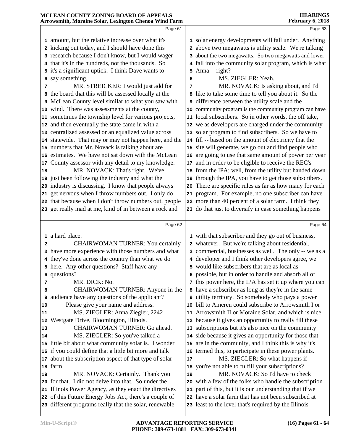#### Page 61 amount, but the relative increase over what it's kicking out today, and I should have done this research because I don't know, but I would wager that it's in the hundreds, not the thousands. So it's a significant uptick. I think Dave wants to say something. MR. STREICKER: I would just add for the board that this will be assessed locally at the McLean County level similar to what you saw with wind. There was assessments at the county, sometimes the township level for various projects, | 11 and then eventually the state came in with a centralized assessed or an equalized value across statewide. That may or may not happen here, and the | **14**  numbers that Mr. Novack is talking about are estimates. We have not sat down with the McLean County assessor with any detail to my knowledge. 17 MR. NOVACK: That's right. We've just been following the industry and what the industry is discussing. I know that people always get nervous when I throw numbers out. I only do that because when I don't throw numbers out, people get really mad at me, kind of in between a rock and Page 62 a hard place. CHAIRWOMAN TURNER: You certainly have more experience with those numbers and what they've done across the country than what we do here. Any other questions? Staff have any questions? MR. DICK: No. 8 CHAIRWOMAN TURNER: Anyone in the 8 audience have any questions of the applicant? Please give your name and address. MS. ZIEGLER: Anna Ziegler, 2242 Westgate Drive, Bloomington, Illinois. CHAIRWOMAN TURNER: Go ahead. MS. ZIEGLER: So you've talked a little bit about what community solar is. I wonder if you could define that a little bit more and talk about the subscription aspect of that type of solar | 17 farm. Page 63 solar energy developments will fall under. Anything above two megawatts is utility scale. We're talking about the two megawatts. So two megawatts and lower fall into the community solar program, which is what Anna -- right? MS. ZIEGLER: Yeah. MR. NOVACK: Is asking about, and I'd like to take some time to tell you about it. So the difference between the utility scale and the community program is the community program can have local subscribers. So in other words, the off take, we as developers are charged under the community solar program to find subscribers. So we have to fill -- based on the amount of electricity that the site will generate, we go out and find people who are going to use that same amount of power per year and in order to be eligible to receive the REC's from the IPA; well, from the utility but handed down through the IPA, you have to get those subscribers. There are specific rules as far as how many for each program. For example, no one subscriber can have more than 40 percent of a solar farm. I think they do that just to diversify in case something happens Page 64 with that subscriber and they go out of business, whatever. But we're talking about residential, commercial, businesses as well. The only -- we as a developer and I think other developers agree, we would like subscribers that are as local as possible, but in order to handle and absorb all of this power here, the IPA has set it up where you can have a subscriber as long as they're in the same utility territory. So somebody who pays a power bill to Ameren could subscribe to Arrowsmith I or Arrowsmith II or Moraine Solar, and which is nice because it gives an opportunity to really fill these subscriptions but it's also nice on the community side because it gives an opportunity for those that are in the community, and I think this is why it's termed this, to participate in these power plants. MS. ZIEGLER: So what happens if you're not able to fulfill your subscriptions?

 MR. NOVACK: Certainly. Thank you for that. I did not delve into that. So under the Illinois Power Agency, as they enact the directives of this Future Energy Jobs Act, there's a couple of different programs really that the solar, renewable

**MCLEAN COUNTY ZONING BOARD OF APPEALS Arrowsmith, Moraine Solar, Lexington Chenoa Wind Farm**

> MR. NOVACK: So I'd have to check with a few of the folks who handle the subscription part of this, but it is our understanding that if we have a solar farm that has not been subscribed at least to the level that's required by the Illinois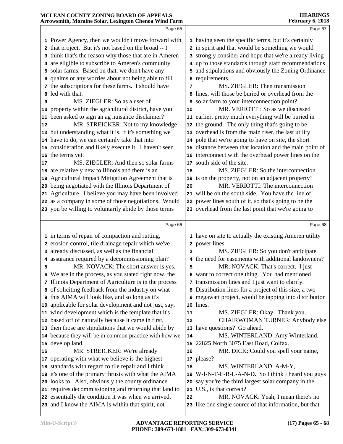#### **Arrowsmith, Moraine Solar, Lexington Chenoa Wind Farm February 6, 2018** Page 65 Power Agency, then we wouldn't move forward with that project. But it's not based on the broad -- I think that's the reason why those that are in Ameren are eligible to subscribe to Ameren's community solar farms. Based on that, we don't have any qualms or any worries about not being able to fill the subscriptions for these farms. I should have led with that. MS. ZIEGLER: So as a user of property within the agricultural district, have you | **10**  been asked to sign an ag nuisance disclaimer? MR. STREICKER: Not to my knowledge but understanding what it is, if it's something we have to do, we can certainly take that into 15 consideration and likely execute it. I haven't seen | 15 the terms yet. MS. ZIEGLER: And then so solar farms are relatively new to Illinois and there is an Agricultural Impact Mitigation Agreement that is being negotiated with the Illinois Department of Agriculture. I believe you may have been involved as a company in some of those negotiations. Would you be willing to voluntarily abide by those terms Page 66 in terms of repair of compaction and rutting, erosion control, tile drainage repair which we've already discussed, as well as the financial assurance required by a decommissioning plan? MR. NOVACK: The short answer is yes. We are in the process, as you stated right now, the Illinois Department of Agriculture is in the process of soliciting feedback from the industry on what this AIMA will look like, and so long as it's applicable for solar development and not just, say, wind development which is the template that it's based off of naturally because it came in first, then those are stipulations that we would abide by because they will be in common practice with how we | **14**  develop land. MR. STREICKER: We're already operating with what we believe is the highest standards with regard to tile repair and I think it's one of the primary thrusts with what the AIMA looks to. Also, obviously the county ordinance Page 67 having seen the specific terms, but it's certainly in spirit and that would be something we would strongly consider and hope that we're already living up to those standards through staff recommendations and stipulations and obviously the Zoning Ordinance requirements. MS. ZIEGLER: Then transmission lines, will those be buried or overhead from the solar farm to your interconnection point? MR. VERIOTTI: So as we discussed earlier, pretty much everything will be buried in the ground. The only thing that's going to be overhead is from the main riser, the last utility pole that we're going to have on site, the short distance between that location and the main point of interconnect with the overhead power lines on the south side of the site. MS. ZIEGLER: So the interconnection is on the property, not on an adjacent property? MR. VERIOTTI: The interconnection will be on the south side. You have the line of power lines south of it, so that's going to be the overhead from the last point that we're going to Page 68 have on site to actually the existing Ameren utility power lines. MS. ZIEGLER: So you don't anticipate the need for easements with additional landowners? MR. NOVACK: That's correct. I just want to correct one thing. You had mentioned transmission lines and I just want to clarify. Distribution lines for a project of this size, a two megawatt project, would be tapping into distribution lines. MS. ZIEGLER: Okay. Thank you. CHAIRWOMAN TURNER: Anybody else have questions? Go ahead. MS. WINTERLAND: Amy Winterland, 22825 North 3075 East Road, Colfax. MR. DICK: Could you spell your name, please? MS. WINTERLAND: A-M-Y, W-I-N-T-E-R-L-A-N-D. So I think I heard you guys say you're the third largest solar company in the U.S., is that correct?

requires decommissioning and returning that land to 21

 essentially the condition it was when we arrived, and I know the AIMA is within that spirit, not

**MCLEAN COUNTY ZONING BOARD OF APPEALS** 

 MR. NOVACK: Yeah, I mean there's no like one single source of that information, but that

**HEARINGS**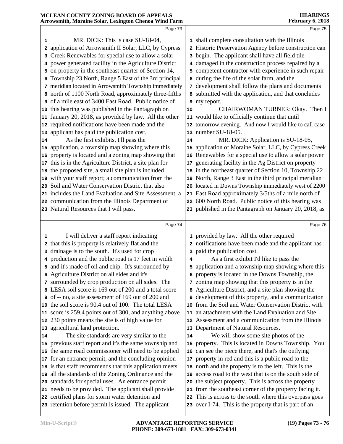|    | птомянии, могани боюн, пландюн сисной тунки гатн                                                        |    | 1 CO1 001 y 09 2010                                                                                              |
|----|---------------------------------------------------------------------------------------------------------|----|------------------------------------------------------------------------------------------------------------------|
|    | Page 73                                                                                                 |    | Page 75                                                                                                          |
| 1  | MR. DICK: This is case SU-18-04,                                                                        |    | 1 shall complete consultation with the Illinois                                                                  |
|    | 2 application of Arrowsmith II Solar, LLC, by Cypress                                                   |    | 2 Historic Preservation Agency before construction can                                                           |
|    | 3 Creek Renewables for special use to allow a solar                                                     |    | 3 begin. The applicant shall have all field tile                                                                 |
|    | 4 power generated facility in the Agriculture District                                                  |    | 4 damaged in the construction process repaired by a                                                              |
|    | 5 on property in the southeast quarter of Section 14,                                                   |    | 5 competent contractor with experience in such repair                                                            |
|    | 6 Township 23 North, Range 5 East of the 3rd principal                                                  |    | 6 during the life of the solar farm, and the                                                                     |
|    | 7 meridian located in Arrowsmith Township immediately                                                   |    | 7 development shall follow the plans and documents                                                               |
|    | 8 north of 1100 North Road, approximately three-fifths                                                  |    | 8 submitted with the application, and that concludes                                                             |
|    | 9 of a mile east of 3400 East Road. Public notice of                                                    |    | 9 my report.                                                                                                     |
|    | 10 this hearing was published in the Pantagraph on                                                      | 10 | CHAIRWOMAN TURNER: Okay. Then I                                                                                  |
|    | 11 January 20, 2018, as provided by law. All the other                                                  |    | 11 would like to officially continue that until                                                                  |
|    | 12 required notifications have been made and the                                                        |    | 12 tomorrow evening. And now I would like to call case                                                           |
|    | 13 applicant has paid the publication cost.                                                             |    | 13 number SU-18-05.                                                                                              |
| 14 | As the first exhibits, I'll pass the                                                                    | 14 | MR. DICK: Application is SU-18-05,                                                                               |
|    | 15 application, a township map showing where this                                                       |    | 15 application of Moraine Solar, LLC, by Cypress Creek                                                           |
|    | 16 property is located and a zoning map showing that                                                    |    | 16 Renewables for a special use to allow a solar power                                                           |
|    | 17 this is in the Agriculture District, a site plan for                                                 |    | 17 generating facility in the Ag District on property                                                            |
|    | 18 the proposed site, a small site plan is included                                                     |    | 18 in the northeast quarter of Section 10, Township 22                                                           |
|    | 19 with your staff report; a communication from the                                                     |    | 19 North, Range 3 East in the third principal meridian                                                           |
|    | 20 Soil and Water Conservation District that also                                                       |    | 20 located in Downs Township immediately west of 2200                                                            |
|    | 21 includes the Land Evaluation and Site Assessment, a                                                  |    | 21 East Road approximately 3/5ths of a mile north of                                                             |
|    | 22 communication from the Illinois Department of                                                        |    | 22 600 North Road. Public notice of this hearing was                                                             |
|    | 23 Natural Resources that I will pass.                                                                  |    | 23 published in the Pantagraph on January 20, 2018, as                                                           |
|    |                                                                                                         |    |                                                                                                                  |
|    | Page 74                                                                                                 |    | Page 76                                                                                                          |
| 1  | I will deliver a staff report indicating                                                                |    | 1 provided by law. All the other required                                                                        |
|    | 2 that this is property is relatively flat and the                                                      |    | 2 notifications have been made and the applicant has                                                             |
|    | 3 drainage is to the south. It's used for crop                                                          |    | 3 paid the publication cost.                                                                                     |
|    | 4 production and the public road is 17 feet in width                                                    | 4  | As a first exhibit I'd like to pass the                                                                          |
|    | 5 and it's made of oil and chip. It's surrounded by                                                     |    | 5 application and a township map showing where this                                                              |
|    | 6 Agriculture District on all sides and it's                                                            |    | 6 property is located in the Downs Township, the                                                                 |
|    | 7 surrounded by crop production on all sides. The                                                       |    | 7 zoning map showing that this property is in the                                                                |
|    | 8 LESA soil score is 169 out of 200 and a total score                                                   | 8  | Agriculture District, and a site plan showing the                                                                |
|    | 9 of -- no, a site assessment of 169 out of 200 and                                                     |    | <b>9</b> development of this property, and a communication                                                       |
|    | 10 the soil score is 90.4 out of 100. The total LESA                                                    | 10 | from the Soil and Water Conservation District with                                                               |
|    | 11 score is 259.4 points out of 300, and anything above                                                 | 11 | an attachment with the Land Evaluation and Site                                                                  |
|    | 12 230 points means the site is of high value for                                                       |    | 12 Assessment and a communication from the Illinois                                                              |
|    | 13 agricultural land protection.                                                                        |    | 13 Department of Natural Resources.                                                                              |
| 14 | The site standards are very similar to the                                                              | 14 | We will show some site photos of the                                                                             |
|    | 15 previous staff report and it's the same township and                                                 |    | 15 property. This is located in Downs Township. You                                                              |
|    | 16 the same road commissioner will need to be applied                                                   |    | 16 can see the piece there, and that's the outlying                                                              |
|    | 17 for an entrance permit, and the concluding opinion                                                   | 17 | property in red and this is a public road to the                                                                 |
|    | 18 is that staff recommends that this application meets                                                 |    | 18 north and the property is to the left. This is the                                                            |
|    | 19 all the standards of the Zoning Ordinance and the                                                    | 19 | access road to the west that is on the south side of                                                             |
|    | 20 standards for special uses. An entrance permit                                                       |    | 20 the subject property. This is across the property                                                             |
|    |                                                                                                         |    |                                                                                                                  |
|    | 21 needs to be provided. The applicant shall provide                                                    |    | 21 from the southeast corner of the property facing it.                                                          |
|    | 22 certified plans for storm water detention and<br>23 retention before permit is issued. The applicant |    | 22 This is across to the south where this overpass goes<br>23 over I-74. This is the property that is part of an |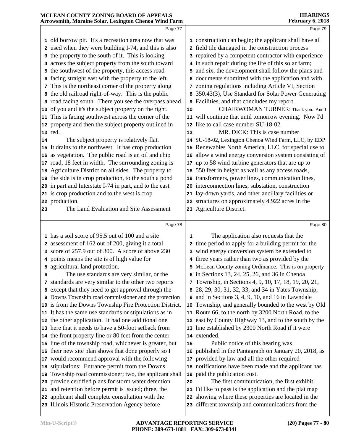#### **MCLEAN COUNTY ZONING BOARD OF APPEALS Arrowsmith, Moraine Solar, Lexington Chenoa Wind Farm HEARINGS February 6, 2018** Page 77 old borrow pit. It's a recreation area now that was used when they were building I-74, and this is also the property to the south of it. This is looking across the subject property from the south toward the southwest of the property, this access road facing straight east with the property to the left. This is the northeast corner of the property along the old railroad right-of-way. This is the public road facing south. There you see the overpass ahead **9**  of you and it's the subject property on the right. This is facing southwest across the corner of the property and then the subject property outlined in Page 79 construction can begin; the applicant shall have all field tile damaged in the construction process repaired by a competent contractor with experience in such repair during the life of this solar farm; and six, the development shall follow the plans and documents submitted with the application and with zoning regulations including Article VI, Section 350.43(3), Use Standard for Solar Power Generating Facilities, and that concludes my report. **CHAIRWOMAN TURNER:** Thank you. And I will continue that until tomorrow evening. Now I'd like to call case number SU-18-02.

MR. DICK: This is case number

 SU-18-02, Lexington Chenoa Wind Farm, LLC, by EDP Renewables North America, LLC, for special use to allow a wind energy conversion system consisting of up to 58 wind turbine generators that are up to

 Agriculture District on all sides. The property to the side is in crop production, to the south a pond | 19 in part and Interstate I-74 in part, and to the east is crop production and to the west is crop production. The Land Evaluation and Site Assessment Page 78 has a soil score of 95.5 out of 100 and a site assessment of 162 out of 200, giving it a total score of 257.9 out of 300. A score of above 230 points means the site is of high value for agricultural land protection. The use standards are very similar, or the standards are very similar to the other two reports except that they need to get approval through the Downs Township road commissioner and the protection 9 is from the Downs Township Fire Protection District. It has the same use standards or stipulations as in the other application. It had one additional one here that it needs to have a 50-foot setback from the front property line or 80 feet from the center line of the township road, whichever is greater, but their new site plan shows that done properly so I would recommend approval with the following 217 stipulations: Entrance permit from the Downs Township road commissioner; two, the applicant shall provide certified plans for storm water detention and retention before permit is issued; three, the applicant shall complete consultation with the Illinois Historic Preservation Agency before 550 feet in height as well as any access roads, transformers, power lines, communication lines, interconnection lines, substation, construction lay-down yards, and other ancillary facilities or structures on approximately 4,922 acres in the Agriculture District. Page 80 The application also requests that the time period to apply for a building permit for the wind energy conversion system be extended to three years rather than two as provided by the McLean County zoning Ordinance. This is on property in Sections 13, 24, 25, 26, and 36 in Chenoa Township, in Sections 4, 9, 10, 17, 18, 19, 20, 21, 28, 29, 30, 31, 32, 33, and 34 in Yates Township, and in Sections  $3, 4, 9, 10$ , and  $16$  in Lawndale Township, and generally bounded to the west by Old Route 66, to the north by 3200 North Road, to the east by County Highway 13, and to the south by the line established by 2300 North Road if it were extended. Public notice of this hearing was published in the Pantagraph on January 20, 2018, as provided by law and all the other required notifications have been made and the applicant has paid the publication cost. The first communication, the first exhibit I'd like to pass is the application and the plat map showing where these properties are located in the different township and communications from the

red.

 The subject property is relatively flat. It drains to the northwest. It has crop production

 as vegetation. The public road is an oil and chip **17** road, 18 feet in width. The surrounding zoning is  $\vert$  **17**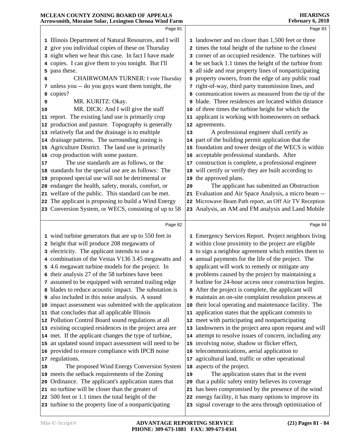|    | Page 81                                                                                                   |    | Page 83                                                                                                          |  |
|----|-----------------------------------------------------------------------------------------------------------|----|------------------------------------------------------------------------------------------------------------------|--|
|    | 1 Illinois Department of Natural Resources, and I will                                                    |    | 1 landowner and no closer than 1,500 feet or three                                                               |  |
|    | 2 give you individual copies of these on Thursday                                                         |    | 2 times the total height of the turbine to the closest                                                           |  |
|    | 3 night when we hear this case. In fact I have made                                                       |    | 3 corner of an occupied residence. The turbines will                                                             |  |
|    | 4 copies. I can give them to you tonight. But I'll                                                        |    | 4 be set back 1.1 times the height of the turbine from                                                           |  |
| 5  | pass these.                                                                                               | 5  | all side and rear property lines of nonparticipating                                                             |  |
|    | <b>CHAIRWOMAN TURNER: I vote Thursday</b>                                                                 | 6  | property owners, from the edge of any public road                                                                |  |
| 6  | 7 unless you -- do you guys want them tonight, the                                                        |    | 7 right-of-way, third party transmission lines, and                                                              |  |
|    |                                                                                                           |    | 8 communication towers as measured from the tip of the                                                           |  |
| 8  | copies?<br>MR. KURITZ: Okay.                                                                              |    | blade. Three residences are located within distance                                                              |  |
| 9  |                                                                                                           |    |                                                                                                                  |  |
| 10 | MR. DICK: And I will give the staff                                                                       | 10 | of three times the turbine height for which the                                                                  |  |
|    | 11 report. The existing land use is primarily crop                                                        | 11 | applicant is working with homeowners on setback                                                                  |  |
|    | 12 production and pasture. Topography is generally                                                        |    | 12 agreements.                                                                                                   |  |
|    | 13 relatively flat and the drainage is to multiple                                                        | 13 | A professional engineer shall certify as                                                                         |  |
|    | 14 drainage patterns. The surrounding zoning is                                                           |    | 14 part of the building permit application that the                                                              |  |
|    | 15 Agriculture District. The land use is primarily                                                        | 15 | foundation and tower design of the WECS is within                                                                |  |
|    | 16 crop production with some pasture.                                                                     |    | 16 acceptable professional standards. After                                                                      |  |
| 17 | The use standards are as follows, or the                                                                  |    | 17 construction is complete, a professional engineer                                                             |  |
|    | 18 standards for the special use are as follows: The                                                      |    | 18 will certify or verify they are built according to                                                            |  |
|    | 19 proposed special use will not be detrimental or                                                        |    | 19 the approved plans.                                                                                           |  |
|    | 20 endanger the health, safety, morals, comfort, or                                                       | 20 | The applicant has submitted an Obstruction                                                                       |  |
|    | 21 welfare of the public. This standard can be met.                                                       |    | 21 Evaluation and Air Space Analysis, a micro beam --                                                            |  |
|    | 22 The applicant is proposing to build a Wind Energy                                                      |    | 22 Microwave Beam Path report, an Off Air TV Reception                                                           |  |
|    | 23 Conversion System, or WECS, consisting of up to 58                                                     |    | 23 Analysis, an AM and FM analysis and Land Mobile                                                               |  |
|    |                                                                                                           |    |                                                                                                                  |  |
|    | Page 82                                                                                                   |    | Page 84                                                                                                          |  |
|    | 1 wind turbine generators that are up to 550 feet in                                                      |    | 1 Emergency Services Report. Project neighbors living                                                            |  |
|    | 2 height that will produce 208 megawatts of                                                               |    | 2 within close proximity to the project are eligible                                                             |  |
|    | 3 electricity. The applicant intends to use a                                                             |    | 3 to sign a neighbor agreement which entitles them to                                                            |  |
|    | 4 combination of the Vestas V136 3.45 megawatts and                                                       |    | 4 annual payments for the life of the project. The                                                               |  |
|    | 5 4.6 megawatt turbine models for the project. In                                                         |    | 5 applicant will work to remedy or mitigate any                                                                  |  |
|    | 6 their analysis 27 of the 58 turbines have been                                                          |    | 6 problems caused by the project by maintaining a                                                                |  |
|    | 7 assumed to be equipped with serrated trailing edge                                                      |    | 7 hotline for 24-hour access once construction begins.                                                           |  |
|    | 8 blades to reduce acoustic impact. The substation is                                                     |    | 8 After the project is complete, the applicant will                                                              |  |
|    | <b>9</b> also included in this noise analysis. A sound                                                    |    | 9 maintain an on-site complaint resolution process at                                                            |  |
|    | 10 impact assessment was submitted with the application                                                   | 10 | their local operating and maintenance facility. The                                                              |  |
|    | 11 that concludes that all applicable Illinois                                                            |    | 11 application states that the applicant commits to                                                              |  |
|    | 12 Pollution Control Board sound regulations at all                                                       |    | 12 meet with participating and nonparticipating                                                                  |  |
|    | 13 existing occupied residences in the project area are                                                   |    | 13 landowners in the project area upon request and will                                                          |  |
|    | 14 met. If the applicant changes the type of turbine,                                                     |    | 14 attempt to resolve issues of concern, including any                                                           |  |
|    | 15 an updated sound impact assessment will need to be                                                     |    | 15 involving noise, shadow or flicker effect,                                                                    |  |
|    | 16 provided to ensure compliance with IPCB noise                                                          |    | 16 telecommunications, aerial application to                                                                     |  |
|    | 17 regulations.                                                                                           | 17 | agricultural land, traffic or other operational                                                                  |  |
| 18 | The proposed Wind Energy Conversion System                                                                | 18 | aspects of the project.                                                                                          |  |
|    | 19 meets the setback requirements of the Zoning                                                           | 19 | The application states that in the event                                                                         |  |
|    | 20 Ordinance. The applicant's application states that                                                     | 20 | that a public safety entity believes its coverage                                                                |  |
|    | 21 no turbine will be closer than the greater of                                                          | 21 | has been compromised by the presence of the wind                                                                 |  |
|    |                                                                                                           |    |                                                                                                                  |  |
|    |                                                                                                           |    |                                                                                                                  |  |
|    | 22 500 feet or 1.1 times the total height of the<br>23 turbine to the property line of a nonparticipating |    | 22 energy facility, it has many options to improve its<br>23 signal coverage to the area through optimization of |  |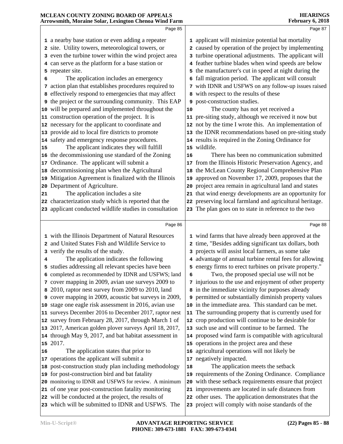|    | 1110 WBILIUM, INTOI UMIC DOMIT, ECAMIGION CHCHOU W MA       |    |                                                              |
|----|-------------------------------------------------------------|----|--------------------------------------------------------------|
|    | Page 85                                                     |    | Page 87                                                      |
|    | 1 a nearby base station or even adding a repeater           |    | 1 applicant will minimize potential bat mortality            |
|    | 2 site. Utility towers, meteorological towers, or           |    | 2 caused by operation of the project by implementing         |
|    | 3 even the turbine tower within the wind project area       |    | 3 turbine operational adjustments. The applicant will        |
|    | 4 can serve as the platform for a base station or           |    | 4 feather turbine blades when wind speeds are below          |
|    | 5 repeater site.                                            |    | 5 the manufacturer's cut in speed at night during the        |
| 6  | The application includes an emergency                       |    | 6 fall migration period. The applicant will consult          |
|    | 7 action plan that establishes procedures required to       |    | 7 with IDNR and USFWS on any follow-up issues raised         |
|    | 8 effectively respond to emergencies that may affect        |    | 8 with respect to the results of these                       |
|    | <b>9</b> the project or the surrounding community. This EAP |    | 9 post-construction studies.                                 |
|    | 10 will be prepared and implemented throughout the          | 10 | The county has not yet received a                            |
|    | 11 construction operation of the project. It is             |    | 11 pre-siting study, although we received it now but         |
|    | 12 necessary for the applicant to coordinate and            |    | 12 not by the time I wrote this. An implementation of        |
|    | 13 provide aid to local fire districts to promote           |    | 13 the IDNR recommendations based on pre-siting study        |
|    | 14 safety and emergency response procedures.                |    | 14 results is required in the Zoning Ordinance for           |
| 15 | The applicant indicates they will fulfill                   |    | 15 wildlife.                                                 |
|    | 16 the decommissioning use standard of the Zoning           | 16 | There has been no communication submitted                    |
|    | 17 Ordinance. The applicant will submit a                   |    | 17 from the Illinois Historic Preservation Agency, and       |
|    | 18 decommissioning plan when the Agricultural               |    | 18 the McLean County Regional Comprehensive Plan             |
|    | 19 Mitigation Agreement is finalized with the Illinois      | 19 | approved on November 17, 2009, proposes that the             |
|    | 20 Department of Agriculture.                               |    | 20 project area remain in agricultural land and states       |
| 21 | The application includes a site                             |    | 21 that wind energy developments are an opportunity for      |
|    | 22 characterization study which is reported that the        |    | 22 preserving local farmland and agricultural heritage.      |
|    | 23 applicant conducted wildlife studies in consultation     |    | 23 The plan goes on to state in reference to the two         |
|    |                                                             |    |                                                              |
|    | Page 86                                                     |    | Page 88                                                      |
|    | 1 with the Illinois Department of Natural Resources         |    | 1 wind farms that have already been approved at the          |
|    | 2 and United States Fish and Wildlife Service to            |    | 2 time, "Besides adding significant tax dollars, both        |
|    | 3 verify the results of the study.                          |    | 3 projects will assist local farmers, as some take           |
| 4  | The application indicates the following                     |    | 4 advantage of annual turbine rental fees for allowing       |
|    | 5 studies addressing all relevant species have been         |    | 5 energy firms to erect turbines on private property."       |
|    | 6 completed as recommended by IDNR and USFWS; land          |    | Two, the proposed special use will not be<br>$6 \quad \Box$  |
|    | 7 cover mapping in 2009, avian use surveys 2009 to          |    | 7 injurious to the use and enjoyment of other property       |
|    | 8 2010, raptor nest survey from 2009 to 2010, land          |    | 8 in the immediate vicinity for purposes already             |
|    | 9 cover mapping in 2009, acoustic bat surveys in 2009,      |    | <b>9</b> permitted or substantially diminish property values |
|    | 10 stage one eagle risk assessment in 2016, avian use       |    | 10 in the immediate area. This standard can be met.          |
|    | 11 surveys December 2016 to December 2017, raptor nest      |    | 11 The surrounding property that is currently used for       |
|    | 12 survey from February 28, 2017, through March 1 of        |    | 12 crop production will continue to be desirable for         |
|    | 13 2017, American golden plover surveys April 18, 2017,     |    | 13 such use and will continue to be farmed. The              |
|    | 14 through May 9, 2017, and bat habitat assessment in       |    | 14 proposed wind farm is compatible with agricultural        |
|    | 15 2017.                                                    |    | 15 operations in the project area and these                  |
| 16 | The application states that prior to                        |    | 16 agricultural operations will not likely be                |
|    | 17 operations the applicant will submit a                   |    | 17 negatively impacted.                                      |
|    | 18 post-construction study plan including methodology       | 18 | The application meets the setback                            |
|    | 19 for post-construction bird and bat fatality              |    | 19 requirements of the Zoning Ordinance. Compliance          |
|    | 20 monitoring to IDNR and USFWS for review. A minimum       |    | 20 with these setback requirements ensure that project       |
|    | 21 of one year post-construction fatality monitoring        |    | 21 improvements are located in safe distances from           |
|    | 22 will be conducted at the project, the results of         |    | 22 other uses. The application demonstrates that the         |
|    | 23 which will be submitted to IDNR and USFWS. The           |    | 23 project will comply with noise standards of the           |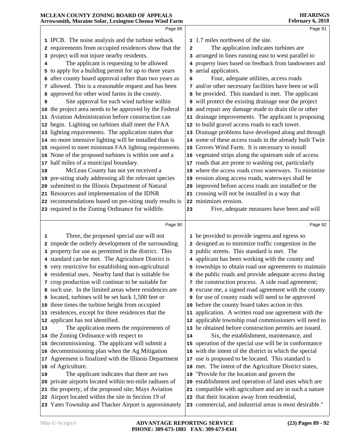|    | MCLEAN COUNTY ZONING BOARD OF APPEALS<br>Arrowsmith, Moraine Solar, Lexington Chenoa Wind Farm              |              | <b>HEARINGS</b><br>February 6, 2018                       |
|----|-------------------------------------------------------------------------------------------------------------|--------------|-----------------------------------------------------------|
|    | Page 89                                                                                                     |              | Page 91                                                   |
|    |                                                                                                             |              | 1.7 miles northwest of the site.                          |
|    | 1 IPCB. The noise analysis and the turbine setback<br>2 requirements from occupied residences show that the | $\mathbf{2}$ | The application indicates turbines are                    |
|    | 3 project will not injure nearby residents.                                                                 |              | 3 arranged in lines running east to west parallel to      |
| 4  | The applicant is requesting to be allowed                                                                   |              | 4 property lines based on feedback from landowners and    |
|    | 5 to apply for a building permit for up to three years                                                      |              | 5 aerial applicators.                                     |
|    | 6 after county board approval rather than two years as                                                      |              | Four, adequate utilities, access roads                    |
|    | 7 allowed. This is a reasonable request and has been                                                        | 6            |                                                           |
|    |                                                                                                             |              | 7 and/or other necessary facilities have been or will     |
|    | 8 approved for other wind farms in the county.                                                              |              | 8 be provided. This standard is met. The applicant        |
| 9  | Site approval for each wind turbine within                                                                  |              | 9 will protect the existing drainage near the project     |
|    | 10 the project area needs to be approved by the Federal                                                     |              | 10 and repair any damage made to drain tile or other      |
| 11 | Aviation Administration before construction can                                                             |              | 11 drainage improvements. The applicant is proposing      |
|    | 12 begin. Lighting on turbines shall meet the FAA                                                           |              | 12 to build gravel access roads to each tower.            |
| 13 | lighting requirements. The application states that                                                          |              | 13 Drainage problems have developed along and through     |
|    | 14 no more intensive lighting will be installed than is                                                     |              | 14 some of these access roads in the already built Twin   |
|    | 15 required to meet minimum FAA lighting requirements.                                                      |              | 15 Groves Wind Farm. It is necessary to install           |
|    | 16 None of the proposed turbines is within one and a                                                        |              | 16 vegetated strips along the upstream side of access     |
| 17 | half miles of a municipal boundary.                                                                         |              | 17 roads that are prone to washing out, particularly      |
| 18 | McLean County has not yet received a                                                                        |              | 18 where the access roads cross waterways. To minimize    |
| 19 | pre-siting study addressing all the relevant species                                                        |              | 19 erosion along access roads, waterways shall be         |
| 20 | submitted to the Illinois Department of Natural                                                             |              | 20 improved before access roads are installed or the      |
|    | 21 Resources and implementation of the IDNR                                                                 |              | 21 crossing will not be installed in a way that           |
|    | 22 recommendations based on pre-siting study results is                                                     |              | 22 minimizes erosion.                                     |
|    | 23 required in the Zoning Ordinance for wildlife.                                                           | 23           | Five, adequate measures have been and will                |
|    | Page 90                                                                                                     |              | Page 92                                                   |
| 1  | Three, the proposed special use will not                                                                    |              | 1 be provided to provide ingress and egress so            |
|    | 2 impede the orderly development of the surrounding                                                         |              | 2 designed as to minimize traffic congestion in the       |
|    | 3 property for use as permitted in the district. This                                                       |              | 3 public streets. This standard is met. The               |
|    | 4 standard can be met. The Agriculture District is                                                          |              | 4 applicant has been working with the county and          |
|    | 5 very restrictive for establishing non-agricultural                                                        |              | 5 townships to obtain road use agreements to maintain     |
|    | 6 residential uses. Nearby land that is suitable for                                                        |              | 6 the public roads and provide adequate access during     |
|    | 7 crop production will continue to be suitable for                                                          |              | 7 the construction process. A side road agreement;        |
|    | 8 such use. In the limited areas where residences are                                                       |              | 8 excuse me, a signed road agreement with the county      |
|    | <b>9</b> located, turbines will be set back 1,500 feet or                                                   |              | <b>9</b> for use of county roads will need to be approved |
| 10 | three times the turbine height from occupied                                                                |              | 10 before the county board takes action in this           |
|    | 11 residences, except for three residences that the                                                         |              | 11 application. A written road use agreement with the     |
| 12 | applicant has not identified.                                                                               |              | 12 applicable township road commissioners will need to    |
| 13 | The application meets the requirements of                                                                   |              | 13 be obtained before construction permits are issued.    |
|    | 14 the Zoning Ordinance with respect to                                                                     | 14           | Six, the establishment, maintenance, and                  |
| 15 | decommissioning. The applicant will submit a                                                                |              | 15 operation of the special use will be in conformance    |
| 16 | decommissioning plan when the Ag Mitigation                                                                 |              | 16 with the intent of the district in which the special   |
| 17 | Agreement is finalized with the Illinois Department                                                         | 17           | use is proposed to be located. This standard is           |
| 18 | of Agriculture.                                                                                             |              | 18 met. The intent of the Agriculture District states,    |
| 19 | The applicant indicates that there are two                                                                  | 19           | "Provide for the location and govern the                  |
| 20 | private airports located within ten-mile radiuses of                                                        |              | 20 establishment and operation of land uses which are     |
| 21 | the property, of the proposed site; Mays Aviation                                                           |              | 21 compatible with agriculture and are in such a nature   |
|    | 22 Airport located within the site in Section 19 of                                                         |              | 22 that their location away from residential,             |
|    |                                                                                                             |              |                                                           |

**PHONE: 309-673-1881 FAX: 309-673-0341**

# **MCLEAN COUNTY ZONING BOARD OF APPEALS**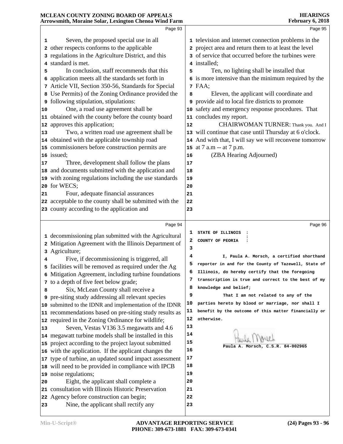|                          | Page 93                                                                                                                                                                                                                                                                                                                                                                                                                                                                                                                                                                                                                                                                                                                                                                                                                                                                                            |                                           | Page 95                                                                                                                                                                                                                                                                                                                                                                                                                                                                                                                                                                                                                                                                                              |
|--------------------------|----------------------------------------------------------------------------------------------------------------------------------------------------------------------------------------------------------------------------------------------------------------------------------------------------------------------------------------------------------------------------------------------------------------------------------------------------------------------------------------------------------------------------------------------------------------------------------------------------------------------------------------------------------------------------------------------------------------------------------------------------------------------------------------------------------------------------------------------------------------------------------------------------|-------------------------------------------|------------------------------------------------------------------------------------------------------------------------------------------------------------------------------------------------------------------------------------------------------------------------------------------------------------------------------------------------------------------------------------------------------------------------------------------------------------------------------------------------------------------------------------------------------------------------------------------------------------------------------------------------------------------------------------------------------|
| 1<br>5<br>10<br>13<br>17 | Seven, the proposed special use in all<br>2 other respects conforms to the applicable<br>3 regulations in the Agriculture District, and this<br>4 standard is met.<br>In conclusion, staff recommends that this<br>6 application meets all the standards set forth in<br>7 Article VII, Section 350-56, Standards for Special<br>8 Use Permits) of the Zoning Ordinance provided the<br><b>9</b> following stipulation, stipulations:<br>One, a road use agreement shall be<br>11 obtained with the county before the county board<br>12 approves this application;<br>Two, a written road use agreement shall be<br>14 obtained with the applicable township road<br>15 commissioners before construction permits are<br>16 issued:<br>Three, development shall follow the plans<br>18 and documents submitted with the application and<br>19 with zoning regulations including the use standards | 5<br>8<br>9<br>12<br>16<br>17<br>18<br>19 | 1 television and internet connection problems in the<br>2 project area and return them to at least the level<br>3 of service that occurred before the turbines were<br>4 installed;<br>Ten, no lighting shall be installed that<br>6 is more intensive than the minimum required by the<br>7 FAA;<br>Eleven, the applicant will coordinate and<br>provide aid to local fire districts to promote<br>10 safety and emergency response procedures. That<br>11 concludes my report.<br>CHAIRWOMAN TURNER: Thank you. And I<br>13 will continue that case until Thursday at 6 o'clock.<br>14 And with that, I will say we will reconvene tomorrow<br>15 at 7 a.m -- at 7 p.m.<br>(ZBA Hearing Adjourned) |
| 21                       | 20 for WECS;<br>Four, adequate financial assurances<br>22 acceptable to the county shall be submitted with the<br>23 county according to the application and                                                                                                                                                                                                                                                                                                                                                                                                                                                                                                                                                                                                                                                                                                                                       | 20<br>21<br>22<br>23                      |                                                                                                                                                                                                                                                                                                                                                                                                                                                                                                                                                                                                                                                                                                      |
|                          | Page 94                                                                                                                                                                                                                                                                                                                                                                                                                                                                                                                                                                                                                                                                                                                                                                                                                                                                                            |                                           | Page 96                                                                                                                                                                                                                                                                                                                                                                                                                                                                                                                                                                                                                                                                                              |
|                          | 1 decommissioning plan submitted with the Agricultural<br>2 Mitigation Agreement with the Illinois Department of<br>3 Agriculture;                                                                                                                                                                                                                                                                                                                                                                                                                                                                                                                                                                                                                                                                                                                                                                 | 2<br>з                                    | STATE OF ILLINOIS<br>COUNTY OF PEORIA                                                                                                                                                                                                                                                                                                                                                                                                                                                                                                                                                                                                                                                                |
| 4                        | Five, if decommissioning is triggered, all<br>5 facilities will be removed as required under the Ag<br>6 Mitigation Agreement, including turbine foundations<br>7 to a depth of five feet below grade;                                                                                                                                                                                                                                                                                                                                                                                                                                                                                                                                                                                                                                                                                             | 4<br>6<br>7                               | I, Paula A. Morsch, a certified shorthand<br>reporter in and for the County of Tazewell, State of<br>Illinois, do hereby certify that the foregoing<br>transcription is true and correct to the best of my                                                                                                                                                                                                                                                                                                                                                                                                                                                                                           |
| 8                        | Six, McLean County shall receive a<br><b>9</b> pre-siting study addressing all relevant species<br>10 submitted to the IDNR and implementation of the IDNR<br>11 recommendations based on pre-siting study results as                                                                                                                                                                                                                                                                                                                                                                                                                                                                                                                                                                                                                                                                              | 8<br>9<br>10<br>11                        | knowledge and belief;<br>That I am not related to any of the<br>parties hereto by blood or marriage, nor shall I<br>benefit by the outcome of this matter financially or                                                                                                                                                                                                                                                                                                                                                                                                                                                                                                                             |
| 13                       |                                                                                                                                                                                                                                                                                                                                                                                                                                                                                                                                                                                                                                                                                                                                                                                                                                                                                                    |                                           | otherwise.                                                                                                                                                                                                                                                                                                                                                                                                                                                                                                                                                                                                                                                                                           |
|                          | 12 required in the Zoning Ordinance for wildlife;<br>Seven, Vestas V136 3.5 megawatts and 4.6<br>14 megawatt turbine models shall be installed in this<br>15 project according to the project layout submitted                                                                                                                                                                                                                                                                                                                                                                                                                                                                                                                                                                                                                                                                                     | 12<br>13<br>14<br>15                      | $C.S.R. 84-002965$<br>Paula A. Morsch,                                                                                                                                                                                                                                                                                                                                                                                                                                                                                                                                                                                                                                                               |
| 20                       | 16 with the application. If the applicant changes the<br>17 type of turbine, an updated sound impact assessment<br>18 will need to be provided in compliance with IPCB<br>19 noise regulations;<br>Eight, the applicant shall complete a                                                                                                                                                                                                                                                                                                                                                                                                                                                                                                                                                                                                                                                           | 16<br>17<br>18<br>19<br>20                |                                                                                                                                                                                                                                                                                                                                                                                                                                                                                                                                                                                                                                                                                                      |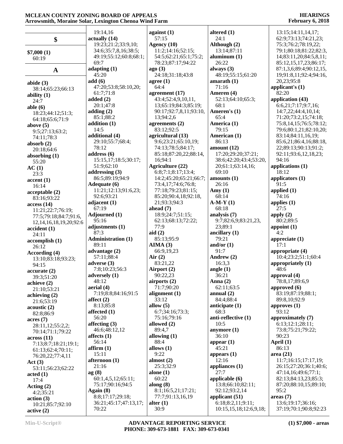|                                       | 19:14,16                        |                                              | altered $(1)$               | 13:15;14:11,14,17;         |
|---------------------------------------|---------------------------------|----------------------------------------------|-----------------------------|----------------------------|
|                                       | actually (14)                   | against $(1)$<br>57:15                       | 24:1                        | 62:9;73:13;74:21,23;       |
| \$                                    | 19:23;21:2;33:9,10;             | Agency (10)                                  | Although (2)                | 75:3;76:2;78:19,22;        |
|                                       | 34:6;35:7,8,16;38:5;            | 11:2;14:16;52:15;                            | 13:14;87:11                 | 79:1;80:18;81:22;82:3,     |
| \$7,000(1)                            | 49:19;55:12;60:8;68:1;          | 54:5;62:21;65:1;75:2;                        | aluminum $(1)$              | 14;83:11,20;84:5,8,11;     |
| 60:19                                 | 69:7                            | 78:23;87:17;94:22                            | 26:22                       | 85:12,15,17,23;86:17;      |
|                                       | adapting $(1)$                  | ago(3)                                       | always $(3)$                | 87:1,3,6;89:4;90:12,15,    |
| $\mathbf A$                           | 45:20                           | 24:18;31:18;43:8                             | 48:19;55:15;61:20           | 19;91:8,11;92:4;94:16,     |
| abide $(3)$                           | add(6)                          | agree $(1)$                                  | amarath $(1)$               | 20,23;95:8                 |
| 38:14;65:23;66:13                     | 47:20;53:8;58:10,20;            | 64:4                                         | 71:16                       | applicant's $(1)$          |
| ability $(1)$                         | 61:7;71:8                       | agreement (17)                               | Ameren (4)                  | 82:20                      |
| 24:7                                  | added $(2)$                     | 43:4;52:4,9,10,11,                           | 52:13;64:10;65:3;           | application (43)           |
| able $(6)$                            | 20:1;47:8                       | 13;65:19;84:3;85:19;                         | 68:1                        | 6:6,21;7:17;9:7,16;        |
| 18:23;44:12;51:3;                     | adding $(2)$                    | 90:17;92:7,8,11;93:10,                       | Ameren's (1)                | 14:7,22;44:4,10,14;        |
| 64:18;65:6;71:9                       | 85:1;88:2                       | 13;94:2,6                                    | 65:4                        | 71:20;73:2,15;74:18;       |
| above $(5)$                           | addition $(1)$                  | agreements (2)                               | America (1)                 | 75:8,14,15;76:5;78:12;     |
| 9:5;27:13;63:2;                       | 14:5                            | 83:12;92:5                                   | 79:15                       | 79:6;80:1,21;82:10,20;     |
| 74:11;78:3                            | additional (4)                  | agricultural (13)                            | American (1)                | 83:14;84:11,16,19;         |
| absorb $(2)$                          | 29:10;55:7;68:4;                | 9:6;23:21;65:10,19;                          | 86:13                       | 85:6,21;86:4,16;88:18,     |
| 20:18;64:6                            | 78:12                           | 74:13;78:5;84:17;                            | amount (12)                 | 22;89:13;90:13;91:2;       |
| absorbing $(1)$                       | address(6)                      | 85:18;87:20,22;88:14,                        | 17:20;29:20;37:21;          | 92:11;93:6,12,18,23;       |
| 55:20                                 | 15:15,17;18:5;30:17;            | 16;94:1                                      | 38:6;42:20;43:4;53:20,      | 94:16                      |
| AC(1)                                 | 51:9;62:10                      | Agriculture (22)                             | 20;61:1;63:14,16;           | applications (1)           |
| 23:3                                  | addressing $(3)$                | 6:8;7:1;8:17;13:4;                           | 69:10<br>amounts(1)         | 18:12                      |
| $\text{accept}(1)$                    | 86:5;89:19;94:9<br>Adequate (6) | 14:2;45:20;65:21;66:7;<br>73:4,17;74:6;76:8; | 26:16                       | applicators (1)<br>91:5    |
| 16:14                                 | 11:21;12:13;91:6,23;            | 77:18;79:23;81:15;                           | Amy $(1)$                   | applied $(1)$              |
| acceptable(2)                         | 92:6;93:21                      | 85:20;90:4,18;92:18,                         | 68:14                       | 74:16                      |
| 83:16;93:22                           | adjacent $(1)$                  | 21;93:3;94:3                                 | $A-M-Y(1)$                  | applies $(1)$              |
| access(14)                            | 67:19                           | ahead $(7)$                                  | 68:18                       | 27:5                       |
| 11:21;22:7;76:19;                     | Adjourned (1)                   | 18:9;24:7;51:15;                             | analysis (7)                | apply $(2)$                |
| 77:5;79:18;84:7;91:6,                 | 95:16                           | 62:13;68:13;72:22;                           | 9:7;82:6,9;83:21,23,        | 80:2;89:5                  |
| 12, 14, 16, 18, 19, 20; 92: 6         | adjustments (1)                 | 77:9                                         | 23;89:1                     | appoint $(1)$              |
| accident(1)<br>24:11                  | 87:3                            | aid $(2)$                                    | ancillary $(1)$             | 4:2                        |
| accomplish(1)                         | <b>Administration (1)</b>       | 85:13;95:9                                   | 79:21                       | appreciate $(1)$           |
| 26:12                                 | 89:11                           | AIMA(3)                                      | and/or $(1)$                | 17:1                       |
| According (4)                         | advantage (2)                   | 66:9,19,23                                   | 91:7                        | appropriate (4)            |
| 13:10;83:18;93:23;                    | 57:11;88:4                      | Air $(2)$                                    | Andrew (2)                  | 10:4;23:2;51:1;60:4        |
| 94:15                                 | adverse $(3)$                   | 83:21,22                                     | 16:3,3                      | appropriately (1)          |
| accurate(2)                           | 7:8;10:23;56:3                  | Airport (2)                                  | angle $(1)$                 | 48:6                       |
| 39:3;51:20                            | adversely (1)                   | 90:22,23                                     | 36:21                       | approval (4)               |
| achieve (2)                           | 48:12                           | airports (2)                                 | Anna $(2)$                  | 78:8,17;89:6,9             |
| 21:10;53:21                           | aerial (4)                      | 71:7;90:20                                   | 62:11;63:5                  | approved (6)               |
| achieving $(2)$                       | 7:19;8:8;84:16;91:5             | alignment $(1)$                              | annual $(2)$                | 83:19;87:19;88:1;          |
| 21:6;53:19                            | affect $(2)$                    | 33:12                                        | 84:4;88:4                   | 89:8,10;92:9               |
| acoustic(2)                           | 8:13;85:8                       | allow $(5)$                                  | anticipate $(1)$            | approves $(1)$             |
| 82:8;86:9                             | affected $(1)$<br>56:20         | 6:7;34:16;73:3;<br>75:16;79:16               | 68:3<br>anti-reflective (1) | 93:12<br>approximately (7) |
| acres(7)                              | affecting $(3)$                 | allowed $(2)$                                | 10:5                        | 6:13;12:1;28:11;           |
| 28:11,12;55:2,2;                      | 46:6;48:12,12                   | 89:4,7                                       | anymore $(1)$               | 73:8;75:21;79:22;          |
| 70:14;71:1;79:22                      | affects $(1)$                   | allowing $(1)$                               | 36:10                       | 90:23                      |
| across(11)                            | 56:14                           | 88:4                                         | appear $(1)$                | April $(1)$                |
| 7:13;8:7;18:21;19:1;                  | affirm(1)                       | allows $(1)$                                 | 45:21                       | 86:13                      |
| 61:13;62:4;70:11;<br>76:20,22;77:4,11 | 15:11                           | 9:22                                         | appears $(1)$               | area(21)                   |
| Act(3)                                | afternoon (1)                   | almost $(2)$                                 | 12:16                       | 11:7;16:15;17:17,19;       |
| 53:11;56:23;62:22                     | 21:16                           | 25:3;32:9                                    | appliances (1)              | 26:15;27:20;36:1;40:6;     |
| $\text{acted} (1)$                    | ag(8)                           | alone $(1)$                                  | 27:7                        | 47:14,16;49:6;77:1;        |
| 17:4                                  | 60:1,4,5,12;65:11;              | 60:22                                        | applicable $(6)$            | 82:13;84:13,23;85:3;       |
| Acting $(2)$                          | 75:17;90:16;94:5                | along $(8)$                                  | 13:8;66:10;82:11;           | 87:20;88:10,15;89:10;      |
| 4:2;35:21                             | Again $(8)$                     | 8:1;16:5,21;17:21;                           | 92:12;93:2,14               | 95:2                       |
| action(3)                             | 8:8;17:17;29:18;                | 77:7;91:13,16,19                             | applicant (51)              | areas(7)                   |
| 10:21;85:7;92:10                      | 36:21;45:17;47:13,17;           | alter $(1)$                                  | 6:18;8:2,11;9:11;           | 13:6;19:17;36:16;          |
| active(2)                             | 70:22                           | 30:9                                         | 10:15,15,18;12:6,9,18;      | 37:19;70:1;90:8;92:23      |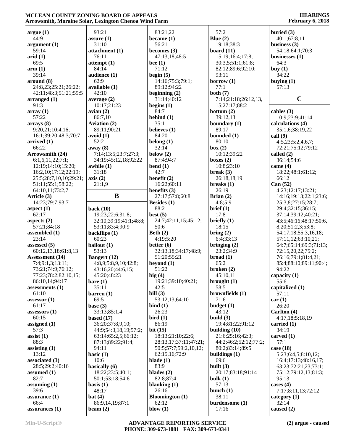| argue(1)               | 93:21                            | 83:21,22               | 57:2                  | buried $(3)$            |
|------------------------|----------------------------------|------------------------|-----------------------|-------------------------|
| 44:9                   | assure $(1)$                     | became $(1)$           | Blue $(2)$            | 40:1;67:8,11            |
| argument(1)            | 31:10                            | 56:21                  | 19:18;38:3            | business $(3)$          |
| 59:14                  | attachment (1)                   | becomes $(3)$          | board $(11)$          | 54:18;64:1;70:3         |
| arid(1)                | 76:11                            | 47:13,18;48:5          | 15:19;16:4;17:8;      | businesses $(1)$        |
| 69:5                   | $\mathbf{attempt}\left(1\right)$ | bee $(1)$              | 30:3,5;51:1;61:8;     | 64:3                    |
|                        |                                  | 71:12                  |                       |                         |
| arm(1)                 | 84:14                            |                        | 82:12;89:6;92:10;     | buy $(1)$               |
| 39:14                  | audience (1)                     | begin $(5)$            | 93:11                 | 34:22                   |
| around (8)             | 62:9                             | 14:16;75:3;79:1;       | borrow $(1)$          | buying $(1)$            |
| 24:8,23;25:21;26:22;   | available (1)                    | 89:12;94:22            | 77:1                  | 57:13                   |
| 42:11;48:3;51:21;59:5  | 42:10                            | beginning $(2)$        | both $(7)$            |                         |
| arranged $(1)$         | average $(2)$                    | 31:14;40:12            | 7:14;21:18;26:12,13,  | $\mathbf C$             |
| 91:3                   |                                  |                        |                       |                         |
|                        | 10:17;21:23                      | begins $(1)$           | 15;27:17;88:2         |                         |
| array(1)               | avian(2)                         | 84:7                   | bottom $(2)$          | cables $(3)$            |
| 57:22                  | 86:7,10                          | behind $(1)$           | 39:12,13              | 10:9;23:9;41:14         |
| arrays(8)              | <b>Aviation (2)</b>              | 35:1                   | boundary (1)          | calculations (4)        |
| 9:20,21;10:4,16;       | 89:11;90:21                      | believes (1)           | 89:17                 | 35:1,6;38:19,22         |
| 16:1;39:20;48:3;70:7   | avoid(1)                         | 84:20                  | bounded (1)           | call(9)                 |
|                        |                                  |                        |                       |                         |
| arrived $(1)$          | 52:2                             | belong $(1)$           | 80:10                 | 4:5,23;5:2,4,6,7;       |
| 66:22                  | away (8)                         | 32:14                  | box (2)               | 72:21;75:12;79:12       |
| Arrowsmith (24)        | 7:14;13:5;23:7;27:3;             | below $(2)$            | 10:12;39:22           | called $(2)$            |
| 6:1,6,11,22;7:1;       | 34:19;45:12,18;92:22             | 87:4;94:7              | boxes $(2)$           | 36:14;54:6              |
| 12:19;14:10;15:20;     | awhile (1)                       | bend(1)                | 10:8;23:10            | came $(4)$              |
|                        |                                  |                        |                       |                         |
| 16:2,10;17:12;22:19;   | 31:18                            | 42:7                   | break $(3)$           | 18:22;48:1;61:12;       |
| 25:5;28:7,10,10;29:21; | axis(2)                          | benefit $(2)$          | 26:18,18,19           | 66:12                   |
| 51:11;55:1;58:22;      | 21:1,9                           | 16:22;60:11            | breaks $(1)$          | Can (52)                |
| 64:10,11;73:2,7        |                                  | benefits $(3)$         | 26:19                 | 4:23;12:17;13:21;       |
| Article (3)            | B                                | 27:17;57:8;60:8        | Brian $(2)$           | 14:16;19:13;22:1;23:6;  |
|                        |                                  |                        |                       |                         |
| 14:23;79:7;93:7        |                                  | Besides $(1)$          | 4:8:5:9               | 25:3,8;27:15;28:7;      |
| aspect $(1)$           | back $(10)$                      | 88:2                   | brief (1)             | 29:4;32:15;36:15;       |
| 62:17                  | 19:23;22:6;31:8;                 | best $(5)$             | 17:8                  | 37:14;39:12;40:21;      |
| aspects $(2)$          | 32:10;39:19;41:1;48:8;           | 24:7;42:11,15;45:12;   | briefly $(1)$         | 43:5;46:16;48:17;50:6,  |
| 57:21;84:18            | 53:11;83:4;90:9                  | 50:6                   | 18:15                 | 8, 20; 51: 2, 3; 53: 8; |
|                        |                                  | Beth $(2)$             |                       |                         |
| assembled (1)          | backflips (1)                    |                        | bring (2)             | 54:17,18;55:3,16,18;    |
| 23:14                  | 60:23                            | 4:19;5:20              | 6:4;33:13             | 57:11,12;63:10,21;      |
| assessed $(5)$         | bailout (1)                      | better $(6)$           | bringing $(2)$        | 64:7;65:14;69:3;71:13;  |
| 60:12,13,18;61:8,13    | 53:13                            | 32:13,18;34:17;48:9;   | 23:2;34:9             | 72:15,20,22;75:2;       |
| <b>Assessment</b> (14) | <b>Bangert</b> (12)              | 51:20;55:21            | broad(1)              | 76:16;79:1;81:4,21;     |
| 7:4;9:1,3;13:11;       | 4:8,9;5:8,9,10;42:8;             | beyond $(1)$           | 65:2                  |                         |
|                        |                                  |                        |                       | 85:4;88:10;89:11;90:4;  |
| 73:21;74:9;76:12;      | 43:16,20;44:6,15;                | 51:22                  | broken(2)             | 94:22                   |
| 77:23;78:2;82:10,15;   | 45:20;48:23                      | big(4)                 | 45:10,11              | capacity (1)            |
| 86:10,14;94:17         | bare(1)                          | 19:21;39:10;40:21;     | brought $(1)$         | 55:6                    |
| assessments $(1)$      | 35:11                            | 42:5                   | 58:5                  | capitalized (1)         |
| 61:10                  | barren(1)                        | bill $(3)$             | brownfields (1)       | 57:11                   |
|                        |                                  |                        |                       |                         |
| assessor $(1)$         | 69:5                             | 53:12,13;64:10         | 71:6                  | car(1)                  |
| 61:17                  | base $(3)$                       | bind $(1)$             | budget(1)             | 26:20                   |
| assessors $(1)$        | 33:13;85:1,4                     | 26:23                  | 43:12                 | Carlton (4)             |
| 60:15                  | based $(17)$                     | $\text{bird} (1)$      | build $(3)$           | 4:17,18;5:18,19         |
| assigned $(1)$         | 36:20;37:8,9,10;                 | 86:19                  | 19:4;81:22;91:12      | carried $(1)$           |
| 57:3                   | 44:9;54:3,18,19;57:2;            | bit $(15)$             | building $(10)$       | 34:19                   |
|                        |                                  |                        |                       |                         |
| $\text{ assist}(1)$    | 63:14;65:2,5;66:12;              | 18:13;21:10;22:6;      | 21:6;25:16;42:3;      | carved (1)              |
| 88:3                   | 87:13;89:22;91:4;                | 28:13,17;37:11;47:21;  | 44:2;46:2;52:12;77:2; | 57:1                    |
| assisting $(1)$        | 94:11                            | 50:5;57:7;59:2,10,12;  | 80:2;83:14;89:5       | case $(18)$             |
| 13:12                  | basic $(1)$                      | 62:15,16;72:9          | buildings $(1)$       | 5:23;6:4,5;8:10,12;     |
| associated (3)         | 10:6                             | blade $(1)$            | 69:6                  | 16:4;17:13;48:16,17;    |
|                        |                                  |                        |                       |                         |
| 28:5;29:2;40:16        | basically (6)                    | 83:9                   | built $(3)$           | 63:23;72:21,23;73:1;    |
| assumed $(1)$          | 18:22;23:5;40:1;                 | blades $(2)$           | 20:17;83:18;91:14     | 75:12;79:12,13;81:3;    |
| 82:7                   | 50:1;53:18;54:6                  | 82:8;87:4              | bulk $(1)$            | 95:13                   |
| assuming $(1)$         | basis $(1)$                      | blanking $(1)$         | 57:13                 | cases $(4)$             |
| 39:6                   | 48:17                            | 26:16                  | bunch $(1)$           | 7:17;8:11,13;72:12      |
| assurance (1)          | bat(4)                           | <b>Bloomington</b> (1) | 38:11                 | category $(1)$          |
|                        |                                  |                        |                       |                         |
| 66:4                   | 86:9,14,19;87:1                  | 62:12                  | burdensome (1)        | 32:14                   |
| assurances (1)         | beam $(2)$                       | blow $(1)$             | 17:16                 | caused $(2)$            |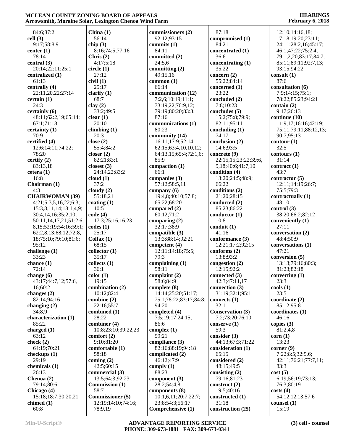#### **HEARINGS February 6, 2018**

 84:6;87:2 **cell (3)** 9:17;58:8,9 **center (1)** 78:14 **central (3)** 20:14;22:11;25:1 **centralized (1)** 61:13 **centrally (4)** 22:11,20,22;27:14 **certain (1)** 24:3 **certainly (6)** 48:11;62:2,19;65:14; 67:1;71:18 **certainty (1)** 70:9 **certified (4)** 12:6;14:11;74:22; 78:20 **certify (2)** 83:13,18 **cetera (1)** 16:8 **Chairman (1)** 4:3 **CHAIRWOMAN (39)** 4:21;5:3,5,16,22;6:3; 15:3,8,11,14;18:1,4,9; 30:4,14,16;35:2,10; 50:11,14,17,21;51:2,6, 8,15;52:19;54:16;59:1; 62:2,8,13;68:12;72:8, 18;75:10;79:10;81:6; 95:12 **challenge (1)** 33:23 **chance (1)** 72:14 **change (6)** 43:17;44:7,12;57:6, 16;60:2 **changes (2)** 82:14;94:16 **changing (2)** 34:8,9 **characterization (1)** 85:22 **charged (1)** 63:12 **check (2)** 64:19;70:21 **checkups (1)** 29:19 **chemicals (1)** 26:13 **Chenoa (2)** 79:14;80:6 **Chicago (4)** 15:18;18:7;30:20,21 **chimed (1)** 60:8 **China (1)** 56:14 **chip (3)** 8:16;74:5;77:16 **Chris (2)** 4:17;5:18 **circle (1)** 27:12 **civil (1)** 25:17 **clarify (1)** 68:7 **clay (2)** 33:2;49:5 **clear (1)** 20:10 **climbing (1)** 20:3 **close (2)** 55:4;84:2 **closer (2)** 82:21;83:1 **closest (3)** 24:14,22;83:2 **cloud (1)** 37:2 **cloudy (2)** 55:18,21 **coating (1)** 10:5 **code (4)** 17:3;25:16,16,23 **codes (1)** 25:17 **Colfax (1)** 68:15 **collector (1)** 35:17 **collects (1)** 36:1 **color (1)** 19:15 **combination (2)** 10:12;82:4 **combine (2)** 22:16;55:7 **combined (1)** 28:22 **combiner (4)** 10:8;23:10;39:22,23 **comfort (2)** 9:10;81:20 **comfortable (1)** 58:18 **coming (2)** 42:5;60:15 **commercial (3)** 13:5;64:3;92:23 **Commission (1)** 58:7 **Commissioner (5)** 12:19;14:10;74:16; 78:9,19 **commissioners (2)** 92:12;93:15 **commits (1)** 84:11 **committed (2)** 24:5,6 **committing (2)** 49:15,16 **common (1)** 66:14 **communication (12)** 7:2,6;10:19;11:1; 73:19,22;76:9,12; 79:19;80:20;83:8; 87:16 **communications (1)** 80:23 **community (14)** 16:11;17:9;52:14; 62:15;63:4,10,10,12; 64:13,15;65:4;72:1,6; 85:9 **compaction (1)** 66:1 **companies (3)** 57:12;58:5,11 **company (6)** 19:4,8;40:10;57:8; 65:22;68:20 **compared (2)** 60:12;71:2 **comparing (2)** 32:17;38:9 **compatible (3)** 13:3;88:14;92:21 **competent (4)** 12:11;14:18;75:5; 79:3 **complaining (1)** 58:11 **complaint (2)** 58:6;84:9 **complete (8)** 14:14;25:20;51:17; 75:1;78:22;83:17;84:8; 94:20 **completed (4)** 7:5;19:17;24:15; 86:6 **complex (1)** 59:21 **compliance (3)** 82:16;88:19;94:18 **complicated (2)** 46:12;47:9 **comply (1)** 88:23 **component (3)** 28:2;54:4,8 **components (8)** 10:1,6,11;20:7;22:7; 23:8;54:3;56:17 **Comprehensive (1)** 87:18 **compromised (1)** 84:21 **concentrated (1)** 36:6 **concentrating (1)** 35:22 **concern (2)** 55:22;84:14 **concerned (1)** 23:22 **concluded (2)** 7:8;10:23 **concludes (5)** 15:2;75:8;79:9; 82:11;95:11 **concluding (1)** 74:17 **conclusion (2)** 14:6;93:5 **concrete (9)** 22:15,15;23:22;39:6, 9,18;40:6;41:7,10 **condition (4)** 13:20;24:5;48:9; 66:22 **conditions (2)** 21:20;28:15 **conducted (2)** 85:23;86:22 **conductor (1)** 10:8 **conduit (1)** 41:16 **conformance (3)** 12:21;17:2;92:15 **conforms (2)** 13:8;93:2 **congestion (2)** 12:15;92:2 **connected (3)** 42:3;47:11,17 **connection (3)** 31:19;32:1;95:1 **connects (1)** 32:1 **Conservation (3)** 7:2;73:20;76:10 **conserve (1)** 59:3 **consider (3)** 44:13;67:3;71:22 **consideration (1)** 65:15 **considered (2)** 48:15;49:5 **consisting (2)** 79:16;81:23 **construct (2)** 19:5;40:16 **constructed (1)** 31:18 **construction (25)** 15:19

 12:10;14:16,18; 17:18;19:20;23:11; 24:11;28:2,16;45:17; 46:1;47:22;75:2,4; 79:1,2,20;83:17;84:7; 85:11;89:11;92:7,13; 93:15;94:22 **consult (1)** 87:6 **consultation (6)** 7:9;14:15;75:1; 78:22;85:23;94:21 **contain (2)** 9:17;26:13 **continue (10)** 11:9,17;16:16;42:19; 75:11;79:11;88:12,13; 90:7;95:13 **contour (1)** 32:5 **contours (1)** 31:14 **contract (1)** 43:7 **contractor (5)** 12:11;14:19;26:7; 75:5;79:3 **contractually (1)** 48:10 **control (3)** 38:20;66:2;82:12 **conveniently (1)** 27:11 **conversation (2)** 48:4;50:9 **conversations (1)** 47:21 **conversion (5)** 13:13;79:16;80:3; 81:23;82:18 **converting (1)** 23:3 **cools (1)** 23:5 **coordinate (2)** 85:12;95:8 **coordinates (1)** 46:16 **copies (3)** 81:2,4,8 **corn (1)** 13:23 **corner (9)** 7:22;8:5;32:5,6; 42:11;76:21;77:7,11; 83:3 **cost (5)** 6:19;56:19;73:13; 76:3;80:19 **costs (4)** 54:12,12,13;57:6 **counsel (1)**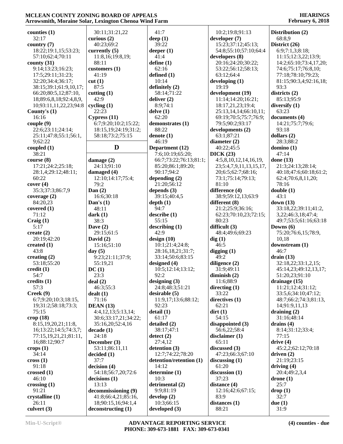| counties $(1)$                   | 30:11;31:21,22            | 41:7                    | 10:2;19:8;91:13         | Distribution (2)       |
|----------------------------------|---------------------------|-------------------------|-------------------------|------------------------|
| 32:17                            | curious $(2)$             | deep $(1)$              | developer (7)           | 68:8,9                 |
| country $(7)$                    | 40:23:69:2                | 39:22                   | 15:23;37:12;45:13;      | District (26)          |
| 18:22;19:1,15;53:23;             | currently $(5)$           | deeper $(1)$            | 54:8;55:10;57:10;64:4   | 6:9;7:1,3;8:18;        |
| 57:10;62:4;70:11                 | 11:8,16;19:8,19;          | 41:4                    | developers $(8)$        | 11:15;12:3,22;13:9;    |
| county $(31)$                    | 88:11                     | define $(1)$            | 20:16;24:20;30:22;      | 14:2;65:10;73:4,17,20; |
| 9:14;13:23;16:23;                | customers (1)             | 62:16                   | 53:22;56:12;58:13;      | 74:6;75:17;76:8,10;    |
| 17:5;29:11;31:23;                | 41:19                     | defined (1)             | 63:12;64:4              | 77:18;78:10;79:23;     |
| 32:20;34:4;36:17;                | cut(1)                    | 10:14                   | developing $(1)$        | 81:15;90:3,4;92:16,18; |
| 38:15;39:1;61:9,10,17;           | 87:5                      | definitely (2)          | 19:19                   | 93:3                   |
| 66:20;80:5,12;87:10,             | cutting $(1)$             | 58:14;71:22             | development (19)        | districts (2)          |
| 18;89:6,8,18;92:4,8,9,           | 42:9                      | deliver $(2)$           | 11:14;14:20;16:21;      | 85:13;95:9             |
| 10;93:11,11,22,23;94:8           | cycling $(1)$             | 8:9;74:1                | 18:17,21,23;19:4;       | diversify (1)          |
| County's $(1)$                   | 22:23                     | delve(1)                | 25:13,14,14;66:10,11;   | 63:23                  |
| 16:16                            | Cypress $(11)$            | 62:20                   | 69:19;70:5;75:7;76:9;   | documents (4)          |
| couple(9)                        | 6:7;9:20;10:2;15:22;      | demonstrates (1)        | 79:5;90:2;93:17         | 14:21;75:7;79:6;       |
| 22:6;23:11;24:14;                | 18:15, 19; 24: 19; 31: 2; | 88:22                   | developments (2)        | 93:18                  |
| 25:11;47:8;55:1;56:1,            | 58:18;73:2;75:15          | denote $(1)$            | 63:1;87:21              | dollars $(2)$          |
| 9;62:22                          |                           | 46:19                   | diameter $(2)$          | 28:3;88:2              |
| coupled $(1)$                    | D                         | Department (12)         | 40:22;45:5              | domino (1)             |
| 38:21                            |                           | 7:6;10:19;65:20;        | DICK(23)                | 47:14                  |
| course (8)                       | damage (2)                | 66:7;73:22;76:13;81:1;  | 4:5,8,10,12,14,16,19,   | done $(13)$            |
| 17:21;24:2;25:18;                | 24:13;91:10               | 85:20;86:1;89:20;       | 23;5:4,7,9,11,13,15,17, | 21:3;24:13;28:14;      |
| 28:1,4;29:12;48:11;              | damaged (4)               | 90:17;94:2              | 20;6:5;62:7;68:16;      | 40:18;47:6;60:18;61:2; |
| 60:22                            | 12:10;14:17;75:4;         | depending $(2)$         | 73:1;75:14;79:13;       | 62:4;70:6,8,11,20;     |
| cover(4)                         | 79:2                      | 21:20;56:12             | 81:10                   | 78:16                  |
| 35:3;37:3;86:7,9                 | Dan $(2)$                 | depends $(3)$           | difference (4)          | double(1)              |
| coverage $(2)$                   | 16:6;30:18                | 39:15;40:4,5            | 38:9;59:12,13;63:9      | 43:1                   |
| 84:20,23                         | Dan's $(1)$               | depth(1)                | different (8)           | down $(13)$            |
| covered $(1)$                    | 48:11                     | 94:7                    | 21:2;25:9;36:16;        | 33:18,22;39:11;41:2,   |
| 71:12                            | dark(1)                   | describe(1)             | 62:23;70:10,23;72:15;   | 3,22;46:3,18;47:4;     |
| Craig(1)                         | 38:3                      | 55:15                   | 80:23                   | 49:7;53:5;61:16;63:18  |
| 5:17                             | Dave $(2)$                | describing (1)          | difficult $(3)$         | Downs $(6)$            |
| create $(2)$                     | 29:15;61:5                | 42:9                    | 48:4;49:6;69:23         | 75:20;76:6,15;78:9,    |
| 20:19;42:20                      | David $(2)$               | design $(10)$           | dig(1)                  | 10,18                  |
| created $(1)$                    | 15:16:51:10               | 10:1;21:4;24:8;         | 46:5                    | downstream (1)         |
| 43:8                             | day $(5)$                 | 28:16,18,21;31:7;       | digging $(1)$           | 46:7                   |
| creating $(2)$                   | 9:23;21:11;37:9;          | 33:14;50:6;83:15        | 49:2                    | drain $(13)$           |
| 53:18;55:20                      | 55:19,21                  | designed (4)            | diligence (2)           | 32:18,22;33:1,2,15;    |
| $\text{credit} \left( 1 \right)$ | DC(1)                     | 10:5;12:14;13:12;       | 31:9;49:11              | 45:14,23;49:12,13,17;  |
| 54:7                             | 23:3                      | 92:2                    | diminish $(2)$          | 51:20,23;91:10         |
| credits $(1)$                    | deal(2)                   | designing $(3)$         | 11:6;88:9               | drainage $(15)$        |
| 57:3                             | 46:3;55:3                 | 24:8;48:3;51:21         | directing $(1)$         | 11:21;12:4;31:12;      |
| Creek(9)                         | dealt(1)                  | desirable (5)           | 33:22                   | 33:5,6;34:10;47:12;    |
| 6:7;9:20;10:3;18:15,             | 71:16                     | 11:9,17;13:6;88:12;     | directives $(1)$        | 48:7;66:2;74:3;81:13,  |
| 19;31:2;58:18;73:3;              | <b>DEAN</b> (13)          | 92:23                   | 62:21                   | 14;91:9,11,13          |
| 75:15                            | 4:4,12,13;5:13,14;        | delta(1)                | $\text{dirt}(1)$        | draining $(2)$         |
| $\text{crop}(18)$                | 30:6;33:17,21;34:22;      | 61:17                   | 54:15                   | 31:16;48:14            |
| 8:15,19,20,21;11:8,              | 35:16,20;52:4,16          | detailed (2)            | disappointed (3)        | drains $(4)$           |
| 16;13:22;14:5;74:3,7;            | decade(1)                 | 38:17;47:1              | 56:6,22;58:4            | 8:14;31:12;33:4;       |
| 77:15,19,21,21;81:11,            | 24:18                     | $\text{detect}(2)$      | disclaimer $(1)$        | 77:15                  |
| 16;88:12;90:7                    | December (3)              | 27:4,12                 | 65:11                   | drive $(4)$            |
| $\mathbf{crops}\left(1\right)$   | 53:11;86:11,11            | detention (3)           | discussed $(3)$         | 45:2,2;62:12;70:18     |
| 34:14                            | decided(1)                | 12:7;74:22;78:20        | 47:23;66:3;67:10        | driven $(2)$           |
| $\csc(1)$                        | 37:7                      | detention/retention (1) | discussing $(1)$        | 21:19;23:15            |
| 91:18                            | decision(4)               | 14:12                   | 61:20                   | driving $(4)$          |
| crossed $(1)$                    | 54:18;56:7,20;72:6        | determine (1)           | discussion $(1)$        | 20:4;49:2,3,4          |
| 46:10                            | decisions(1)              | 10:3                    | 37:23                   | drone(1)               |
| crossing $(1)$                   | 13:13                     | detrimental (2)         | distance $(4)$          | 25:7                   |
| 91:21                            | decommissioning (9)       | 9:9;81:19               | 12:16;42:6;67:15;       | drop(1)                |
| crystalline (1)                  | 41:8;66:4,21;85:16,       | develp(2)               | 83:9                    | 32:7                   |
| 26:11                            | 18;90:15,16;94:1,4        | 10:3;66:15              | distances $(1)$         | due(1)                 |
| culvert $(3)$                    | deconstructing (1)        | developed $(3)$         | 88:21                   | 31:9                   |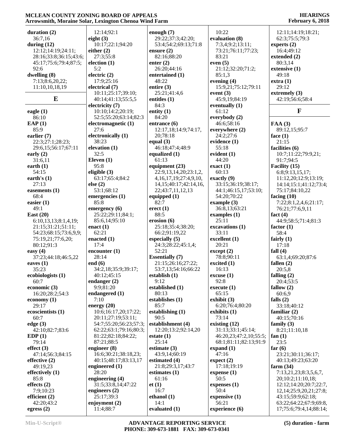| duration $(2)$         | 12:14;92:1             | enough $(7)$                 | 10:22                  | 12:11;14:19;18:21;            |
|------------------------|------------------------|------------------------------|------------------------|-------------------------------|
| 36:7,16                | eight $(3)$            | 29:22;37:3;42:20;            | evaluation (8)         | 62:3;75:5;79:3                |
|                        |                        |                              |                        |                               |
| during $(12)$          | 10:17;22:1;94:20       | 53:4;54:2;69:13;71:8         | 7:3,4;9:2;13:11;       | experts $(2)$                 |
| 12:12;14:19;24:11;     | either $(2)$           | ensure $(2)$                 | 73:21;76:11;77:23;     | 16:4;49:12                    |
| 28:16;33:8;36:15;43:6; | 27:3;55:8              | 82:16:88:20                  | 83:21                  | extended (2)                  |
| 45:17;75:6;79:4;87:5;  | election (1)           | enter $(2)$                  | even $(5)$             | 80:3,14                       |
| 92:6                   | 5:2                    | 26:20;44:16                  | 21:12;32:20;71:2;      | extensive (1)                 |
| dwelling $(8)$         | electric (2)           |                              | 85:1,3                 | 49:18                         |
|                        |                        | entertained (1)              |                        |                               |
| 7:13;8:6,20,22;        | 17:9;25:16             | 48:22                        | evening (4)            | extra(1)                      |
| 11:10,10,18,19         | electrical (7)         | entire $(3)$                 | 15:9,21;75:12;79:11    | 29:12                         |
|                        | 10:11;25:17;39:10;     | 25:21;41:4,6                 | event $(3)$            | extremely $(3)$               |
| E                      | 40:14;41:13;55:5,5     | entitles (1)                 | 45:9,19;84:19          | 42:19;56:6;58:4               |
|                        |                        | 84:3                         |                        |                               |
|                        | electricity (7)        |                              | eventually $(1)$       |                               |
| eagle $(1)$            | 10:10;14:2;20:19;      | entity $(1)$                 | 61:12                  | F                             |
| 86:10                  | 52:5;55:20;63:14;82:3  | 84:20                        | everybody (2)          |                               |
| EAP(1)                 | electromagnetic (1)    | entrance $(6)$               | 46:6;58:16             | FAA(3)                        |
| 85:9                   | 27:6                   | 12:17,18;14:9;74:17,         | everywhere (2)         | 89:12,15;95:7                 |
| earlier (7)            | electronically (1)     | 20;78:18                     | 24:2;27:6              | face $(1)$                    |
|                        |                        |                              |                        |                               |
| 22:3;27:1;28:23;       | 38:23                  | equal $(3)$                  | evidence (1)           | 21:15                         |
| 29:6,15;56:17;67:11    | elevation (1)          | 46:18;47:4;48:9              | 55:18                  | facilities (6)                |
| early $(2)$            | 32:5                   | equalized $(1)$              | evident $(1)$          | 10:7;11:22;79:9,21;           |
| 31:6,11                | Eleven $(1)$           | 61:13                        | 44:20                  | 91:7;94:5                     |
|                        | 95:8                   | equipment (23)               | exact(1)               | Facility (15)                 |
| earth $(1)$            |                        |                              |                        |                               |
| 54:15                  | eligible $(3)$         | 22:9,13,14,20;23:1,2,        | 60:13                  | 6:8;9:13,15,17;               |
| earth's $(1)$          | 63:17;65:4;84:2        | 4, 16, 17, 19; 27: 4, 9, 10, | exactly $(9)$          | 11:12,20;12:9;13:19;          |
| 27:13                  | else (2)               | 14, 15; 40: 17; 42: 14, 16,  | 33:15;36:19;38:17;     | 14:14;15:1;41:12;73:4;        |
| easements $(1)$        | 53:1;68:12             | 22;43:7,11,12,13             | 44:1;46:15,17;53:10;   | 75:17;84:10,22                |
| 68:4                   | emergencies (1)        | equipped (1)                 | 54:20;70:22            | facing $(10)$                 |
|                        |                        |                              |                        |                               |
| easier $(1)$           | 85:8                   | 82:7                         | example $(3)$          | 7:22;8:1,2,4,6;21:17;         |
| 49:1                   | emergency $(6)$        | erect (1)                    | 36:8,13;63:21          | 76:21;77:6,9,11               |
| East $(20)$            | 25:22;29:11;84:1;      | 88:5                         | examples (1)           | fact $(4)$                    |
| 6:10,13,13;8:1,4,19;   | 85:6,14;95:10          | erosion(6)                   | 25:11                  | 44:9;58:5;71:4;81:3           |
| 21:15;31:21;51:11;     | enact $(1)$            | 25:18;35:4;38:20;            | excavations (1)        |                               |
|                        |                        |                              |                        | factor $(1)$                  |
| 54:23;68:15;73:6,9,9;  | 62:21                  | 66:2;91:19,22                | 33:11                  | 58:4                          |
| 75:19,21;77:6,20;      | enacted (1)            | especially $(5)$             | excellent (1)          | fairly $(1)$                  |
| 80:12;91:3             | 17:4                   | 24:3;28:22;45:1,4;           | 20:21                  | 17:18                         |
| easy $(4)$             | encounter $(1)$        | 52:21                        | except (2)             | fall $(4)$                    |
| 37:23;44:18;46:5,22    | 28:14                  | <b>Essentially (7)</b>       | 78:8;90:11             | 63:1,4;69:20;87:6             |
|                        |                        |                              |                        |                               |
| eaves $(1)$            | end $(6)$              | 21:15;26:16;27:22;           | excited $(1)$          | fallen $(2)$                  |
| 35:23                  | 34:2,18;35:9;39:17;    | 53:7,13;54:16;66:22          | 16:13                  | 20:5,8                        |
| ecobiologists (1)      | 40:12:45:15            | establish $(1)$              | excuse(1)              | falling $(2)$                 |
| 60:7                   | endanger $(2)$         | 9:12                         | 92:8                   | 20:4;53:5                     |
| economic $(3)$         | 9:9:81:20              | established (1)              | execute (1)            | fallow $(2)$                  |
|                        |                        |                              |                        |                               |
| 16:20;28:2;54:3        | endangered (1)         | 80:13                        | 65:15                  | 60:6,9                        |
| economy $(1)$          | 7:10                   | establishes $(1)$            | exhibit $(3)$          | falls $(2)$                   |
| 29:17                  | energy $(20)$          | 85:7                         | 6:20;76:4;80:20        | 33:18;40:12                   |
| ecoscientists (1)      | 10:6;16:17,20;17:22;   | establishing $(1)$           | exhibits $(1)$         | familiar $(2)$                |
| 60:7                   | 20:11;27:19;53:11;     | 90:5                         | 73:14                  | 40:15;70:16                   |
| edge $(3)$             | 54:7;55:20;56:23;57:3; | establishment (4)            | existing $(12)$        | family $(3)$                  |
|                        |                        |                              |                        |                               |
| 42:10;82:7;83:6        | 62:22;63:1;79:16;80:3; | 12:20;13:2;92:14,20          | 31:13;33:1;45:14;      | 8:21;11:10,18                 |
| EDP(1)                 | 81:22;82:18;84:22;     | estate $(1)$                 | 46:20,23;47:2,10;55:5; | fan $(1)$                     |
| 79:14                  | 87:21;88:5             | 25:14                        | 68:1;81:11;82:13;91:9  | 23:5                          |
| effect $(3)$           | engineer $(8)$         | estimate $(3)$               | expand $(1)$           | far $(6)$                     |
| 47:14;56:3;84:15       | 16:6;30:21;38:18,23;   | 43:9,14;60:19                | 47:16                  | 23:21;30:11;36:17;            |
|                        |                        |                              | expect (2)             |                               |
| effective $(2)$        | 40:15;48:17;83:13,17   | estimated (4)                |                        | 40:13;49:23;63:20             |
| 49:19,23               | engineered $(1)$       | 21:8;29:3,17;43:7            | 17:18;19:19            | farm $(34)$                   |
| effectively $(1)$      | 28:20                  | estimates $(1)$              | expense $(1)$          | 7:13,21,23;8:3,5,6,7,         |
| 85:8                   | engineering (4)        | 61:16                        | 50:5                   | 20;10:2;11:10,18;             |
| effects $(2)$          | 31:5;33:8,14;47:22     | et(1)                        | expenses $(1)$         | 12:12;14:20;20:7;22:7,        |
|                        |                        | 16:7                         |                        |                               |
| 7:9;10:23              | engineers $(2)$        |                              | 50:4                   | 12, 14; 25: 9, 20, 21; 27: 8; |
| efficient $(2)$        | 25:17;39:3             | ethanol $(1)$                | expensive $(1)$        | 43:15;59:9;62:18;             |
| 42:20;43:2             | enjoyment $(2)$        | 14:1                         | 56:21                  | 63:22;64:22;67:9;69:8,        |
| egress $(2)$           | 11:4;88:7              | evaluated (1)                | experience (6)         | 17;75:6;79:4,14;88:14;        |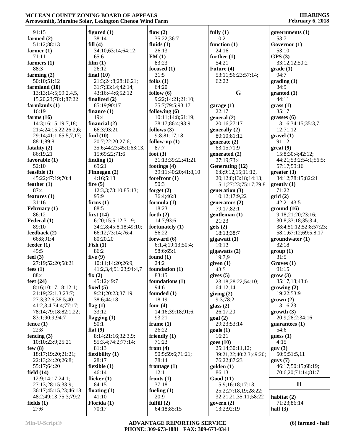| 91:15                     | figured $(1)$          | flow $(2)$          | fully $(1)$                      | governments (1)        |
|---------------------------|------------------------|---------------------|----------------------------------|------------------------|
|                           | 38:14                  |                     | 10:2                             | 53:7                   |
| farmed (2)                |                        | 35:22;36:7          |                                  |                        |
| 51:12;88:13               | fill(4)                | fluids $(1)$        | function $(1)$                   | Governor (1)           |
| farmer $(1)$              | 34:10;63:14;64:12;     | 26:13               | 24:16                            | 53:10                  |
| 71:11                     | 65:6                   | FM(1)               | further $(1)$                    | GPS(3)                 |
| farmers $(1)$             | film(1)                | 83:23               | 54:21                            | 33:12,12;50:2          |
| 88:3                      | 26:12                  | focused $(1)$       | Future (4)                       | grade(1)               |
| farming $(2)$             | final $(10)$           | 31:5                | 53:11;56:23;57:14;               | 94:7                   |
| 50:10;51:12               | 21:3;24:8;28:16,21;    | folks $(1)$         | 62:22                            | grading(1)             |
| farmland (10)             | 31:7;33:14;42:14;      | 64:20               |                                  | 34:9                   |
| 13:13:14:5:59:2,4,5,      | 43:16;44:6;52:12       | follow $(6)$        | G                                | granted (1)            |
| 15, 20, 23; 70: 1; 87: 22 | finalized $(2)$        | 9:22;14:21;21:10;   |                                  | 44:11                  |
| farmlands $(1)$           | 85:19;90:17            | 75:7;79:5;93:17     | garage $(1)$                     | grass(1)               |
| 16:19                     | finance $(1)$          | following $(6)$     | 22:17                            | 35:17                  |
| farms $(16)$              | 19:4                   | 10:11;14:8;61:19;   | general (2)                      | grasses $(6)$          |
| 14:3;16:15;19:7,18;       | financial $(2)$        | 78:17;86:4;93:9     | 20:16;27:17                      | 13:16;34:15;35:3,7,    |
| 21:4;24:15,22;26:2,6;     | 66:3;93:21             | follows $(3)$       | generally (2)                    | 12;71:12               |
| 29:14;41:1;65:5,7,17;     | find $(10)$            | 9:8;81:17,18        | 80:10:81:12                      | gravel(1)              |
| 88:1;89:8                 | 20:7;22:20;27:6;       | follow-up $(1)$     | generate $(2)$                   | 91:12                  |
| fatality $(2)$            | 35:6;44:23;45:1;63:13, | 87:7                | 63:15;71:9                       | $gr(9)$                |
| 86:19,21                  | 15;69:22;71:6          | foot $(3)$          | generated $(2)$                  | 15:8;30:4;42:12;       |
| favorable (1)             | finding $(1)$          | 31:13;39:22;41:21   | 27:19;73:4                       | 44:21;53:2;54:1;56:5;  |
| 52:10                     | 69:21                  | footings $(4)$      | Generating (12)                  | 57:17;59:16            |
| feasible $(3)$            | Finnegan $(2)$         | 39:11;40:20;41:8,10 | 6:8;9:12,15;11:12,               | greater(3)             |
| 45:22;47:19;70:4          | 4:16;5:18              | forefront $(1)$     | 20;12:8;13:18;14:13;             | 34:12;78:15;82:21      |
| feather $(1)$             | fire $(5)$             | 50:3                | 15:1;27:23;75:17;79:8            | $g realty (1)$         |
| 87:4                      | 12:3,3;78:10;85:13;    | forget $(2)$        | generation (3)                   | 71:22                  |
| features $(1)$            | 95:9                   | 36:4;46:8           | 10:12;17:9,22                    | grid(2)                |
| 31:16                     | firms $(1)$            | formula $(1)$       | generators $(2)$                 | 42:21;43:5             |
| February (1)              | 88:5                   | 18:23               | 79:17;82:1                       | ground(16)             |
| 86:12                     | first $(14)$           | forth $(2)$         | gentleman(1)                     | 9:18;21:20;23:16;      |
| Federal (1)               | 6:20;15:5,12;31:9;     | 14:7;93:6           | 21:23                            | 30:8;33:18;35:3,4;     |
| 89:10                     | 34:2,8;45:8,18;49:10;  | fortunately $(1)$   | gets(2)                          | 38:4;51:12;52:8;57:23; |
| feedback(2)               | 66:12;73:14;76:4;      | 56:22               | 18:13;38:7                       | 58:1;67:12;69:5,8,17   |
| 66:8;91:4                 | 80:20,20               | forward $(6)$       | gigawatt (1)                     | groundwater(1)         |
| feeder $(1)$              | $\textbf{fish}(1)$     | 6:1,4;19:13;50:4;   | 19:12                            | 32:18                  |
| 45:5                      | 86:2                   | 58:6;65:1           | gigawatts (2)                    | group(1)               |
| feel $(3)$                | five $(9)$             | found $(1)$         | 19:7,9                           | 31:5                   |
| 27:19;52:20;58:21         | 10:11;14:20;26:9;      | 24:2                | given $(1)$                      | Groves(1)              |
| fees $(1)$                | 41:2,3,4;91:23;94:4,7  | foundation (1)      | 43:5                             | 91:15                  |
| 88:4                      | fix(2)                 | 83:15               | gives $(5)$                      | grow(3)                |
| feet $(24)$               | 45:12;49:7             | foundations $(1)$   | 23:18;28:22;54:10;               | 35:17,18;43:6          |
| 8:16;10:17,18;12:1;       | fixed $(5)$            | 94:6                | 64:12,14                         | growing (2)            |
| 21:19;22:1,3;23:7;        | 9:21;20:23;37:19;      | founded (1)         | giving $(2)$                     | 19:22;53:9             |
| 27:3;32:6;38:5;40:1;      | 38:6:44:18             | 18:19               | 9:3;78:2                         | $grown$ (2)            |
| 41:2,3,4;74:4;77:17;      | flag $(1)$             | four $(4)$          | glass $(2)$                      | 13:16,23               |
| 78:14;79:18;82:1,22;      | 33:12                  | 14:16;39:18;91:6;   | 26:17,20                         | growth(3)              |
| 83:1;90:9;94:7            | flagging $(1)$         | 93:21               | goal(2)                          | 20:9;28:2;34:16        |
| fence $(1)$               | 50:1                   | frame $(1)$         | 29:23;53:14                      | guarantees $(1)$       |
| 22:8                      | flat $(9)$             | 26:22               | $\text{goals}$ (1)               | 54:6                   |
| fencing $(3)$             | 8:14;21:16;32:3,9;     | friendly $(1)$      | 16:21                            | guess(1)               |
| 10:10:23:9:25:21          | 55:3,4;74:2;77:14;     | 71:23               | goes(10)                         | 4:15                   |
| few $(8)$                 | 81:13                  | front $(4)$         | 25:14;30:11,12;                  | guy(3)                 |
| 18:17;19:20;21:21;        | flexibility $(1)$      | 50:5;59:6;71:21;    | 39:21, 22; 40: 2, 3; 49: 20;     | 50:9;51:5,11           |
| 22:13;24:20;26:8;         | 28:17                  | 78:14               | 76:22;87:23                      | gays(7)                |
| 55:17;64:20               | flexible $(1)$         | frontage $(1)$      | $\text{golden} \left( 1 \right)$ | 46:17;50:15;68:19;     |
| field $(14)$              | 46:14                  | 12:1                | 86:13                            | 70:6,20;71:14;81:7     |
| 12:9;14:17;24:1;          | flicker $(1)$          | fronts $(1)$        | Good(11)                         |                        |
| 27:13;28:15;33:9;         | 84:15                  | 37:18               | 15:9;16:18;17:13;                | $\bf H$                |
| 36:17;45:15,23;46:18;     | floating $(1)$         | fueling $(1)$       | 25:2;27:18,19;28:22;             |                        |
| 48:2;49:13;75:3;79:2      | 41:10                  | 20:9                | 32:21,21;35:11;58:22             | habitat $(2)$          |
| fields $(1)$              | Florida $(1)$          | fulfill $(2)$       | govern $(2)$                     | 71:23;86:14            |
| 27:6                      | 70:17                  | 64:18;85:15         | 13:2;92:19                       | half $(3)$             |

**(6) farmed - half**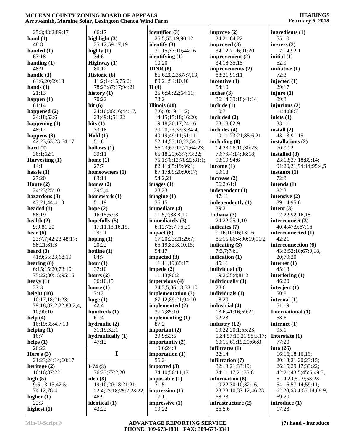25:3;43:2;89:17 **hand (1)** 48:8 **handed (1)** 63:18 **handing (1)** 48:9 **handle (3)** 64:6,20;69:13 **hands (1)** 21:13 **happen (1)** 61:14 **happened (2)** 24:18;53:6 **happening (1)** 48:12 **happens (3)** 42:23;63:23;64:17 **hard (2)** 36:1;62:1 **Harvesting (1)** 14:1 **hassle (1)** 27:20 **Haute (2)** 24:23;25:10 **hazardous (3)** 43:21;44:4,10 **headed (1)** 58:19 **health (2)** 9:9;81:20 **hear (6)** 23:7,7;42:23;48:17; 58:21;81:3 **heard (3)** 41:9;55:23;68:19 **hearing (6)** 6:15;15:20;73:10; 75:22;80:15;95:16 **heavy (1)** 37:3 **height (10)** 10:17,18;21:23; 79:18;82:2,22;83:2,4, 10;90:10 **help (4)** 16:19;35:4,7,13 **helping (1)** 16:7 **helps (1)** 26:22 **Here's (3)** 21:23;24:14;60:17 **heritage (2)** 16:16;87:22 **high (5)** 9:5;13:15;42:5; 74:12;78:4 **higher (1)** 22:3 **highest (1)** 66:17 **highly (1)** 34:6 80:12 **history (1)** 70:22 **hit (6) hits (1)** 33:18 **Hold (1)** 51:6 **hollows (1)** 39:11 **home (1)** 27:7 83:11 **homes (2)** 29:3,4 51:19 **hope (2)** 29:21 **hoping (1)** 20:22 **hotline (1)** 84:7 **hour (1)** 37:10 **hours (2) house (1)** 7:12 **huge (1)** 42:4 61:4 47:12 **I-74 (3) idea (8)** 46:9 43:22

**highlight (3)** 25:12;59:17,19 **Highway (1) Historic (6)** 11:2;14:15;75:2; 78:23;87:17;94:21 24:10;36:16;44:17, 23;49:1;51:22 **homeowners (1) homework (1)** 16:15;67:3 **hopefully (5)** 17:11,13,16,19; 36:10,15 **hundreds (1) hydraulic (2)** 31:19;32:1 **hydraulically (1) I** 76:23;77:2,20 19:10;20:18;21:21; 22:4;23:18;25:2;28:22; **identical (1) II (4)** 19:22

**identified (3)** 26:5;53:19;90:12 **identify (3)** 31:15;33:10;44:16 **identifying (1)** 10:20 **IDNR (8)** 86:6,20,23;87:7,13; 89:21;94:10,10 25:6;58:22;64:11; 73:2 **Illinois (40)** 7:6;10:19;11:2; 14:15;15:18;16:20; 19:18;20:17;24:16; 30:20,23;33:3;34:4; 40:19;49:11;51:11; 52:14;53:10,23;54:5; 56:23;62:12,21;64:23; 65:18,20;66:7;73:22; 75:1;76:12;78:23;81:1; 82:11;85:19;86:1; 87:17;89:20;90:17; 94:2,21 **images (1)** 28:23 **imagine (1)** 36:15 **immediate (4)** 11:5,7;88:8,10 **immediately (3)** 6:12;73:7;75:20 **impact (8)** 17:20;23:21;29:7; 65:19;82:8,10,15; 94:17 **impacted (3)** 11:11,19;88:17 **impede (2)** 11:13;90:2 **impervious (4)** 34:3,5;36:18;38:10 **implementation (3)** 87:12;89:21;94:10 **implemented (2)** 37:7;85:10 **implementing (1)** 87:2 **important (2)** 29:9;53:5 **importantly (2)** 19:6;24:9 **importation (1)** 56:2 **imported (3)** 34:10;56:11,13 **impossible (1)** 71:5 **impression (1)** 17:11 **impressive (1)**

**improve (2)** 34:21;84:22 **improved (3)** 34:12;71:6;91:20 **improvement (2)** 34:18;35:15 **improvements (2)** 88:21;91:11 **incentive (1)** 54:10 **inches (3)** 36:14;39:18;41:14 **include (1)** 10:7 **included (2)** 73:18;82:9 **includes (4)** 10:11;73:21;85:6,21 **including (8)** 14:23;26:10;30:23; 79:7;84:14;86:18; 93:19;94:6 **income (1)** 59:13 **increase (2)** 56:2;61:1 **independent (1)** 47:11 **independently (1)** 39:2 **Indiana (3)** 24:22;25:1,10 **indicates (7)** 9:16;10:16;13:16; 85:15;86:4;90:19;91:2 **indicating (3)** 7:3,7;74:1 **indication (1)** 45:11 **individual (3)** 19:2;25:4;81:2 **individually (1)** 28:6 **individuals (1)** 18:20 **industrial (4)** 13:6;41:16;59:21; 92:23 **industry (12)** 19:22;20:1;55:23; 56:4;57:19,21;58:3,17; 60:15;61:19,20;66:8 **infiltrates (1)** 32:14 **infiltration (7)** 32:13,21;33:19; 34:11,17,21;35:8 **information (8)** 10:22;30:10;32:16, 23;33:10;37:12;46:23; 68:23 **infrastructure (2)** 55:5,6

**ingredients (1)** 55:10 **ingress (2)** 12:14;92:1 **initial (1)** 52:9 **initiative (1)** 72:3 **injected (1)** 29:17 **injure (1)** 89:3 **injurious (2)** 11:4;88:7 **inlets (1)** 33:11 **install (2)** 43:13;91:15 **installations (2)** 70:9,12 **installed (8)** 23:13;37:18;89:14; 91:20,21;94:14;95:4,5 **instance (1)** 72:3 **intends (1)** 82:3 **intensive (2)** 89:14;95:6 **intent (3)** 12:22;92:16,18 **interconnect (3)** 40:4;47:9;67:16 **interconnected (1)** 42:21 **interconnection (6)** 43:3;52:10;67:9,18, 20;79:20 **interest (1)** 45:13 **interfering (1)** 46:20 **interject (1)** 50:8 **internal (1)** 51:19 **International (1)** 58:6 **internet (1)** 95:1 **Interstate (1)** 77:20 **into (26)** 16:16;18:16,16; 20:13;21:20;23:15; 26:15;29:17;33:22; 42:21;43:5;45:6;49:3, 5,14,20;50:9;53:23; 54:15;57:14;59:11; 62:20;63:4;65:14;68:9; 69:20 **introduce (1)** 17:23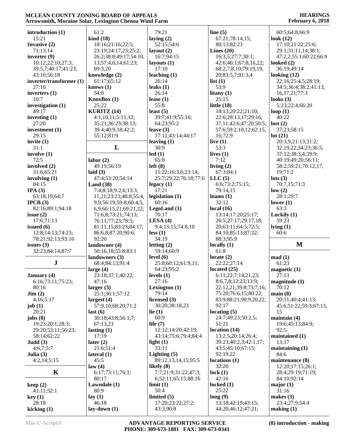| introduction (1)         | 61:2                      | 79:21                          | line $(5)$                               | 60:5;64:8;66:9               |
|--------------------------|---------------------------|--------------------------------|------------------------------------------|------------------------------|
| 15:21                    | $\operatorname{kind}(18)$ | laying $(2)$                   | 67:21;78:14,15;                          | look $(12)$                  |
| Invasive (2)             | 18:16;21:16;22:5;         | 52:15;54:6                     | 80:13;82:23                              | 17:10;21:22;25:6;            |
| 71:13,14                 | 23:19;24:17,23;25:2;      | layout $(2)$                   | Lines $(20)$                             | 29:1;31:11,14;38:1;          |
| inverter $(9)$           | 26:2;38:8;49:17;54:10,    | 16:7;94:15                     | 16:3,5;27:7;30:1;                        | 47:2,2;55:1;60:22;66:9       |
| 10:12;22:10;27:3;        | 13;57:4,6,14;61:23;       | layouts $(1)$                  | 42:6;46:1;67:8,16,22;                    | looked $(2)$                 |
| 39:5,7;40:17;41:23;      | 69:3,20                   | 17:10                          | 68:2,7,8,10;79:19,19,                    | 36:19;49:14                  |
| 43:10;56:18              | knowledge (2)             | leaching $(1)$                 | 20;83:5,7;91:3,4                         | looking $(12)$               |
| inverter/transformer (1) | 61:17;65:12               | 26:14                          | list(1)                                  | 22:16;25:4,5;28:19;          |
| 27:10                    | knows $(1)$               | leaks $(1)$                    | 53:9                                     | 34:5;36:4;38:2;41:13,        |
| inverters (1)            |                           |                                |                                          |                              |
|                          | 54:8                      | 26:14                          | litany $(1)$                             | 16, 17, 21; 77: 3            |
| 10:7                     | KnowBox(1)                | lease $(1)$                    | 25:15                                    | looks $(3)$                  |
| investigation (1)        | 25:22                     | 55:8                           | little $(18)$                            | 5:23;22:4;66:20              |
| 49:17                    | KURITZ (14)               | least $(5)$                    | 18:13;20:22;21:10;                       | loop $(1)$                   |
| investing $(1)$          | 4:1,10,11;5:11,12;        | 39:7;41:9;55:16;               | 22:6;28:13,17;29:16;                     | 40:22                        |
| 27:20                    | 35:21;36:23;38:13;        | 64:23;95:2                     | 37:11;42:6;47:20;50:5;                   | lost(2)                      |
| investment $(1)$         | 39:4;40:9,18;42:2;        | leave $(3)$                    | 57:6;59:2,10,12;62:15,                   | 37:23;58:15                  |
| 29:15                    | 55:12;81:9                | 17:11;43:14;44:17              | 16;72:9                                  | lot(21)                      |
| invite $(1)$             |                           | leaving $(1)$                  | live $(1)$                               | 20:3,9;21:13;31:2;           |
| 31:1                     | L                         | 30:9                           | 53:3                                     | 32:19,22;34:23;36:5;         |
| involve $(1)$            |                           | led(1)                         | lives $(1)$                              | 37:12;38:3,4;39:9;           |
| 72:5                     | labor(2)                  | 65:8                           | 7:12                                     | 40:19;49:20;56:11;           |
| involved (2)             | 49:19;56:19               | left(8)                        | living $(2)$                             | 58:2;59:21;70:12,17,         |
| 31:6;65:21               | laid $(3)$                | 15:22;16:3,6;23:14;            | 67:3;84:1                                | 19;71:2                      |
| involving $(1)$          | 47:4;53:20;54:14          | 25:7;29:22;76:18;77:6          | LLC(5)                                   | lots $(3)$                   |
| 84:15                    | Land $(38)$               | legacy(1)                      | 6:6;73:2;75:15;                          | 70:7,15;71:3                 |
| IPA(3)                   |                           | 17:21                          |                                          |                              |
|                          | 7:4;8:18;9:2,6;13:3,      |                                | 79:14,15                                 | low(2)                       |
| 63:18,19;64:7            | 11,21;23:23;48:8;55:4,    | legislation (1)                | loams(1)                                 | 28:1;29:7                    |
| IPCB(3)                  | 9,9;56:19;59:8;60:4,5,    | 60:16                          | 32:12                                    | lower $(1)$                  |
| 82:16;89:1;94:18         | 6,9;66:15,21;69:21,22;    | LegoLand (1)                   | local $(16)$                             | 63:3                         |
| issue $(2)$              | 71:6,8;73:21;74:13;       | 70:17                          | 13:14;17:20;25:17;                       | Luckily $(1)$                |
| 17:6;71:13               | 76:11;77:23;78:5;         | LESA $(4)$                     | 26:5;27:17;29:17,18,                     | 59:23                        |
| issued $(6)$             | 81:11,15;83:23;84:17;     | 9:4;13:15;74:8,10              | 20;63:11;64:5;72:5;                      | lying(1)                     |
| 12:8;14:13;74:23;        | 86:6,8;87:20;90:6;        | less(1)                        | 84:10;85:13;87:22;                       | 60:6                         |
| 78:21;92:13;93:16        | 92:20                     | 34:19                          | 88:3;95:9                                |                              |
| issues $(3)$             | landowner (4)             | letting $(2)$                  | locally $(1)$                            | $\mathbf M$                  |
| 32:23;84:14;87:7         | 50:16,18;55:8;83:1        | 59:14;60:9                     | 61:8                                     |                              |
|                          | landowners (3)            | level $(6)$                    | locate $(2)$                             | mad(1)                       |
| ${\bf J}$                | 68:4;84:13;91:4           | 25:8;60:12;61:9,11;            | 22:22;27:14                              | 61:23                        |
|                          | large $(4)$               | 64:23;95:2                     | located $(25)$                           | magnetic $(1)$               |
| <b>January</b> (4)       | 23:18;37:1;40:22;         | levels $(1)$                   | 6:11,22;7:14,21,23;                      | 27:13                        |
| 6:16;73:11;75:23;        | 47:16                     | 27:16                          | 8:6,7,8;12:23;13:9;                      | magnitude(1)                 |
| 80:16                    | larger $(3)$              | Lexington $(1)$                | 22:12,21;39:8;73:7,16;                   | 70:12                        |
| $\text{Jim} (2)$         | 25:1;36:1;57:12           | 79:14                          | 75:20;76:6,15;80:22;                     | main(8)                      |
|                          |                           | licensed $(3)$                 | 83:9;88:21;90:9,20,22;                   | 20:11;40:4;41:13;            |
| 4:16;5:17                | largest(4)                |                                |                                          |                              |
| job $(1)$                | 57:9,10;68:20;71:2        | 30:20;38:18,23                 | 92:17                                    | 45:6;51:22;59:3;67:13,       |
| 20:21                    | last(6)                   | lie $(1)$                      | locating $(5)$                           | 15                           |
| jobs(8)                  | 30:18;43:8;56:1,7;        | 60:9                           | 24:7;49:23;50:2,5;                       | maintain $(4)$               |
| 19:23;20:1;28:3;         | 67:13,23                  | life $(7)$                     | 51:21                                    | 19:6;45:13;84:9;             |
| 29:20;53:11;56:23;       | lasting $(1)$             | 12:12;14:20;42:19;             | location(14)                             | 92:5                         |
| 58:14;62:22              | 17:19                     | 43:14;75:6;79:4;84:4           | 13:2,5;20:14;26:4;                       | maintained (1)               |
| Judd(3)                  | later $(2)$               | light $(1)$                    | 39:23;40:2,3;42:1,17;                    | 13:17                        |
| 4:6,7;5:7                | 21:6;51:4                 | 33:11                          | 43:5;45:10;67:15;                        | maintaining $(1)$            |
| Julia $(3)$              | lateral $(1)$             | Lighting $(5)$                 | 92:19,22                                 | 84:6                         |
| 4:2,14;5:15              | 45:5                      | 89:12,13,14,15;95:5            | locations(1)                             | maintenance (8)              |
|                          | law(4)                    | likely $(8)$                   | 32:20                                    | 12:20;17:15;26:1;            |
| K                        |                           | 7:7;21:9;31:22;47:3,           | lock(1)                                  | 28:4;29:19;71:19;            |
|                          |                           |                                |                                          |                              |
|                          | 6:17;73:11;76:1;          |                                |                                          |                              |
|                          | 80:17                     | 6;52:11;65:15;88:16            | 42:16                                    | 84:10;92:14                  |
| keep(2)                  | Lawndale (1)              | limit(1)                       | locked $(1)$                             | major(1)                     |
| 41:11;52:1               | 80:9                      | 50:4                           | 25:22                                    | 31:16                        |
| key(1)                   | lay $(1)$                 | limited $(5)$                  | long(9)                                  | makes $(3)$                  |
| 28:18<br>kicking $(1)$   | 46:18<br>$lay-down(1)$    | 17:20;23:22;27:2;<br>43:3;90:8 | 13:18;42:19;43:15;<br>44:20;46:12;47:21; | 23:4;27:9;54:4<br>making (1) |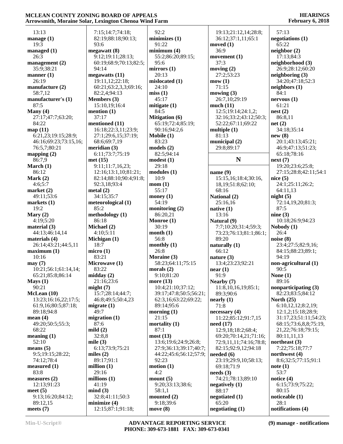|                                | $\bullet$ .                 |
|--------------------------------|-----------------------------|
| 13:13                          | 7:15;14:7;7                 |
| manage $(1)$                   | 82:19;88:1                  |
| 19:3                           | 93:6                        |
| managed (1)                    | megawatt (8)                |
| 26:3                           | 9:12;19:11                  |
| management (2)                 | 60:19;68:9;                 |
| 35:9;38:21<br>manner $(1)$     | 94:14<br>megawatts (1       |
| 26:19                          | 19:11,12;22                 |
| manufacture (2)                | 60:21;63:2,                 |
| 58:7,12                        | 82:2,4;94:1                 |
| manufacturer's (1)             | Members (3)                 |
| 87:5                           | 15:10,19;1                  |
| Many $(4)$                     | mention $(1)$               |
| 27:17;47:7;63:20;<br>84:22     | 37:17<br>mentioned (1       |
| map(11)                        | 16:18;22:3.                 |
| 6:21,23;19:15;28:9;            | 27:1;29:6,1                 |
| 46:16;69:23;73:15,16;          | 68:6;69:7,1                 |
| 76:5,7;80:21                   | meridian (3)                |
| mapping $(2)$                  | 6:11;73:7;7                 |
| 86:7,9                         | met (15)                    |
| March $(1)$                    | 9:11;11:7,1                 |
| 86:12<br>Mark $(2)$            | 12:16;13:1<br>82:14;88:10   |
| 4:6;5:7                        | 92:3,18;93:                 |
| market (2)                     | metal $(2)$                 |
| 49:11;53:6                     | 34:15;35:7                  |
| markets $(1)$                  | meteorologic                |
| 19:2                           | 85:2                        |
| Mary $(2)$                     | methodology                 |
| 4:19;5:20<br>material (3)      | 86:18<br>Michael (2)        |
| 44:13;46:14,14                 | 4:10;5:11                   |
| materials (4)                  | Michigan (1)                |
| 26:14;43:21;44:5,11            | 18:7                        |
| maximum <sub>(1)</sub>         | micro(1)                    |
| 10:16                          | 83:21                       |
| may(7)<br>10:21;56:1;61:14,14; | Microwave (<br>83:22        |
| 65:21;85:8;86:14               | midday(2)                   |
| Mays(1)                        | 21:16;23:6                  |
| 90:21                          | might(7)                    |
| McLean (10)                    | 15:7;28:14                  |
| 13:23;16:16,22;17:5;           | 46:8;49:5;5                 |
| 61:9,16;80:5;87:18;            | migrate $(1)$               |
| 89:18:94:8<br>mean $(4)$       | 49:7<br>migration $(1)$     |
| 49:20;50:5;55:3;               | 87:6                        |
| 68:22                          | mild $(2)$                  |
| meaning (1)                    | 32:8,8                      |
| 52:10                          | mile $(3)$                  |
| means $(5)$                    | 6:13;73:9;7                 |
| 9:5;19:15;28:22;               | miles $(2)$                 |
| 74:12;78:4<br>measured (1)     | 89:17;91:1<br>million $(1)$ |
| 83:8                           | 29:16                       |
| measures $(2)$                 | millions $(1)$              |
| 12:13;91:23                    | 41:19                       |
| meet $(5)$                     | mind(3)                     |
| 9:13;16:20;84:12;              | 32:8;41:11                  |
| 89:12,15                       | minimize (4)                |
| meets $(7)$                    | 12:15;87:1                  |

| 7:15;14:7;74:18;       | 92:2                    |     |
|------------------------|-------------------------|-----|
| 82:19;88:18;90:13;     | minimizes $(1)$         |     |
| 93:6                   | 91:22                   | mo  |
|                        | minimum(4)              |     |
| egawatt (8)            |                         |     |
| 9:12;19:11;28:13;      | 55:2;86:20;89:15;       | mo  |
| 60:19;68:9;70:13;82:5; | 95:6                    |     |
| 94:14                  | mirrors(1)              | mo  |
| egawatts (11)          | 20:13                   |     |
| 19:11,12;22:18;        | mislocated (1)          | mo  |
| 60:21;63:2,3,3;69:16;  | 24:10                   |     |
|                        |                         |     |
| 82:2,4;94:13           | miss(1)                 | mo  |
| embers $(3)$           | 45:17                   |     |
| 15:10,19;16:4          | mitigate $(1)$          | m   |
| ention $(1)$           | 84:5                    |     |
| 37:17                  | <b>Mitigation (6)</b>   |     |
|                        | 65:19;72:4;85:19;       |     |
| entioned (11)          |                         |     |
| 16:18;22:3,11;23:9;    | 90:16;94:2,6            | m   |
| 27:1;29:6,15;37:19;    | Mobile (1)              |     |
| 68:6;69:7,19           | 83:23                   | m   |
| eridian (3)            | models (2)              |     |
| 6:11;73:7;75:19        | 82:5;94:14              |     |
|                        |                         |     |
| et (15)                | modest(1)               |     |
| 9:11;11:7,16,23;       | 29:18                   |     |
| 12:16;13:1,10;81:21;   | modules <sub>(1)</sub>  | na  |
| 82:14;88:10;90:4;91:8; | 10:9                    |     |
| 92:3,18;93:4           | mom(1)                  |     |
|                        | 55:17                   |     |
| etal $(2)$             |                         |     |
| 34:15;35:7             | money $(1)$             | Na  |
| eteorological (1)      | 54:19                   |     |
| 85:2                   | monitoring $(2)$        | na  |
| ethodology (1)         | 86:20,21                |     |
| 86:18                  | Monroe (1)              | Na  |
|                        |                         |     |
| ichael (2)             | 30:19                   |     |
| 4:10;5:11              | month(1)                |     |
| ichigan (1)            | 56:8                    |     |
| 18:7                   | monthly $(1)$           | na  |
| icro(1)                | 26:8                    |     |
| 83:21                  | Moraine (3)             | na  |
|                        |                         |     |
| icrowave (1)           | 58:23;64:11;75:15       |     |
| 83:22                  | morals $(2)$            | nea |
| idday (2)              | 9:10;81:20              |     |
| 21:16;23:6             | more $(13)$             | Ne  |
| ight (7)               | 10:4;21:10;37:12;       |     |
|                        |                         |     |
| 15:7;28:14;44:7;       | 39:17;47:8;50:5;56:21;  |     |
| 46:8;49:5;50:4,23      | 62:3,16;63:22;69:22;    | ne  |
| igrate (1)             | 89:14;95:6              |     |
| 49:7                   | morning $(1)$           | ne  |
| igration (1)           | 21:15                   |     |
| 87:6                   | mortality $(1)$         | ne  |
|                        |                         |     |
| ild (2)                | 87:1                    |     |
| 32:8,8                 | most (13)               |     |
| ile $(3)$              | 13:6;19:6;24:9;26:8;    |     |
| 6:13;73:9;75:21        | 27:9;36:13;39:17;40:7;  |     |
| iles $(2)$             | 44:22;45:6;56:12;57:9;  | ne  |
| 89:17;91:1             | 92:23                   |     |
|                        |                         |     |
| illion (1)             | motion(1)               |     |
| 29:16                  | 4:2                     | ne  |
| illions (1)            | mount $(5)$             |     |
| 41:19                  | 9:20;33:13;38:6;        | ne; |
| ind(3)                 | 58:1,1                  |     |
| 32:8;41:11;50:3        | mounted $(2)$           |     |
|                        |                         | ne; |
| inimize (4)            | 9:18;39:6<br>move $(8)$ |     |
| 12:15;87:1;91:18;      |                         | neg |

| 19:13;21:12,14;28:8;<br>36:12;37:1,11;65:1<br>moved $(1)$<br>36:9<br>movement (1)<br>37:3<br>moving $(2)$<br>27:2;53:23<br>mow(1)<br>71:15<br>mowing $(3)$<br>26:7,10;29:19<br>much(11)<br>12:5;19:14;24:1,2;<br>32:16;33:2;43:12;50:3;<br>52:22;67:11;69:22<br>multiple $(1)$ | 57:13<br>negotiations (1)<br>65:22<br>neighbor(2)<br>17:13;84:3<br>neighborhood (3)<br>26:9;28:12;60:20<br>neighboring (3)<br>34:20;47:18;52:3<br>neighbors (1)<br>84:1<br>nervous(1)<br>61:21<br>nest(2)<br>86:8,11<br>net(2)<br>34:18;35:14 |
|--------------------------------------------------------------------------------------------------------------------------------------------------------------------------------------------------------------------------------------------------------------------------------|-----------------------------------------------------------------------------------------------------------------------------------------------------------------------------------------------------------------------------------------------|
| 81:13<br>municipal (2)                                                                                                                                                                                                                                                         | new(8)<br>20:1;43:13;45:21;                                                                                                                                                                                                                   |
| 29:8;89:17                                                                                                                                                                                                                                                                     | 46:9;47:13;51:23;                                                                                                                                                                                                                             |
| N                                                                                                                                                                                                                                                                              | 65:18;78:16<br>next(7)                                                                                                                                                                                                                        |
|                                                                                                                                                                                                                                                                                | 19:20;23:6;25:8;                                                                                                                                                                                                                              |
| name $(9)$<br>15:15,16;18:4;30:16,                                                                                                                                                                                                                                             | 27:15;28:8;42:11;54:1<br>nice(5)                                                                                                                                                                                                              |
| 18, 19; 51: 8; 62: 10;                                                                                                                                                                                                                                                         | 24:1;25:11;26:2;                                                                                                                                                                                                                              |
| 68:16<br>National (2)                                                                                                                                                                                                                                                          | 64:11,13<br>night(5)                                                                                                                                                                                                                          |
| 25:16,16                                                                                                                                                                                                                                                                       | 72:14,19,20;81:3;                                                                                                                                                                                                                             |
| native $(1)$                                                                                                                                                                                                                                                                   | 87:5                                                                                                                                                                                                                                          |
| 13:16<br>Natural (9)                                                                                                                                                                                                                                                           | nine(3)<br>10:18;26:9;94:23                                                                                                                                                                                                                   |
| 7:7;10:20;31:4;59:3;                                                                                                                                                                                                                                                           | Nobody (1)                                                                                                                                                                                                                                    |
| 73:23;76:13;81:1;86:1;                                                                                                                                                                                                                                                         | 26:4                                                                                                                                                                                                                                          |
| 89:20<br>naturally (1)                                                                                                                                                                                                                                                         | noise $(8)$<br>23:4;27:5;82:9,16;                                                                                                                                                                                                             |
| 66:12                                                                                                                                                                                                                                                                          | 84:15;88:23;89:1;                                                                                                                                                                                                                             |
| nature (3)                                                                                                                                                                                                                                                                     | 94:19                                                                                                                                                                                                                                         |
| 13:4;23:23;92:21<br>near(1)                                                                                                                                                                                                                                                    | non-agricultural (1)<br>90:5                                                                                                                                                                                                                  |
| 91:9                                                                                                                                                                                                                                                                           | None $(1)$                                                                                                                                                                                                                                    |
| Nearby (7)                                                                                                                                                                                                                                                                     | 89:16                                                                                                                                                                                                                                         |
| 11:8,10,16,19;85:1;<br>89:3;90:6                                                                                                                                                                                                                                               | nonparticipating (3)<br>82:23;83:5;84:12                                                                                                                                                                                                      |
| nearly (1)                                                                                                                                                                                                                                                                     | North $(25)$                                                                                                                                                                                                                                  |
| 71:8                                                                                                                                                                                                                                                                           | 6:10,12,12;8:2,19;                                                                                                                                                                                                                            |
| necessary (4)<br>11:22;85:12;91:7,15                                                                                                                                                                                                                                           | 12:1,2;15:18;28:9;<br>31:17,23;51:11;54:23;                                                                                                                                                                                                   |
| need(17)                                                                                                                                                                                                                                                                       | 68:15;73:6,8,8;75:19,                                                                                                                                                                                                                         |
| 12:9,18;18:2;68:4;                                                                                                                                                                                                                                                             | 21, 22; 76: 18; 79: 15;                                                                                                                                                                                                                       |
| 69:20;70:14,21;71:16;<br>72:9,11,11;74:16;78:8;                                                                                                                                                                                                                                | 80:11,11,13<br>northeast (3)                                                                                                                                                                                                                  |
| 82:15;92:9,12;94:18                                                                                                                                                                                                                                                            | 7:22;75:18;77:7                                                                                                                                                                                                                               |
| needed $(6)$                                                                                                                                                                                                                                                                   | northwest (4)                                                                                                                                                                                                                                 |
| 23:19;29:9,10;58:13;                                                                                                                                                                                                                                                           | 8:6;32:5;77:15;91:1                                                                                                                                                                                                                           |
| 69:18;71:9<br>needs(3)                                                                                                                                                                                                                                                         | note(1)<br>53:7                                                                                                                                                                                                                               |
| 74:21;78:13;89:10                                                                                                                                                                                                                                                              | notice (4)                                                                                                                                                                                                                                    |
| negatively (1)                                                                                                                                                                                                                                                                 | 6:15;73:9;75:22;                                                                                                                                                                                                                              |
| 88:17                                                                                                                                                                                                                                                                          | 80:15                                                                                                                                                                                                                                         |
| negotiated (1)<br>65:20                                                                                                                                                                                                                                                        | noticeable (1)<br>28:1                                                                                                                                                                                                                        |
| negotiating (1)                                                                                                                                                                                                                                                                | notifications (4)                                                                                                                                                                                                                             |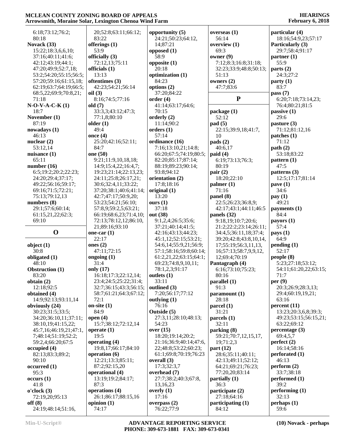| 6:18;73:12;76:2;       | 20;52:8;63:11;66:12;   | opportunity $(5)$                                | overseas $(1)$                         | particular (4)                    |
|------------------------|------------------------|--------------------------------------------------|----------------------------------------|-----------------------------------|
| 80:18                  | 83:22                  | 24:21;50:23;64:12,                               | 56:14                                  | 18:16;54:9,23;57:17               |
| Novack (33)            | offerings (1)          | 14;87:21                                         | overview $(1)$                         | Particularly (3)                  |
| 15:22;18:3,6,6,10;     | 53:9                   | opposed $(1)$                                    | 69:3                                   | 29:7;58:4;91:17                   |
| 37:16;40:11;41:6;      | officially (3)         | 58:9                                             | owner $(9)$                            | $\text{partner} \left( 1 \right)$ |
| 42:12;43:19;44:1;      | 72:12,13;75:11         | opposite $(1)$                                   | 7:12;8:3;16:8;31:18;                   | 55:9                              |
| 47:20;49:9;52:7,18;    | officials (1)          | 20:18                                            | 32:23;33:9;48:8;50:13;                 | parts $(2)$                       |
| 53:2;54:20;55:15;56:5; | 13:13                  | optimization (1)                                 | 51:13                                  | 24:3;27:2                         |
| 57:20;59:16;61:15,18;  | oftentimes (3)         | 84:23                                            | owners $(2)$                           | party(1)                          |
| 62:19;63:7;64:19;66:5; | 42:23;54:21;56:14      | options (2)                                      | 47:7;83:6                              | 83:7                              |
| 68:5,22;69:9;70:8,21;  | oil(3)                 | 37:20;84:22                                      |                                        | pass $(7)$                        |
| 71:18                  | 8:16;74:5;77:16        | order(4)                                         | ${\bf P}$                              | 6:20;7:18;73:14,23;               |
| $N-O-V-A-C-K(1)$       | old $(7)$              | 41:14;63:17;64:6;                                |                                        | 76:4;80:21;81:5                   |
| 18:7                   | 33:3,3;43:12;47:3;     | 70:15                                            | package(1)                             | passive $(1)$                     |
| November (1)           | 77:1,8;80:10           | orderly (2)                                      | 52:12                                  | 29:6                              |
| 87:19                  | older $(1)$            | 11:14;90:2                                       | pad(5)                                 | pasture $(3)$                     |
| nowadays (1)           | 49:4                   | orders (1)                                       | 22:15;39:9,18;41:7,                    | 71:12;81:12,16                    |
| 46:13                  | once $(4)$             | 57:14                                            | 10                                     | $\mathbf{patches}$ (1)            |
| nuclear $(2)$          | 25:20;42:16;52:11;     | ordinance (16)                                   | pads(2)                                | 71:12                             |
| 53:12,14               | 84:7                   | 7:16;13:10,21;14:8;                              | 40:6,17                                | path(2)                           |
| nuisance $(1)$         | one (50)               | 66:20;67:5;74:19;80:5;                           | paid(4)                                | 53:18;83:22                       |
| 65:11                  | 9:21;11:9,10,18,18;    | 82:20;85:17;87:14;                               | 6:19;73:13;76:3;                       | pattern $(1)$                     |
| number $(16)$          | 14:9;15:4,22;16:4,7;   | 88:19;89:23;90:14;                               | 80:19                                  | 47:5                              |
|                        |                        |                                                  |                                        |                                   |
| 6:5;19:2;20:2;22:23;   | 19:23;21:14;22:13,23;  | 93:8;94:12                                       | pair $(2)$                             | patterns (3)                      |
| 24:20;29:4;37:17;      | 24:11;25:8;26:17,21;   | orientation (2)                                  | 18:20;22:10                            | 12:5;17:17;81:14                  |
| 49:22;56:16;59:17;     | 30:6;32:4,11;33:22;    | 17:8;18:16                                       | $\text{palmer}(1)$                     | pave $(1)$                        |
| 69:16;71:5;72:21;      | 37:20;38:1;40:6;41:14; | original (1)                                     | 71:16                                  | 34:6                              |
| 75:13;79:12,13         | 42:7;47:17;50:9,20;    | 13:20                                            | panel (8)                              | pay(1)                            |
| numbers $(8)$          | 53:23;54:21;56:10;     | ours $(1)$                                       | 22:5;26:23;36:8,9;                     | 49:21                             |
| 29:1;57:6;60:14;       | 57:8,9;59:2,5;63:21;   | 37:18                                            | 42:17;43:1;44:11;46:5                  | payments (1)                      |
| 61:15,21,22;62:3;      | 66:19;68:6,23;71:4,10; | out (38)                                         | panels (32)                            | 84:4                              |
| 69:10                  | 72:13;78:12,12;86:10,  | 9:1,2,4;26:5;35:6;                               | 9:18,19;10:7;20:6;                     | payors $(1)$                      |
|                        |                        |                                                  |                                        |                                   |
|                        | 21;89:16;93:10         | 37:21;40:14;41:5;                                | 21:2;22:2;23:14;26:11;                 | 57:4                              |
| $\mathbf 0$            | one-car $(1)$          | 42:16;43:13;44:23;                               | 34:4,5;36:11,18;37:4;                  | $\mathbf{pays}(1)$                |
|                        | 22:17                  | 45:1,12;52:15;53:21;                             | 39:20;42:8;43:8,10,14,                 | 64:9                              |
|                        | ones $(2)$             | 54:6,14;55:9,21;56:9;                            | 17;55:19;56:3,11,13,                   |                                   |
| object $(1)$<br>30:8   |                        |                                                  |                                        | pending(1)<br>52:17               |
|                        | 47:11;72:15            | 57:1;58:16;59:8;60:14;<br>61:2,21,22;63:15;64:1; | 16;57:13;58:7,9,9,12,<br>12;69:4;70:19 |                                   |
| obligated (1)<br>48:10 | ongoing $(1)$<br>31:4  | 69:23;74:8,9,10,11;                              |                                        | people(8)<br>5:23;27:18;53:12;    |
|                        |                        |                                                  | Pantagraph (4)                         |                                   |
| Obstruction (1)        | only (17)              | 78:1,2,3;91:17                                   | 6:16;73:10;75:23;                      | 54:11;61:20,22;63:15;             |
| 83:20                  | 16:18;17:3;22:12,14;   | outlets $(1)$                                    | 80:16                                  | 71:7                              |
| obtain $(2)$           | 23:4;24:5;25:22;31:4;  | 33:11                                            | parallel(1)                            | per $(9)$                         |
| 12:18;92:5             | 32:7;36:15;43:3;56:15; | outlined (3)                                     | 91:3                                   | 20:3;26:9;28:3,13;                |
| obtained (4)           | 58:7;61:21;64:3;67:12; | 7:20;56:17;77:12                                 | paramount (1)                          | 29:4;60:19,19,21;                 |
| 14:9;92:13;93:11,14    | 72:1                   | outlying (1)                                     | 28:18                                  | 63:16                             |
| obviously (24)         | on-site $(1)$          | 76:16                                            | parcel (1)                             | percent(11)                       |
| 30:23;31:5;33:5;       | 84:9                   | Outside (5)                                      | 31:21                                  | 13:23;20:3,6,8;39:3;              |
| 34:20;36:10,11;37:11;  | open $(4)$             | 27:3,11;28:10;48:13;                             | parcels (1)                            | 49:23;53:15;56:15,21;             |
| 38:10, 19:41:15, 22;   | 15:7;38:12;72:12,14    | 54:23                                            | 32:11                                  | 63:22;69:12                       |
| 45:7,16;46:19,21;47:1, | operate $(1)$          | over $(15)$                                      | parking (8)                            | percentage $(3)$                  |
| 7;48:14;51:19;52:2;    | 19:5                   | 18:20;19:14;20:2;                                | 59:21;70:7,12,15,17,                   | 69:4,5,7                          |
| 59:2,4;66:20;67:5      | operating (4)          | 21:16;36:9;40:14;47:6,                           | 19;71:2,3                              | perfect $(2)$                     |
| occupied(4)            | 19:8,17;66:17;84:10    | 22;48:8;53:22;60:23;                             | part $(12)$                            | 16:14;58:16                       |
| 82:13;83:3;89:2;       | operation $(6)$        | 61:1;69:8;70:19;76:23                            | 28:6;35:11;40:11;                      | perforated (1)                    |
| 90:10                  | 12:21;13:3;85:11;      | overall (3)                                      | 42:13;49:11;52:12;                     | 46:13                             |
| occurred(1)            | 87:2;92:15,20          | 17:3;32:3,7                                      | 64:21;69:21;76:23;                     | perform (2)                       |
| 95:3                   | operational (4)        | overhead (7)                                     | 77:20,20;83:14                         | 33:7;38:18                        |
| occurs(1)              | 13:19:19:2:84:17;      | 27:7;38:2;40:3;67:8,                             | partially(1)                           | performed(1)                      |
| 41:8                   | 87:3                   | 13,16,23                                         | 36:3                                   | 39:2                              |
| o'clock(3)             | operations (4)         | overly $(1)$                                     | participate (2)                        | performing $(1)$                  |
| 72:19,20;95:13         | 26:1;86:17;88:15,16    | 17:16                                            | 27:18;64:16                            | 32:13                             |
| off(8)                 | opinion $(1)$          | overpass $(2)$                                   | participating (1)                      | perhaps(1)                        |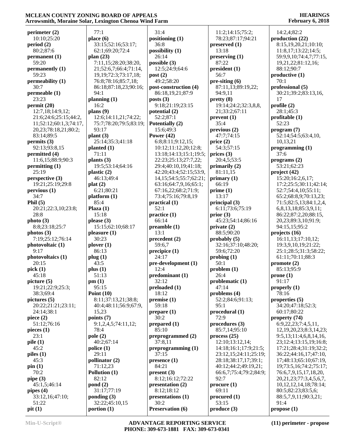#### **HEARINGS February 6, 2018**

| perimeter(2)                              | 77:1                      |
|-------------------------------------------|---------------------------|
| 10:10;25:20                               | place (6)                 |
| period(2)<br>80:2;87:6                    | 33:15;52<br>62:1;69:2     |
| permannent(1)                             | plan $(23)$               |
| 59:20                                     | 7:11,15;2                 |
| permanently (1)                           | 21;52:6,7                 |
| 59:23                                     | 19,19;72                  |
| permeability (1)<br>30:7                  | 76:8;78:1<br>86:18;87     |
| permeable (1)                             | 94:1                      |
| 23:23                                     | planning (1               |
| permit(20)                                | 16:2                      |
| 12:7,18;14:9,12;<br>21:6;24:6;25:15;44:2, | plans $(9)$               |
| 11;52:12;60:1,3;74:17,                    | 12:6;14:1<br>75:7;78:2    |
| 20,23;78:18,21;80:2;                      | 93:17                     |
| 83:14;89:5                                | plant(3)                  |
| permits (3)                               | 25:14;35                  |
| 92:13;93:8,15<br>permitted (4)            | planted (1)<br>71:11      |
| 11:6,15;88:9;90:3                         | plants $(3)$              |
| permitting $(1)$                          | 19:5;53:1                 |
| 25:19                                     | plastic $(2)$             |
| perspective $(3)$<br>19:21;25:19;29:8     | 46:13;49<br>plat(2)       |
| pervious(1)                               | 6:21;80:2                 |
| 34:7                                      | platform (1               |
| Phil $(5)$                                | 85:4                      |
| 20:21;22:3,10;23:8;<br>28:8               | Plaza (1)<br>15:18        |
| photo(3)                                  | please $(3)$              |
| 8:8;23:18;25:7                            | 15:15;62                  |
| photos (3)                                | pleasure (1               |
| 7:19;25:12;76:14<br>photovoltaic (1)      | 30:23<br>plover (1)       |
| 9:17                                      | 86:13                     |
| photovoltaics (1)                         | plug(1)                   |
| 20:15                                     | 43:5                      |
| pick(1)<br>45:18                          | plus(1)<br>51:13          |
| picture (5)                               | pm(1)                     |
| 19:21;22:9;25:3;                          | 95:15                     |
| 38:3;69:4                                 | Point $(10)$<br>8:11;37:1 |
| pictures (5)<br>20:22;21:21;23:11;        | 40:4;48:1                 |
| 24:14;38:1                                | 15,23                     |
| piece $(2)$                               | points (7)                |
| 51:12;76:16                               | 9:1,2,4,5<br>78:4         |
| pieces $(1)$<br>23:1                      | pole(2)                   |
| pile(1)                                   | 40:2;67:1                 |
| 45:2                                      | police (1)                |
| piles (1)                                 | 29:11                     |
| 45:3<br>pin(1)                            | pollinator<br>71:12,23    |
| 70:2                                      | <b>Pollution</b> (        |
| pipe (3)                                  | 82:12                     |
| 45:1,5;46:14                              | $\text{pond}(2)$          |
| pipes $(4)$<br>33:12,16;47:10;            | 31:17;77<br>ponding (3)   |
| 51:22                                     | 32:22;45                  |
| pit(1)                                    | portion (1)               |

| 77:1                       | 31:4                          | 1              |
|----------------------------|-------------------------------|----------------|
| lace(6)                    | positioning (1)               | 7              |
| 33:15;52:16;53:17;         | 36:8                          | pre            |
| 62:1;69:20;72:4            | possibility $(1)$             | 1              |
| lan(23)                    | 26:14                         | pre            |
| 7:11,15;28:20;38:20,       |                               |                |
|                            | possible $(3)$                | 8              |
| 21;52:6,7;66:4;71:14,      | 12:5;24:9;64:6                | pre            |
| 19, 19; 72: 3; 73: 17, 18; | post(2)                       | 5              |
| 76:8;78:16;85:7,18;        | 49:2;58:20                    | pre            |
| 86:18;87:18,23;90:16;      | post-construction (4)         | 8              |
| 94:1                       | 86:18,19,21;87:9              | ς              |
| lanning (1)                | posts $(3)$                   | pre            |
| 16:2                       | 9:18;21:19;23:15              | 1              |
|                            |                               |                |
| lans(9)                    | potential (2)                 | 2              |
| 12:6;14:11,21;74:22;       | 52:2;87:1                     | pre            |
| 75:7;78:20;79:5;83:19;     | Potentially (2)               | 3              |
| 93:17                      | 15:6;49:3                     | pre            |
| $\text{lant}(3)$           | Power $(42)$                  | 4              |
| 25:14;35:3;41:18           | 6:8;8:11;9:12,15;             | pri            |
| lanted (1)                 | 10:12;11:12,20;12:8;          | 5              |
|                            |                               |                |
| 71:11                      | 13:18;14:13;15:1;19:5;        | pri            |
| lants $(3)$                | 22:23;25:13;27:7,22;          | 2              |
| 19:5;53:14;64:16           | 29:4;40:10,19;41:18;          | pri            |
| lastic(2)                  | 42:20;43:4;52:15;53:9,        | 8              |
| 46:13;49:4                 | 14, 15; 54: 5; 55: 7; 62: 21; | pri            |
| lat(2)                     | 63:16;64:7,9,16;65:1;         | 6              |
| 6:21;80:21                 | 67:16,22;68:2;71:9;           | pri            |
|                            |                               |                |
| latform (1)                | 73:4;75:16;79:8,19            | 1              |
| 85:4                       | practical (1)                 | pri            |
| $\text{Plaza}$ (1)         | 52:1                          | 6              |
| 15:18                      | practive(1)                   | pri            |
| lease (3)                  | 66:14                         | 4              |
| 15:15;62:10;68:17          | preamble(1)                   | pri            |
| leasure (1)                | 13:1                          | 8              |
| 30:23                      | precedent(2)                  |                |
|                            |                               | pro            |
| lover $(1)$                | 59:6,7                        | 3              |
| 86:13                      | precipice (1)                 | 5              |
| $\log(1)$                  | 24:17                         | pro            |
| 43:5                       | pre-development (1)           | 5              |
| $\ln s(1)$                 | 12:4                          | pro            |
| 51:13                      | predominant(1)                | $\overline{2}$ |
| m (1)                      | 32:12                         | pro            |
| 95:15                      |                               |                |
|                            | preloaded(1)                  | 4              |
| $\cdot$ oint (10)          | 18:12                         | pro            |
| 8:11;37:13,21;38:8;        | premise (1)                   | 5              |
| 40:4;48:11;56:9;67:9,      | 59:18                         | ç              |
| 15,23                      | prepare (1)                   | pro            |
| oints(7)                   | 30:2                          | 7              |
| 9:1,2,4,5;74:11,12;        | prepared (1)                  | pro            |
| 78:4                       | 85:10                         | 8              |
|                            |                               |                |
| ole (2)                    | preprogrammed $(2)$           | pro            |
| 40:2;67:14                 | 37:8,11                       | 1              |
| olice (1)                  | preprogramming (1)            | 1              |
| 29:11                      | 37:15                         | $\overline{c}$ |
| ollinator (2)              | presence(1)                   | $\overline{c}$ |
| 71:12,23                   | 84:21                         | 4              |
| ollution (1)               | present(3)                    | 6              |
| 82:12                      | 8:12;16:12;72:22              | ς              |
|                            |                               |                |
| ond $(2)$                  | presentation (2)              | pro            |
| 31:17;77:19                | 8:12;18:12                    | 6              |
| onding (3)                 | presentations (1)             | pro            |
| 32:22;45:10,15             | 30:2                          | 5              |
| ortion (1)                 | <b>Preservation (6)</b>       | pro            |
|                            |                               |                |

 11:2;14:15;75:2; 78:23;87:17;94:21 **preserved (1)** 13:18 **preserving (1)** 87:22 **president (1)** 56:7 **pre-siting (6)** 87:11,13;89:19,22; 94:9,11 **pretty (8)** 19:14;24:2;32:3,8,8, 21;33:2;67:11 **prevent (1)** 35:4 **previous (2)** 47:7;74:15 **price (2)** 54:3;57:15 **prices (3)** 20:4,5;53:5 **primarily (2)** 81:11,15 **primary (1)** 66:19 **prime (1)** 13:17 **principal (3)** 6:11;73:6;75:19 **prior (3)** 45:23;54:14;86:16 **private (2)** 88:5;90:20 **probably (5)** 32:16;37:10;48:20; 59:6;72:20 **probing (1)** 50:1 **problem (1)** 26:4 **problematic (1)** 47:14 **problems (4)** 52:2;84:6;91:13; 95:1 **procedural (1)** 72:9 **procedures (3)** 85:7,14;95:10 **process (25)** 12:10;13:12,14; 14:18;16:1;17:9;21:5; 23:12,15;24:11;25:19; 28:18;38:17,17;39:1; 40:12;44:2;49:19,21; 66:6,7;75:4;79:2;84:9; 92:7 **procure (1)** 69:11 **procured (1)** 53:15 **produce (3)**

 14:2,4;82:2 **production (22)** 8:15,19,20,21;10:10; 11:8,17;13:22;14:5; 59:9,9,10;74:4,7;77:15, 19,21,22;81:12,16; 88:12;90:7 **productive (1)** 70:1 **professional (5)** 30:21;39:2;83:13,16, 17 **profile (2)** 28:1;45:3 **profitable (1)** 52:23 **program (7)** 52:14;54:5;63:4,10, 10,13,21 **programming (1)** 37:6 **programs (2)** 53:21;62:23 **project (42)** 15:20;16:2,6,17; 17:2;25:5;30:11;42:14; 52:7;54:4,10;55:11; 65:2;68:8,9;70:13,23; 71:5;82:5,13;84:1,2,4, 6,8,13,18;85:3,9,11; 86:22;87:2,20;88:15, 20,23;89:3,10;91:9; 94:15,15;95:2 **projects (16)** 16:11,13;17:10,12; 19:3,9,10,19;21:22; 25:1;28:5;31:3;58:22; 61:11;70:11;88:3 **promote (2)** 85:13;95:9 **prone (1)** 91:17 **properly (1)** 78:16 **properties (5)** 34:20;47:18;52:3; 60:17;80:22 **property (74)** 6:9,22,23;7:4,5,11, 12,19,20,23;8:3,14,23; 9:5,13;11:4,6,8,14,16, 23;12:4;13:15,19;16:8; 17:21;28:4;31:19;32:2; 36:22;44:16,17;47:10, 17;48:13;65:10;67:19, 19;73:5,16;74:2;75:17; 76:6,7,9,15,17,18,20, 20,21,23;77:3,4,5,6,7, 10,12,12,14,18;78:14; 80:5;82:23;83:5,6; 88:5,7,9,11;90:3,21; 91:4

**propose (1)**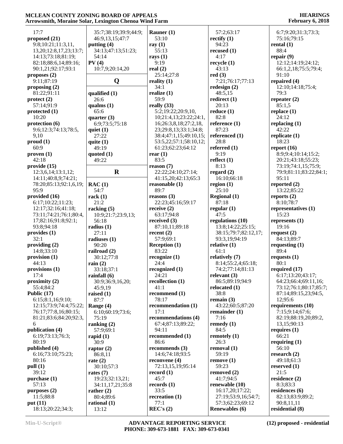#### **HEARINGS February 6, 2018**

| 17:7                            | 35:7;38:19;39:9;44:9;   | Rauner $(1)$           | 57:2;63:17                                | 6:7;9:20;31:3;73:3;           |
|---------------------------------|-------------------------|------------------------|-------------------------------------------|-------------------------------|
| proposed (21)                   | 46:9,13,15;47:7         | 53:10                  | rectify $(1)$                             | 75:16;79:15                   |
| 9:8;10:21;11:3,11,              | putting $(4)$           | ray $(1)$              | 94:23                                     | rental $(1)$                  |
| 13, 20; 12: 8, 17, 23; 13: 7;   | 34:13;47:13;51:23;      | 55:13                  | recused $(1)$                             | 88:4                          |
| 14:13;73:18;81:19;              | 54:14                   | rays $(1)$             | 4:17                                      | repair $(9)$                  |
| 82:18;88:6,14;89:16;            | PV(4)                   | 9:19                   | recycle(1)                                | 12:12;14:19;24:12;            |
| 90:1,21;92:17;93:1              | 10:7,9;20:14,20         | real $(2)$             | 43:13                                     | 66:1,2,18;75:5;79:4;          |
| proposes $(2)$                  |                         | 25:14;27:8             | red(3)                                    | 91:10                         |
| 9:11;87:19                      |                         |                        | 7:21;76:17;77:13                          |                               |
|                                 | Q                       | reality $(1)$          |                                           | repaired $(4)$                |
| proposing $(2)$                 |                         | 34:1                   | redesign $(2)$                            | 12:10;14:18;75:4;             |
| 81:22;91:11                     | qualified (1)           | realize $(1)$          | 48:5,15                                   | 79:3                          |
| $\text{protect } (2)$           | 26:6                    | 59:9                   | redirect $(1)$                            | repeater $(2)$                |
| 57:14;91:9                      | qualms $(1)$            | really $(33)$          | 20:13                                     | 85:1,5                        |
| protected $(1)$                 | 65:6                    | 5:2;19:22;20:9,10,     | reduce(1)                                 | replace $(1)$                 |
| 10:20                           | quarter $(3)$           | 10;21:4,13;23:22;24:1, | 82:8                                      | 24:12                         |
| protection $(6)$                | 6:9;73:5;75:18          | 16;26:3,8,18;27:2,18,  | reference $(1)$                           | replacing $(1)$               |
| 9:6;12:3;74:13;78:5,            | quiet $(1)$             | 23;29:8,13;33:1;34:8;  | 87:23                                     | 42:22                         |
| 9,10                            | 27:22                   | 38:4;47:1,15;49:10,15; | referenced (1)                            | replicate $(1)$               |
| prod(1)                         | quite $(1)$             | 53:5,22;57:1;58:10,12; | 28:8                                      | 18:23                         |
| 60:9                            | 49:19                   | 61:23;62:23;64:12      | referred $(1)$                            | report $(16)$                 |
| proven(1)                       | quoted $(1)$            | rear $(1)$             | 9:19                                      | 8:9;9:4;10:14;15:2;           |
| 42:18                           | 49:22                   | 83:5                   | reflect $(1)$                             | 20:21;43:18;55:23;            |
| provide(15)                     |                         | reason (7)             | 8:13                                      | 73:19;74:1,15;75:9;           |
| 12:3,6,14;13:1,12;              | $\mathbf R$             | 22:22;24:10;27:14;     | regard $(2)$                              | 79:9;81:11;83:22;84:1;        |
| 14:11:40:8,9:74:21:             |                         | 41:15,20;42:13;65:3    | 16:10;66:18                               | 95:11                         |
| 78:20;85:13;92:1,6,19;          | RAC(1)                  | reasonable $(1)$       | region $(1)$                              | reported $(2)$                |
| 95:9                            | 54:7                    | 89:7                   | 25:10                                     | 13:22;85:22                   |
| provided (16)                   | rack $(1)$              | reasons $(3)$          | <b>Regional (1)</b>                       | reports $(2)$                 |
| 6:17;10:22;11:23;               | 21:2                    | 22:23;45:16;59:17      | 87:18                                     | 8:10;78:7                     |
| 12:17;32:16;41:18;              | racking $(5)$           | receive $(2)$          | regular $(1)$                             | representatives (1)           |
| 73:11;74:21;76:1;80:4,          | 10:9;21:7;23:9,13;      | 63:17:94:8             | 47:5                                      | 15:23                         |
|                                 |                         |                        |                                           |                               |
|                                 |                         |                        |                                           |                               |
| 17;82:16;91:8;92:1;             | 56:18                   | received $(3)$         | regulations (10)                          | represents $(1)$              |
| 93:8;94:18                      | radius $(1)$            | 87:10,11;89:18         | 13:8;14:22;25:15;                         | 19:16                         |
| provides (1)                    | 27:11                   | recent $(2)$           | 38:15;79:7;82:12,17;                      | request $(2)$                 |
| 32:1                            | radiuses $(1)$          | 57:9;69:1              | 93:3,19;94:19                             | 84:13;89:7                    |
| providing $(2)$                 | 90:20                   | Reception $(1)$        | relative (1)                              | requesting $(1)$              |
| 14:8;33:10                      | railroad (2)            | 83:22                  | 61:1                                      | 89:4                          |
| provision (1)                   | 30:12;77:8              | recognize(1)           | relatively (7)                            | requests $(1)$                |
| 44:13                           | rain $(2)$              | 24:4                   | 8:14;55:2,4;65:18;                        | 80:1                          |
| provisions $(1)$                | 33:18;37:1              | recognized (1)         | 74:2;77:14;81:13                          | required $(17)$               |
| 17:4                            | rainfall $(6)$          | 24:21                  | relevant $(3)$                            | 6:17;13:20;43:17;             |
| proximity $(2)$                 | 30:9;36:9,16,20;        | recollection $(1)$     | 86:5;89:19;94:9                           | 64:23;66:4;69:11,16;          |
| 55:4;84:2                       | 45:9,19                 | 41:1                   | relocated (1)                             | 73:12;76:1;80:17;85:7;        |
| Public $(17)$                   | raised $(1)$            | recommend (1)          | 38:8                                      | 87:14;89:15,23;94:5,          |
| 6:15;8:1,16;9:10;               | 87:7                    | 78:17                  | remain $(3)$                              | 12;95:6                       |
| 12:15;73:9;74:4;75:22;          | Range (4)               | recommendation (1)     | 43:22;60:5;87:20                          | requirements (10)             |
| 76:17;77:8,16;80:15;            | 6:10;60:19;73:6;        | 17:1                   | remainder $(1)$                           | 7:15;9:14;67:6;               |
| 81:21;83:6;84:20;92:3,          | 75:19                   | recommendations (4)    | 7:16                                      | 82:19;88:19,20;89:2,          |
| 6                               | ranking $(2)$           | 67:4;87:13;89:22;      | remedy (1)                                | 13,15;90:13                   |
| publication (4)                 | 57:9;69:1               | 94:11                  | 84:5                                      | requires $(1)$                |
| 6:19;73:13;76:3;                | rapid $(1)$             | recommended (1)        | remotely $(1)$                            | 66:21                         |
| 80:19                           | 30:9                    | 86:6                   | 26:3                                      | requiring $(1)$               |
|                                 |                         | recommends (3)         |                                           | 56:10                         |
| published (4)                   | raptor $(2)$            |                        | removal (1)<br>59:19                      |                               |
| 6:16;73:10;75:23;               | 86:8,11                 | 14:6;74:18;93:5        |                                           | research $(2)$                |
| 80:16                           | rate $(2)$              | reconvene $(4)$        | remove(1)                                 | 49:18;61:3                    |
| pull (1)                        | 30:10;57:3              | 72:13,15,19;95:14      | 59:23                                     | reserved $(1)$                |
| 39:12                           | rates $(7)$             | record $(1)$           | removed (2)                               | 21:5                          |
| purchase (1)                    | 19:23;32:13,21;         | 45:7                   | 41:7:94:5                                 | residence (2)                 |
| 57:13                           | 34:11,17,21;35:8        | records $(1)$          | renewable (10)                            | 8:3;83:3                      |
| purposes $(2)$                  | rather $(2)$            | 33:5                   | 16:17,20;17:22;                           | residences (6)                |
| 11:5;88:8                       | 80:4;89:6               | recreation $(1)$       | 27:19;53:9,16;54:7;                       | 82:13;83:9;89:2;              |
| put $(11)$<br>18:13;20:22;34:3; | rational $(1)$<br>13:12 | 77:1<br>REC's (2)      | 57:3;62:23;69:12<br><b>Renewables</b> (6) | 90:8,11,11<br>residential (8) |

**Min-U-Script® ADVANTAGE REPORTING SERVICE PHONE: 309-673-1881 FAX: 309-673-0341**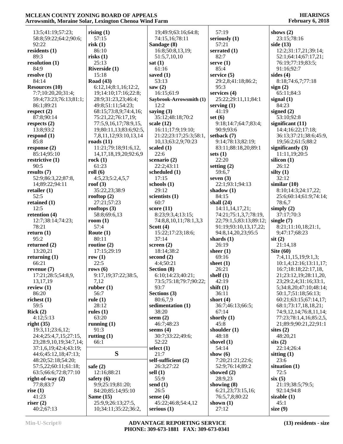| 13:5;41:19;57:23;                               | rising $(1)$                   | 19;49:9;63:16;64:8;       | 57:19                          | shows $(2)$                                   |
|-------------------------------------------------|--------------------------------|---------------------------|--------------------------------|-----------------------------------------------|
| 58:8;59:22;64:2;90:6;                           | 57:15                          | 74:15,16;78:11            | seriously $(1)$                | 23:15;78:16                                   |
| 92:22                                           | risk(1)                        | Sandage (8)               | 57:21                          | side $(13)$                                   |
| residents (1)                                   | 86:10                          | 16:8;50:8,13,19;          | serrated $(1)$                 | 12:2;31:17,21;39:14;                          |
| 89:3                                            | risks(1)                       | 51:5,7,10,10              | 82:7                           | 52:1;64:14;67:17,21;                          |
| resolution (1)                                  | 25:13                          | sat(1)                    | serve $(1)$                    | 76:19;77:19;83:5;                             |
| 84:9<br>resolve(1)                              | Riverside (1)<br>15:18         | 61:16                     | 85:4<br>service $(5)$          | 91:16:92:7                                    |
| 84:14                                           | <b>Road</b> (43)               | saved $(1)$<br>53:13      | 29:2,8;41:18;86:2;             | sides $(4)$<br>8:18;74:6,7;77:18              |
| <b>Resources</b> (10)                           | 6:12,14;8:1,16;12:2,           | saw $(2)$                 | 95:3                           | sign(2)                                       |
| 7:7;10:20,20;31:4;                              | 19;14:10;17:16;22:8;           | 16:15;61:9                | services $(4)$                 | 65:11;84:3                                    |
| 59:4;73:23;76:13;81:1;                          | 28:9;31:23,23;46:4;            | Saybrook-Arrowsmith (1)   | 25:22;29:11,11;84:1            | signal $(1)$                                  |
| 86:1;89:21                                      | 49:8;51:11;54:23;              | 12:2                      | serving $(1)$                  | 84:23                                         |
| respect $(2)$                                   | 68:15;73:8,9;74:4,16;          | saying $(3)$              | 41:19                          | signed $(2)$                                  |
| 87:8;90:14                                      | 75:21,22;76:17,19;             | 35:12;48:18;70:2          | set $(6)$                      | 53:10;92:8                                    |
| respects $(2)$                                  | 77:5,9,16,17;78:9,15,          | scale $(12)$              | 9:18;14:7;64:7;83:4;           | significant $(11)$                            |
| 13:8;93:2                                       | 19;80:11,13;83:6;92:5,         | 16:11;17:9;19:10;         | 90:9;93:6                      | 14:4;16:22;17:18;                             |
| respond $(1)$                                   | 7,8,11,12;93:10,13,14          | 21:22;23:17;25:3;58:1,    | setback (7)                    | 36:13;37:21;38:6;45:9,                        |
| 85:8                                            | roads $(11)$                   | 10,13;63:2,9;70:23        | 9:14;78:13;82:19;              | 19;56:2;61:5;88:2                             |
| response (2)                                    | 11:21;79:18;91:6,12,           | scaled $(1)$              | 83:11;88:18,20;89:1            | significantly $(3)$                           |
| 85:14;95:10                                     | 14, 17, 18, 19, 20; 92: 6, 9   | 22:6                      | sets $(1)$                     | 11:11,19;20:5                                 |
| restrictive $(1)$                               | rock(1)                        | scenario $(2)$            | 22:20                          | silicon (1)                                   |
| 90:5                                            | 61:23                          | 22:2;43:11                | setting $(2)$                  | 26:12                                         |
| results $(7)$                                   | roll(6)                        | scheduled (1)<br>17:15    | 59:6,7                         | silty $(1)$<br>32:12                          |
| 52:9;86:3,22;87:8,<br>14;89:22;94:11            | 4:5,23;5:2,4,5,7<br>roof $(3)$ | schools $(1)$             | seven $(3)$<br>22:1;93:1;94:13 | similar $(10)$                                |
| retailer $(1)$                                  | 35:22,23;38:9                  | 29:12                     | shadow $(1)$                   | 8:10;14:3;24:17,22;                           |
| 52:5                                            | rooftop $(2)$                  | scientists (1)            | 84:15                          | 25:6;60:14;61:9;74:14;                        |
| retained $(1)$                                  | 27:21;57:23                    | 60:7                      | shall $(24)$                   | 78:6,7                                        |
| 12:5                                            | rooftops $(3)$                 | score $(11)$              | 14:11,14,17,21;                | simply $(2)$                                  |
| retention (4)                                   | 58:8;69:6,13                   | 8:23;9:3,4;13:15;         | 74:21;75:1,3,7;78:19,          | 37:17;70:3                                    |
| 12:7;38:14;74:23;                               | room $(1)$                     | 74:8,8,10,11;78:1,3,3     | 22;79:1,5;83:13;89:12;         | single $(7)$                                  |
| 78:21                                           | 57:4                           | Scott $(4)$               | 91:19;93:10,13,17,22;          | 8:21;11:10,18;21:1,                           |
| return $(1)$                                    | Route $(1)$                    | 15:22;17:23;18:6;         | 94:8,14,20,23;95:5             | 9;47:17;68:23                                 |
| 95:2                                            | 80:11                          | 37:14                     | shards $(1)$                   | $s$ it $(2)$                                  |
| returned $(2)$                                  | routine $(2)$                  | screen $(2)$              | 26:19                          | 21:14,18                                      |
| 13:20,21                                        | 17:15;29:19                    | 18:14;38:2                | sheer $(1)$                    | Site $(60)$                                   |
| returning $(1)$<br>66:21                        | row $(1)$<br>22:5              | second $(2)$<br>4:4;50:21 | 69:16<br>sheet $(1)$           | 7:4,11,15,19;9:1,3;<br>10:1,4;12:16;13:11,17; |
| revenue $(7)$                                   | rows $(6)$                     | Section (8)               | 26:21                          | 16:7;18:18;22:17,18,                          |
| 17:21;28:5;54:8,9,                              | 9:17,19;37:22;38:5,            | 6:10;14:23;40:21;         | shelf $(1)$                    | 21;23:12,19;28:11,20,                         |
| 13,17,19                                        | 7,12                           | 73:5;75:18;79:7;90:22;    | 42:19                          | 23;29:2,4;31:16;33:1,                         |
| review $(1)$                                    | rubber $(1)$                   | 93:7                      | shift $(1)$                    | 5;34:8,20;47:10;48:14;                        |
| 86:20                                           | 56:7                           | Sections (3)              | 36:11                          | 50:1,7;51:18;56:13;                           |
| richest $(1)$                                   | rule $(1)$                     | 80:6,7,9                  | short $(4)$                    | 60:21;63:15;67:14,17;                         |
| 59:5                                            | 28:12                          | sedimentation (1)         | 36:7;46:13;66:5;               | 68:1;73:17,18,18,21;                          |
| Rick(2)                                         | rules $(1)$                    | 38:20                     | 67:14                          | 74:9,12,14;76:8,11,14;                        |
| 4:12;5:13                                       | 63:20                          | seem $(2)$                | shortly $(1)$                  | 77:23;78:1,4,16;85:2,5,                       |
| right $(35)$                                    | running $(1)$                  | 46:7:48:23                | 45:8                           | 21;89:9;90:21,22;91:1                         |
| 19:3,11;23:6,12;                                | 91:3                           | seems $(4)$               | shoulder $(1)$                 | sites $(2)$                                   |
| 24:4;25:4,7,15;27:15,                           | rutting $(1)$                  | 30:7;33:22;49:6;<br>52:22 | 48:18                          | 48:20,21                                      |
| 23;28:9,10,19;34:7,14;<br>37:1,6,19;42:4;43:19; | 66:1                           | select $(1)$              | shovel $(1)$<br>54:14          | sits(2)<br>22:14:26:4                         |
| 44:6;45:12,18;47:13;                            | S                              | 21:7                      | show $(6)$                     | sitting $(1)$                                 |
| 48:20;52:18;54:20;                              |                                | self-sufficient (2)       | 7:20;21:21;22:6;               | 23:6                                          |
| 57:5,22;60:11;61:18;                            | safe $(2)$                     | 26:3;27:22                | 52:9;76:14;89:2                | situation $(1)$                               |
| 63:5;66:6;72:8;77:10                            | 12:16;88:21                    | sell $(1)$                | showed $(2)$                   | 72:5                                          |
| right-of-way $(2)$                              | safety $(6)$                   | 55:9                      | 28:9,23                        | six(5)                                        |
| 77:8;83:7                                       | 9:9;25:19;81:20;               | send $(1)$                | showing $(8)$                  | 21:19;38:5;79:5;                              |
| rise $(1)$                                      | 84:20;85:14;95:10              | 26:5                      | 6:21,23;73:15,16;              | 92:14;94:8                                    |
| 41:23                                           | Same $(15)$                    | sense $(4)$               | 76:5,7,8;80:22                 | sizable $(1)$                                 |
| riser $(2)$                                     | 25:9,9;26:13;27:5,             | 45:22;46:8;54:4,12        | shown $(1)$                    | 45:1                                          |
| 40:2;67:13                                      | 10;34:11;35:22;36:2,           | serious $(1)$             | 27:12                          | size $(9)$                                    |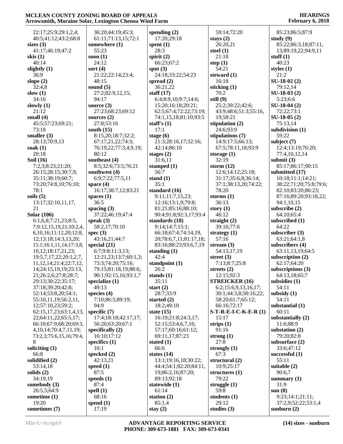| 22:17;25:9;29:1,2,4;          | 36:20;44:19;45:3;     | spending $(2)$         | 59:14;72:20            | 85:23;86:5;87:9        |
|-------------------------------|-----------------------|------------------------|------------------------|------------------------|
| 40:5;41:12;43:2;68:8          | 61:11;71:13,15;72:1   | 17:20;29:18            | stays $(2)$            | study $(9)$            |
| sizes $(3)$                   | somewhere (1)         | spent $(1)$            | 26:20,21               | 85:22;86:3,18;87:11,   |
| 41:17;46:19;47:2              | 55:23                 | 28:3                   | steel $(1)$            | 13;89:19,22;94:9,11    |
| skis $(1)$                    | soon $(1)$            | spirit $(2)$           | 21:18                  | stuff $(1)$            |
| 40:14                         | 24:12                 | 66:23;67:2             | step $(1)$             | 40:23                  |
| slightly $(1)$                | sort $(4)$            | spot $(3)$             | 54:21                  | styles $(1)$           |
| 36:9                          | 21:22;22:14;23:4;     | 24:18;33:22;54:23      | steward $(1)$          | 21:2                   |
| slope $(2)$                   | 48:15                 | spread $(2)$           | 16:18                  | $SU-18-02(2)$          |
| 32:4,8                        | sound $(5)$           | 36:21,22               | sticking (1)           | 79:12,14               |
| slow $(1)$                    | 27:2;82:9,12,15;      | staff $(17)$           | 70:2                   | $SU-18-03(2)$          |
| 34:16                         | 94:17                 | 6:4;8:9,10;9:7;14:6;   | still $(9)$            | 5:23;6:6               |
| slowly $(1)$                  | source $(3)$          | 15:20;16:18;20:21;     | 25:2;39:22;42:6;       | SU-18-04 (2)           |
| 21:12                         | 27:23;68:23;69:12     | 62:5;67:4;72:22;73:19; | 43:9;48:6;51:3;55:16,  | 72:22;73:1             |
| small $(4)$                   | sources $(2)$         | 74:1,15,18;81:10;93:5  | 19;58:21               | $SU-18-05(2)$          |
| 45:5;57:23;69:21;             | 27:8;53:16            | staff's $(1)$          | stipulation $(2)$      | 75:13,14               |
| 73:18                         | south $(15)$          | 17:1                   | 24:6;93:9              | subdivision $(1)$      |
| smaller $(3)$                 | 8:15,20;18:7;32:2;    |                        |                        | 59:22                  |
|                               |                       | stage $(6)$            | stipulations (7)       |                        |
| 28:13;70:9,13                 | 67:17,21,22;74:3;     | 21:3;28:16,17;32:16;   | 14:9;17:5;66:13;       | subject $(7)$          |
| soak $(1)$                    | 76:19,22;77:3,4,9,19; | 42:14:86:10            | 67:5;78:11,18;93:9     | 12:4;13:19;76:20;      |
| 20:18                         | 80:12                 | stages $(2)$           | storage $(1)$          | 77:4,10,12,14          |
| <b>Soil</b> (16)              | southeast (4)         | 31:6,11                | 32:19                  | submit $(3)$           |
| 7:2,3;8:23;21:20;             | 8:5;32:6;73:5;76:21   | stamped $(1)$          | storm $(12)$           | 85:17;86:17;90:15      |
| 26:15;28:15;30:7,9;           | southwest (4)         | 56:7                   | 12:6;14:12;25:18;      | submitted (17)         |
| 35:11;38:19;60:7;             | 6:9;7:22;77:5,11      | stand $(1)$            | 31:17;35:6,8;36:14;    | 10:18;11:1;14:21;      |
| 73:20;74:8,10;76:10;          | space $(4)$           | 35:1                   | 37:1;38:13,20;74:22;   | 38:22;71:20;75:8;79:6; |
| 78:1                          | 16:17;38:7,12;83:21   | standard (16)          | 78:20                  | 82:10;83:20;86:23;     |
| soils $(5)$                   | spaces $(1)$          | 9:11;11:7,15,23;       | storms $(1)$           | 87:16;89:20;93:18,22;  |
| 13:17;32:10,11,17,            | 36:5                  | 12:16;13:1,9;79:8;     | 36:13                  | 94:1,10,15             |
| 21                            | spacing $(3)$         | 81:21;85:16;88:10;     | story $(1)$            | subscribe $(2)$        |
| <b>Solar</b> (106)            | 37:22;46:19;47:4      | 90:4;91:8;92:3,17;93:4 | 46:12                  | 64:10;65:4             |
| 6:1, 6, 8; 7: 21, 23; 8: 5,   | speak $(3)$           | standards (18)         | straight $(2)$         | subscribed (1)         |
| 7;9:12,15,19,21;10:2,4,       | 58:2,17;70:10         | 9:14;14:7;15:1;        | 39:16;77:6             | 64:22                  |
| 6, 10, 16; 11: 12, 20; 12: 8, | spec $(3)$            | 66:18;67:4;74:14,19,   | strategy $(1)$         | subscriber $(3)$       |
| 12;13:18;14:3,13,20;          | 43:16,21;44:7         | 20;78:6,7,11;81:17,18; | 57:16                  | 63:21;64:1,8           |
| 15:1;16:1,11,14;17:3,8,       | special $(21)$        | 83:16;88:23;93:6,7,19  | stream $(3)$           | subscribers (4)        |
| 10,12;18:17,21,23;            | 6:7;9:8;11:3,13;      | standing $(1)$         | 54:13,17,19            | 63:11,13,19;64:5       |
| 19:5,7,17,22;20:1,2,7,        | 12:21,23;13:7;60:1,3; | 42:4                   | street $(3)$           | subscription $(2)$     |
| 11, 12, 14; 21: 4; 22: 7, 12, | 73:3;74:20;75:16;     | standpoint (1)         | 7:13;8:7;25:8          | 62:17;64:20            |
|                               | 79:15;81:18,19;88:6;  |                        |                        | subscriptions (3)      |
| 14;24:15,19,19;25:13,         |                       | 26:2                   | streets $(2)$          |                        |
| 21;26:2,6;27:8;28:7;          | 90:1;92:15,16;93:1,7  | stands $(1)$           | 12:15;92:3             | 64:13,18;65:7          |
| 29:13;30:22;35:17;            | specialize $(1)$      | 35:11                  | <b>STREICKER (16)</b>  | subsidies (1)          |
| 37:18;39:20;42:8;             | 49:13                 | start $(2)$            | 6:2;15:6,9,13,16,17;   | 54:11                  |
| 52:14;53:8,20;54:1;           | species $(4)$         | 28:7;33:9              | 30:1;44:3,8;50:16,22;  | subsidy $(1)$          |
| 55:10,11,19;56:2,11,          | 7:10;86:5;89:19;      | started $(2)$          | 58:20;61:7;65:12;      | 54:11                  |
| 12;57:10,23;59:2;             | 94:9                  | 18:2;49:10             | 66:16;72:17            | substantial (1)        |
| 62:15,17,23;63:1,4,13,        | specific $(7)$        | state $(15)$           | $S-T-R-E-I-C-K-E-R(1)$ | 60:11                  |
| 22;64:11,22;65:5,17;          | 17:4;18:18;42:17,17;  | 16:19:21:8:24:3,17;    | 15:17                  | substantially (2)      |
| 66:10;67:9;68:20;69:3,        | 56:20;63:20;67:1      | 52:15:53:4,6,7,16;     | strips $(1)$           | 11:6;88:9              |
| 4, 10, 14; 70: 4, 7, 11, 19;  | specifically $(2)$    | 57:17;60:16;61:12;     | 91:16                  | substation $(2)$       |
| 73:2,3;75:6,15,16;79:4,       | 16:10;17:12           | 69:11,17;87:23         | strong $(1)$           | 79:20;82:8             |
| 8                             | specifics $(1)$       | stated $(1)$           | 27:8                   | subsurface $(2)$       |
| soliciting $(1)$              | 10:1                  | 66:6                   | strongly $(1)$         | 33:6;47:12             |
| 66:8                          | specked (2)           | states $(14)$          | 67:3                   | successful $(1)$       |
| solidified (2)                | 42:13,21              | 13:1;19:16,18;30:22;   | structural $(2)$       | 55:11                  |
| 53:14,18                      | speed $(1)$           | 44:4;54:1;82:20;84:11, | 10:9;25:17             | suitable $(2)$         |
| solids $(2)$                  | 87:5                  | 19;86:2,16;87:20;      | structures (1)         | 90:6,7                 |
| 34:19,19                      | speeds $(1)$          | 89:13:92:18            | 79:22                  | summary $(1)$          |
| somebody $(3)$                | 87:4                  | statewide (1)          | struggle $(1)$         | 31:9                   |
| 26:5,5;64:9                   | spell $(1)$           | 61:14                  | 59:8                   | sum(8)                 |
| sometime $(1)$                | 68:16                 | station $(2)$          | students (1)           | 9:23;14:1;21:11;       |
|                               |                       |                        | 29:12                  | 37:2,9;52:22;53:1,4    |
| 19:20                         | spend $(1)$           | 85:1,4                 |                        |                        |
| sometimes (7)                 | 17:19                 | stay $(2)$             | studies $(3)$          | sunburn $(2)$          |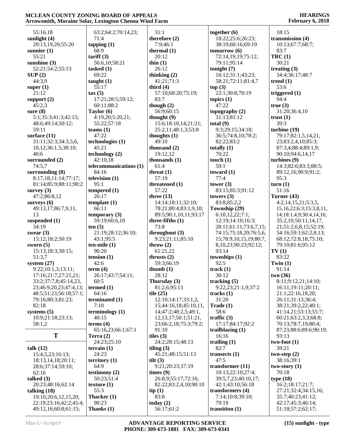#### **HEARINGS February 6, 2018**

|                        | лтгомэнниң мюгани эмаг, пехиідин сисноа этни ғатш |                            |                            | $\frac{1}{2}$                   |
|------------------------|---------------------------------------------------|----------------------------|----------------------------|---------------------------------|
| 55:16,18               | 63:2;64:2;70:14,23;                               | 31:1                       | together $(6)$             | 18:15                           |
| sunlight (4)           | 71:4                                              | therefore $(2)$            | 18:22;25:6;26:23;          | transmission (4)                |
| 20:13,19,20;55:20      | tapping $(1)$                                     | 7:9;46:1                   | 38:19;60:16;69:19          | 10:13;67:7;68:7;                |
|                        | 68:9                                              | thermal $(1)$              | tomorrow(6)                | 83:7                            |
| sunnier $(1)$          |                                                   |                            |                            |                                 |
| 55:21                  | tariff(3)                                         | 20:12                      | 72:14,19,19;75:12;         | TRC(1)                          |
| sunshine $(3)$         | 56:6,10;58:21                                     | thin $(1)$                 | 79:11;95:14                | 30:21                           |
| 52:21;54:2;55:13       | tasked $(1)$                                      | 26:12                      | tonight $(7)$              | treating $(3)$                  |
| SUP(2)                 | 69:22                                             | thinking $(2)$             | 16:12;31:1;43:23;          | 34:4;36:17;48:7                 |
| 44:3,9                 | taught $(1)$                                      | 41:21:71:3                 | 58:21;72:11;81:4,7         | trend $(1)$                     |
| super $(1)$            | 55:17                                             | third $(4)$                | top(3)                     | 53:6                            |
| 21:12                  | tax(5)                                            | 57:10;68:20;75:19;         | 22:1;30:8;70:19            | triggered $(1)$                 |
| support $(2)$          | 17:21;28:5;59:12;                                 | 83:7                       | topics $(1)$               | 94:4                            |
| 45:2,3                 | 60:11;88:2                                        | though $(2)$               | 47:22                      | true(3)                         |
| sure $(8)$             | Taylor (6)                                        | 56:9;60:15                 | topography $(2)$           | 31:20;36:4,10                   |
| 5:1;35:3;41:3;42:15;   | 4:19,20;5:20,21;                                  | thought $(9)$              | 31:13;81:12                | trust $(1)$                     |
| 48:6;49:14;50:12;      | 55:22;57:18                                       | 15:6;18:10,14;21:21;       | total $(9)$                | 39:3                            |
| 59:11                  | teams $(1)$                                       | 25:2,11;48:1,3;53:8        | 9:3;29:15;34:18;           | turbine $(19)$                  |
| surface $(11)$         | 47:22                                             | thoughts $(1)$             | 36:5;74:8,10;78:2;         | 79:17;82:1,5,14,21,             |
| 31:11;32:3;34:3,5,6,   | technologies (1)                                  | 49:10                      | 82:22;83:2                 | 23;83:2,4,10;85:3;              |
| 10,12;36:1,5;38:10;    | 45:21                                             | thousand $(2)$             | totally $(1)$              | 87:3,4;88:4;89:1,9;             |
| 40:6                   | technology (2)                                    | 19:12,12                   | 70:22                      | 90:10;94:6,14,17                |
|                        |                                                   |                            |                            |                                 |
| surrounded (2)         | 42:10,18                                          | thousands (1)              | touch $(1)$<br>59:1        | turbines $(9)$                  |
| 74:5,7                 | telecommunications (1)                            | 61:4                       |                            | 14:3;82:6;83:3;88:5;            |
| surrounding (8)        | 84:16                                             | threat $(1)$               | toward $(1)$               | 89:12,16;90:9;91:2;             |
| 8:17,18;11:14;77:17;   | television (1)                                    | 57:19                      | 77:4                       | 95:3                            |
| 81:14;85:9;88:11;90:2  | 95:1                                              | threatened (1)             | tower $(3)$                | turn(1)                         |
| survey $(3)$           | tempered $(1)$                                    | 57:22                      | 83:15;85:3;91:12           | 51:16                           |
| 47:2;86:8,12           | 26:17                                             | three $(13)$               | towers $(3)$               | Turner (43)                     |
| surveys $(6)$          | template(1)                                       | 14:14;18:11;32:10;         | 83:8;85:2,2                | 4:2,14,15,21;5:3,5,             |
| 49:13,17;86:7,9,11,    | 66:11                                             | 78:21;80:4;83:1,9,10;      | Township (29)              | 15, 16, 22; 6: 3; 15: 3, 8, 11, |
| 13                     | temporary $(3)$                                   | 89:5;90:1,10,11;93:17      | 6:10,12,22;7:1;            | 14;18:1,4,9;30:4,14,16;         |
| suspended $(1)$        | 59:19;60:6,10                                     | three-fifths $(1)$         | 12:19;14:10;16:3;          | 35:2,10;50:11,14,17,            |
| 34:19                  | ten(5)                                            | 73:8                       | 28:11;61:11;73:6,7,15;     | 21;51:2,6,8,15;52:19;           |
| swear $(3)$            | 21:19;28:12;36:10;                                | throughout (3)             | 74:15;75:18,20;76:5,6,     | 54:16;59:1;62:2,8,13;           |
| 15:12;18:2;50:19       | 43:1;95:5                                         | 9:23;21:11;85:10           | 15;78:9,10,15,19;80:7,     | 68:12;72:8,18;75:10;            |
| sworn $(5)$            | $ten$ -mile $(1)$                                 | throw $(2)$                | 8, 10, 23; 90: 23; 92: 12; | 79:10;81:6;95:12                |
| 15:13;18:3;30:15;      | 90:20                                             | 61:21,22                   | 93:14                      | TV(1)                           |
| 51:3,7                 | tension $(1)$                                     | thrusts $(2)$              | townships (1)              | 83:22                           |
| system $(27)$          | 42:6                                              | 59:3;66:19                 | 92:5                       | Twin $(1)$                      |
|                        |                                                   |                            |                            |                                 |
| 9:22;10:1,3;13:11;     | term $(4)$                                        | thumb $(1)$                | track(1)                   | 91:14                           |
| 17:16;21:7;27:21,21;   | 26:17;43:7;54:11;                                 | 28:12                      | 30:12                      | two $(36)$                      |
| 33:2;37:7,8;45:14,23,  | 60:5                                              | Thursday (3)               | tracking $(5)$             | 8:11;9:12,21;14:10;             |
| 23;46:9,20,23;47:4,13; | termed (1)                                        | 81:2,6;95:13               | 9:22,23;21:1,9;37:2        | 16:11;19:11;20:11;              |
| 48:5;51:23;56:18;57:1; | 64:16                                             | tile $(25)$                | tracks $(1)$               | 21:1;22:16,18,20;               |
| 79:16;80:3;81:23;      | terminated (1)                                    | 12:10;14:17;33:1,2,        | 31:20                      | 26:11;31:13;36:4;               |
| 82:18                  | 7:10                                              | 15;44:16,18;45:10,11,      | $\textbf{Trade}(1)$        | 38:21;39:2,22;40:1;             |
| systems $(5)$          | terminology <sub>(1)</sub>                        | 14;47:2;48:2,5;49:1,       | 58:6                       | 41:14,21;53:13;55:7;            |
| 10:9;21:18;23:13;      | 40:15                                             | 12, 13, 17; 50: 1; 51: 21, | traffic $(3)$              | 60:21;63:2,3,3;68:8;            |
| 58:1,2                 | terms $(4)$                                       | 23;66:2,18;75:3;79:2;      | 17:17;84:17;92:2           | 70:13;78:7,19;80:4;             |
|                        | 65:16,23;66:1;67:1                                | 91:10                      | trailblazing $(1)$         | 87:23;88:6;89:6;90:19;          |
| T                      | Terra $(2)$                                       | tiles $(3)$                | 16:16                      | 93:13                           |
|                        | 24:23;25:10                                       | 24:2;28:15;48:13           | trailing $(1)$             | $two-foot(1)$                   |
| talk $(12)$            | terrain $(1)$                                     | tiling $(3)$               | 82:7                       | 39:21                           |
| 15:4,5,23;16:13;       | 24:23                                             |                            |                            |                                 |
|                        |                                                   | 45:21;48:15;51:13          | transects $(1)$            | two-step $(2)$                  |
| 18:13,14,18;20:11;     | territory $(1)$                                   | tilt $(3)$                 | 47:5                       | 38:16:39:1                      |
| 28:6;37:14;59:10;      | 64:9                                              | 9:21;20:23;37:19           | transformer (11)           | two-story $(1)$                 |
| 62:16                  | testimony $(2)$                                   | times (9)                  | 10:13;22:10;27:4;          | 70:18                           |
| talked $(3)$           | 50:23;51:4                                        | 26:8,9;55:17;72:16;        | 39:5,7,23;40:10,17;        | type(18)                        |
| 20:23;48:16;62:14      | texture $(1)$                                     | 82:22;83:2,4,10;90:10      | 42:1;43:10;56:18           | 16:2;18:17;21:7;                |
| talking $(18)$         | 55:3                                              | tip(1)                     | transformers (4)           | 27:21;32:4;34:15,16;            |
| 19:10;20:6,12,15,20;   | Thacker (1)                                       | 83:8                       | 7:14;10:8;39:10;           | 35:7;40:23;41:12;               |
| 22:19;23:16;42:2;45:4; | 90:23                                             | today $(2)$                | 79:19                      | 42:17;45:3;46:14;               |
| 49:12,16;60:8;61:15;   | Thanks $(1)$                                      | 56:17;61:2                 | transition $(1)$           | 51:18;57:2;62:17;               |

**Min-U-Script® ADVANTAGE REPORTING SERVICE PHONE: 309-673-1881 FAX: 309-673-0341** **(15) sunlight - type**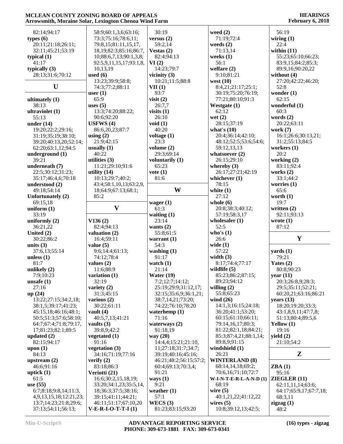| 82:14;94:17            | 58:9;60:1,3,6;63:16;                         | 30:19                  | weed $(2)$                         | 56:19                  |
|------------------------|----------------------------------------------|------------------------|------------------------------------|------------------------|
| types $(6)$            | 73:3;75:16;78:6,11;                          | versus $(2)$           | 71:19;72:4                         | wiring $(1)$           |
| 20:11;21:18;26:11;     | 79:8,15;81:11,15,17,                         | 59:2,14                | weeds $(2)$                        | 22:4                   |
| 32:11;45:21;53:19      | 18, 19; 82: 3; 85: 16; 86: 7,                | Vestas $(2)$           | 71:13,14                           | within $(11)$          |
| typical $(1)$          | 10;88:6,7,13;90:1,3,8;                       | 82:4;94:13             | weeks $(1)$                        | 55:23;65:10;66:23;     |
| 41:17                  | 92:5,9,11,15,17;93:1,8,                      | VI(2)                  | 56:1                               | 83:9,15;84:2;85:3;     |
|                        |                                              |                        |                                    |                        |
| typically $(3)$        | 10,13,19                                     | 14:23;79:7             | welfare $(2)$                      | 89:9,16;90:20,22       |
| 28:13;31:6;70:12       | used $(6)$                                   | vicinity $(3)$         | 9:10;81:21                         | without $(4)$          |
|                        | 13:23;39:9;58:8;                             | 10:21;11:5;88:8        | west $(10)$                        | 27:20;42:22;46:20;     |
| $\mathbf U$            | 74:3;77:2;88:11                              | VII(1)                 | 8:4,21;21:17;25:1;                 | 52:8                   |
|                        | user $(1)$                                   | 93:7                   | 30:19;75:20;76:19;                 | wonder $(1)$           |
| ultimately $(1)$       | 65:9                                         | visit $(2)$            | 77:21;80:10;91:3                   | 62:15                  |
|                        |                                              |                        |                                    |                        |
| 38:13                  | uses $(5)$                                   | 26:7,7                 | Westgate (1)                       | wonderful (1)          |
| ultraviolet (1)        | 13:3;74:20;88:22;                            | visits $(1)$           | 62:12                              | 60:3                   |
| 55:13                  | 90:6;92:20                                   | 26:10                  | wet $(2)$                          | words $(2)$            |
| under $(14)$           | USFWS $(4)$                                  | void $(1)$             | 28:15;37:19                        | 20:22;63:11            |
| 19:20;22:2;29:16;      | 86:6,20,23;87:7                              | 40:20                  | what's $(10)$                      | work $(7)$             |
| 31:19;35:19;38:10;     | using $(2)$                                  | voltage $(1)$          | 20:4;36:14;42:10;                  | 16:1;26:6;30:13,21;    |
|                        |                                              |                        |                                    |                        |
| 39:20;40:13,20;52:14;  | 21:9;42:15                                   | 23:3                   | 48:12;52:5;53:6;54:6;              | 31:2;55:13;84:5        |
| 62:20;63:1,12;94:5     | usually $(1)$                                | volume $(2)$           | 59:12,13,13                        | workers $(1)$          |
| underground (1)        | 40:22                                        | 29:3;69:14             | whatsoever $(2)$                   | 20:2                   |
| 39:21                  | utilities $(3)$                              | voluntarily (1)        | 26:15:29:10                        | working $(2)$          |
| underneath (7)         | 11:21;29:10;91:6                             | 65:23                  | whereby $(3)$                      | 83:11;92:4             |
| 22:5;30:12;31:23;      | utility $(14)$                               | vote(1)                | 26:17;27:21;42:19                  | works $(2)$            |
|                        |                                              |                        |                                    |                        |
| 35:17;46:4,6;70:18     | 10:13;29:7;40:2;                             | 81:6                   | whichever $(1)$                    | 33:1;44:2              |
| understood (2)         | 43:4;58:1,10,13;63:2,9,                      |                        | 78:15                              | worries $(1)$          |
| 49:18:54:14            | 18;64:9;67:13;68:1;                          | W                      | white $(1)$                        | 65:6                   |
| Unfortunately (2)      | 85:2                                         |                        | 27:12                              | worth $(1)$            |
| 69:15,18               |                                              | wager $(1)$            | whole $(6)$                        | 19:7                   |
| uniform $(1)$          | $\mathbf{V}$                                 | 61:3                   | 20:8;38:3;40:12;                   | written $(2)$          |
| 33:19                  |                                              | waiting $(1)$          | 57:19;58:3,17                      | 92:11;93:13            |
| uniformly $(2)$        |                                              |                        |                                    |                        |
|                        |                                              |                        |                                    |                        |
|                        | V136(2)                                      | 23:14                  | wholesaler $(1)$                   | wrote $(1)$            |
| 36:21,22               | 82:4;94:13                                   | wants $(2)$            | 52:5                               | 87:12                  |
| United (2)             | valuation (2)                                | 55:8;61:5              | who's $(1)$                        |                        |
|                        |                                              |                        |                                    | $\mathbf{Y}$           |
| 30:22;86:2             | 16:4;59:11                                   | warrant $(1)$          | 26:6                               |                        |
| units $(3)$            | value $(5)$                                  | 54:3                   | wide $(1)$                         |                        |
| 37:6,13;55:14          | 9:6;14:4;61:13;                              | washing $(1)$          | 57:22                              | $\text{ yards} (1)$    |
| unless $(1)$           | 74:12;78:4                                   | 91:17                  | width $(3)$                        | 79:21                  |
| 81:7                   | values $(2)$                                 | watch $(1)$            | 8:17;74:4;77:17                    | Yates $(2)$            |
| unlikely $(2)$         | 11:6;88:9                                    | 21:14                  | wildlife $(5)$                     | 80:8;90:23             |
| 7:9;10:23              | variation $(1)$                              | Water $(19)$           | 85:23;86:2;87:15;                  | year $(11)$            |
|                        |                                              |                        |                                    |                        |
| unsafe $(1)$           | 32:19                                        | 7:2;12:7;14:12;        | 89:23;94:12                        | 20:3;26:8,9;28:3;      |
| 27:16                  | variety $(2)$                                | 25:19;29:9;31:12,17;   | willing $(2)$                      | 29:5;35:11;52:21;      |
| up $(24)$              | 31:3;45:15                                   | 32:15;35:6,9;36:1,21;  | 55:8;65:23                         | 60:20,21;63:16;86:21   |
| 13:22;27:15;34:2,18;   | various $(2)$                                | 38:7,14,21;73:20;      | wind $(26)$                        | years $(13)$           |
| 38:1,5;39:17;41:23;    | 30:22;61:11                                  | 74:22;76:10;78:20      | 14:1,3;16:15;24:18;                | 18:20;19:20;33:3;      |
| 45:15,18;46:16;48:1;   | vault $(4)$                                  | waterhemp $(1)$        | 36:20;41:1;53:20;                  | 43:1,8,9,11;47:7,8;    |
| 50:5;51:3;57:6;58:10;  | 40:5,7,13;41:21                              | 71:16                  | 60:15;61:10;66:11;                 | 51:13;80:4;89:5,6      |
| 64:7;67:4;71:8;79:17,  |                                              |                        | 79:14,16,17;80:3;                  |                        |
|                        | vaults $(3)$                                 | waterways $(2)$        |                                    | Yellow $(1)$           |
| 17;81:23;82:1;89:5     | 39:8,9;42:2                                  | 91:18,19               | 81:22;82:1,18;84:21;               | 19:16                  |
| updated $(2)$          | vegetated (1)                                | way $(20)$             | 85:3;87:4,21;88:1,14;              | yield $(2)$            |
| 82:15;94:17            | 91:16                                        | 14:4,4;15:21;21:10,    | 89:8,9;91:15                       | 21:10:54:2             |
| upon $(1)$             | vegetation $(3)$                             | 11;27:18;31:7;34:7;    | windshield (1)                     |                        |
| 84:13                  | 34:16;71:19;77:16                            | 39:19;40:16;45:16;     | 26:21                              | Z                      |
| upstream $(2)$         | verify $(2)$                                 | 46:21;48:2;56:15;57:2; | <b>WINTERLAND (8)</b>              |                        |
|                        |                                              | 60:4;69:13;70:3,4;     |                                    |                        |
| 46:6;91:16             | 83:18;86:3                                   |                        | 68:14,14,18;69:2;                  | ZBA(1)                 |
| uptick $(1)$           | Veriotti (21)                                | 91:21                  | 70:6,16;71:10;72:7                 | 95:16                  |
| 61:5                   | 16:6;30:2,15,18,19;                          | ways $(1)$             | $W-I-N-T-E-R-L-A-N-D(1)$           | ZIEGLER(11)            |
| use $(55)$             | 33:20;34:1,23;35:5,14,                       | 9:21                   | 68:19                              | 62:11,11,14;63:6;      |
| 6:7;8:18;9:8,14;11:3,  | 18;36:3;37:5;38:16;                          | weather $(1)$          | wire $(5)$                         | 64:17;65:9,17;67:7,18; |
| 4,9,13,15,18;12:21,23; | 39:15;41:11;44:21;                           | 57:1                   | 40:1,21,22;41:12,22                | 68:3,11                |
| 13:7;14:23;21:8;29:6;  | 46:11;51:17;67:10,20<br>$V-E-R-I-O-T-T-I(1)$ | WECS(3)                | wires $(5)$<br>10:8;39:12,13;42:5; | zigzag(1)              |